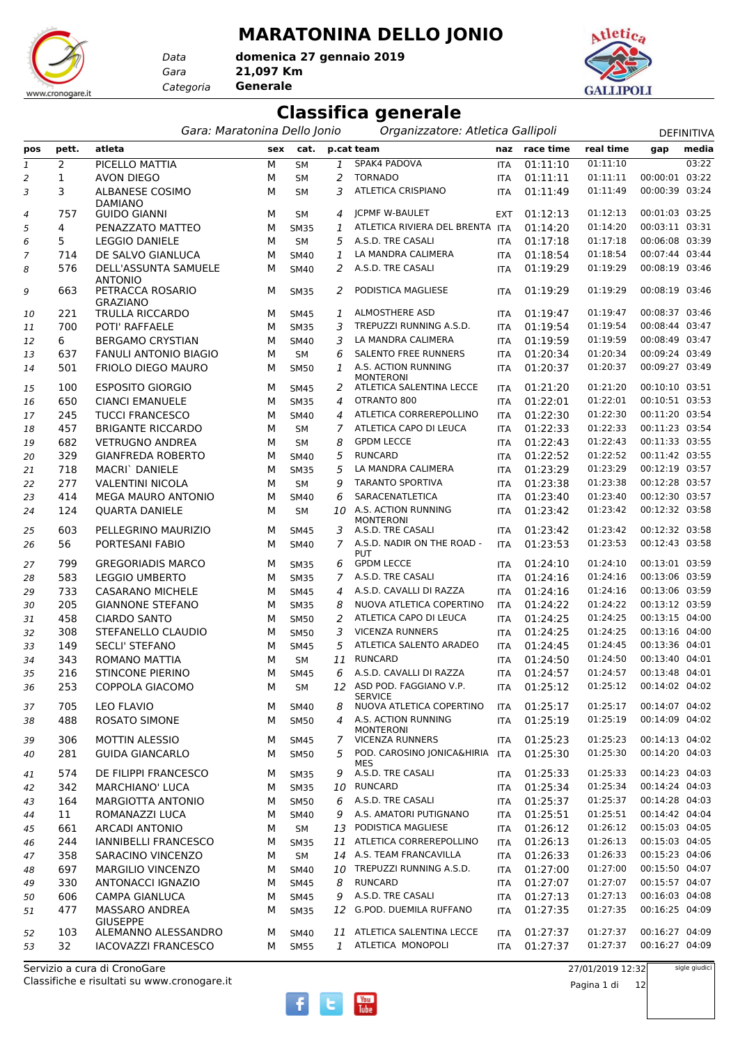## **MARATONINA DELLO JONIO**

*Gara* **21,097 Km domenica 27 gennaio 2019**





*Data*

*Categoria* **Generale**

## **Classifica generale**

| atleta<br>p.cat team<br>naz race time<br>real time<br>media<br>pett.<br>cat.<br>pos<br>sex<br>gap<br>03:22<br>$\mathbf{1}$<br>2<br>SPAK4 PADOVA<br>01:11:10<br>01:11:10<br>PICELLO MATTIA<br>М<br><b>SM</b><br>1<br><b>ITA</b><br>00:00:01 03:22<br>$\overline{2}$<br><b>TORNADO</b><br>01:11:11<br>1<br><b>AVON DIEGO</b><br><b>SM</b><br>01:11:11<br>$\overline{c}$<br>М<br><b>ITA</b><br>00:00:39 03:24<br>ATLETICA CRISPIANO<br>01:11:49<br>3<br><b>ALBANESE COSIMO</b><br>3<br>01:11:49<br>3<br>М<br><b>SM</b><br><b>ITA</b><br><b>DAMIANO</b><br><b>ICPMF W-BAULET</b><br>01:12:13<br>00:01:03 03:25<br>757<br><b>GUIDO GIANNI</b><br>01:12:13<br>М<br><b>SM</b><br>4<br><b>EXT</b><br>4<br>01:14:20<br>00:03:11 03:31<br>4<br>ATLETICA RIVIERA DEL BRENTA ITA<br>01:14:20<br>5<br>PENAZZATO MATTEO<br>М<br><b>SM35</b><br>1<br>00:06:08 03:39<br>A.S.D. TRE CASALI<br>01:17:18<br>5<br><b>LEGGIO DANIELE</b><br>01:17:18<br>м<br><b>SM</b><br>5<br>6<br><b>ITA</b><br>00:07:44 03:44<br>LA MANDRA CALIMERA<br>01:18:54<br>DE SALVO GIANLUCA<br>1<br>01:18:54<br>714<br>М<br>SM40<br><b>ITA</b><br>7<br>A.S.D. TRE CASALI<br>01:19:29<br>00:08:19 03:46<br>576<br>DELL'ASSUNTA SAMUELE<br>2<br>01:19:29<br>м<br><b>SM40</b><br><b>ITA</b><br>8<br><b>ANTONIO</b><br>PETRACCA ROSARIO<br>PODISTICA MAGLIESE<br>01:19:29<br>01:19:29<br>00:08:19 03:46<br>663<br><b>SM35</b><br>2<br>9<br>м<br><b>ITA</b><br><b>GRAZIANO</b><br>TRULLA RICCARDO<br>ALMOSTHERE ASD<br>01:19:47<br>00:08:37 03:46<br>221<br>1<br>01:19:47<br>м<br><b>SM45</b><br><b>ITA</b><br>10<br>TREPUZZI RUNNING A.S.D.<br>01:19:54<br>00:08:44 03:47<br>700<br>POTI' RAFFAELE<br>3<br>01:19:54<br>М<br><b>SM35</b><br><b>ITA</b><br>11<br>LA MANDRA CALIMERA<br>01:19:59<br>00:08:49 03:47<br>6<br><b>BERGAMO CRYSTIAN</b><br>3<br>01:19:59<br>М<br>SM40<br>12<br><b>ITA</b><br><b>SALENTO FREE RUNNERS</b><br>01:20:34<br>00:09:24 03:49<br>637<br><b>FANULI ANTONIO BIAGIO</b><br>01:20:34<br>М<br>6<br><b>SM</b><br><b>ITA</b><br>13<br>00:09:27 03:49<br>A.S. ACTION RUNNING<br>01:20:37<br>501<br>FRIOLO DIEGO MAURO<br>1<br>01:20:37<br>М<br><b>SM50</b><br><b>ITA</b><br>14<br><b>MONTERONI</b><br><b>ESPOSITO GIORGIO</b><br>ATLETICA SALENTINA LECCE<br>01:21:20<br>00:10:10 03:51<br>100<br>01:21:20<br>М<br><b>SM45</b><br>2<br>15<br><b>ITA</b><br>OTRANTO 800<br>01:22:01<br>01:22:01<br>00:10:51 03:53<br>650<br><b>CIANCI EMANUELE</b><br><b>SM35</b><br>4<br><b>ITA</b><br>м<br>16<br>ATLETICA CORREREPOLLINO<br>01:22:30<br>00:11:20 03:54<br>245<br><b>TUCCI FRANCESCO</b><br>M<br>01:22:30<br>SM40<br>4<br><b>ITA</b><br>17<br>01:22:33<br>00:11:23 03:54<br>457<br><b>BRIGANTE RICCARDO</b><br>7<br>ATLETICA CAPO DI LEUCA<br>01:22:33<br>М<br><b>SM</b><br><b>ITA</b><br>18<br>00:11:33 03:55<br><b>GPDM LECCE</b><br>01:22:43<br>682<br><b>VETRUGNO ANDREA</b><br>01:22:43<br>М<br><b>SM</b><br>8<br>19<br><b>ITA</b><br>00:11:42 03:55<br>329<br><b>GIANFREDA ROBERTO</b><br>5<br><b>RUNCARD</b><br>01:22:52<br>01:22:52<br>М<br>SM40<br><b>ITA</b><br>20<br>5<br>01:23:29<br>00:12:19 03:57<br>718<br>MACRI` DANIELE<br>LA MANDRA CALIMERA<br>01:23:29<br>М<br><b>SM35</b><br><b>ITA</b><br>21<br>01:23:38<br>00:12:28 03:57<br>277<br><b>TARANTO SPORTIVA</b><br>01:23:38<br><b>VALENTINI NICOLA</b><br>9<br>м<br><b>SM</b><br><b>ITA</b><br>22<br>01:23:40<br>00:12:30 03:57<br>414<br><b>MEGA MAURO ANTONIO</b><br>SARACENATLETICA<br>01:23:40<br>М<br>SM40<br>6<br>23<br><b>ITA</b><br>A.S. ACTION RUNNING<br>01:23:42<br>00:12:32 03:58<br>01:23:42<br>124<br><b>QUARTA DANIELE</b><br>10<br>м<br><b>SM</b><br><b>ITA</b><br>24<br><b>MONTERONI</b><br>603<br>PELLEGRINO MAURIZIO<br>A.S.D. TRE CASALI<br>01:23:42<br>01:23:42<br>00:12:32 03:58<br>3<br>м<br>SM45<br><b>ITA</b><br>25<br>56<br>01:23:53<br>00:12:43 03:58<br>PORTESANI FABIO<br>$\overline{7}$<br>A.S.D. NADIR ON THE ROAD -<br>01:23:53<br>М<br><b>SM40</b><br><b>ITA</b><br>26<br><b>PUT</b><br>799<br><b>GREGORIADIS MARCO</b><br><b>GPDM LECCE</b><br>01:24:10<br>01:24:10<br>00:13:01 03:59<br>М<br><b>SM35</b><br>6<br><b>ITA</b><br>27<br>A.S.D. TRE CASALI<br>01:24:16<br>00:13:06 03:59<br>583<br><b>LEGGIO UMBERTO</b><br>7<br>01:24:16<br>М<br><b>SM35</b><br><b>ITA</b><br>28<br>A.S.D. CAVALLI DI RAZZA<br>01:24:16<br>00:13:06 03:59<br>733<br><b>CASARANO MICHELE</b><br>01:24:16<br>М<br><b>SM45</b><br><b>ITA</b><br>29<br>4<br>NUOVA ATLETICA COPERTINO<br>00:13:12 03:59<br>205<br><b>GIANNONE STEFANO</b><br>01:24:22<br>01:24:22<br>М<br><b>SM35</b><br>8<br><b>ITA</b><br>30<br>00:13:15 04:00<br>2<br>ATLETICA CAPO DI LEUCA<br>01:24:25<br>458<br><b>CIARDO SANTO</b><br>01:24:25<br>М<br><b>SM50</b><br><b>ITA</b><br>31<br>00:13:16 04:00<br><b>VICENZA RUNNERS</b><br>01:24:25<br>308<br>STEFANELLO CLAUDIO<br>3<br>01:24:25<br>М<br><b>SM50</b><br>32<br><b>ITA</b><br>00:13:36 04:01<br>149<br><b>SECLI' STEFANO</b><br>5<br>ATLETICA SALENTO ARADEO<br>01:24:45<br>01:24:45<br>М<br><b>SM45</b><br><b>ITA</b><br>33<br><b>RUNCARD</b><br>01:24:50<br>00:13:40 04:01<br>343<br>ROMANO MATTIA<br>01:24:50<br>М<br><b>SM</b><br>11<br>34<br><b>ITA</b><br>00:13:48 04:01<br>6<br>A.S.D. CAVALLI DI RAZZA<br>01:24:57<br>216<br><b>STINCONE PIERINO</b><br>01:24:57<br>М<br><b>SM45</b><br><b>ITA</b><br>35<br>12 ASD POD. FAGGIANO V.P.<br>01:25:12<br>00:14:02 04:02<br>01:25:12<br>253<br>COPPOLA GIACOMO<br>36<br>м<br>SM<br>ITA<br><b>SERVICE</b><br>NUOVA ATLETICA COPERTINO<br>01:25:17<br>00:14:07 04:02<br>705<br><b>LEO FLAVIO</b><br>01:25:17<br>8<br><b>SM40</b><br>ITA<br>37<br>м<br>488<br>ROSATO SIMONE<br>A.S. ACTION RUNNING<br>01:25:19<br>01:25:19<br>00:14:09 04:02<br>4<br>м<br><b>SM50</b><br>ITA<br>38<br><b>MONTERONI</b><br><b>VICENZA RUNNERS</b><br>01:25:23<br>00:14:13 04:02<br><b>MOTTIN ALESSIO</b><br>01:25:23<br>306<br><b>SM45</b><br>7<br>39<br><b>ITA</b><br>м<br>00:14:20 04:03<br>281<br><b>GUIDA GIANCARLO</b><br>POD. CAROSINO JONICA&HIRIA<br>01:25:30<br>01:25:30<br>5<br>м<br><b>SM50</b><br><b>ITA</b><br>40<br>MES<br>A.S.D. TRE CASALI<br>00:14:23 04:03<br>01:25:33<br>01:25:33<br>574<br>DE FILIPPI FRANCESCO<br><b>SM35</b><br>9<br><b>ITA</b><br>41<br>м<br><b>RUNCARD</b><br>00:14:24 04:03<br>342<br>01:25:34<br>01:25:34<br><b>MARCHIANO' LUCA</b><br>10<br>М<br><b>SM35</b><br>ITA<br>42<br>A.S.D. TRE CASALI<br>01:25:37<br>00:14:28 04:03<br>MARGIOTTA ANTONIO<br>01:25:37<br>164<br>SM50<br>6<br>43<br>м<br><b>ITA</b><br>ROMANAZZI LUCA<br>A.S. AMATORI PUTIGNANO<br>01:25:51<br>01:25:51<br>00:14:42 04:04<br>11<br>SM40<br>9<br>м<br>ITA<br>44<br>00:15:03 04:05<br>661<br>PODISTICA MAGLIESE<br>01:26:12<br>01:26:12<br><b>ARCADI ANTONIO</b><br>М<br>SM<br>13<br>45<br>ITA<br>00:15:03 04:05<br>11 ATLETICA CORREREPOLLINO<br>01:26:13<br>01:26:13<br>244<br><b>IANNIBELLI FRANCESCO</b><br><b>SM35</b><br>М<br>ITA<br>46<br>00:15:23 04:06<br>358<br>SARACINO VINCENZO<br>14 A.S. TEAM FRANCAVILLA<br>01:26:33<br>01:26:33<br>SM<br>47<br>м<br>ITA<br>01:27:00<br>00:15:50 04:07<br>697<br>TREPUZZI RUNNING A.S.D.<br>01:27:00<br>MARGILIO VINCENZO<br>М<br>SM40<br>10<br>ITA<br>48<br>00:15:57 04:07<br><b>RUNCARD</b><br>01:27:07<br><b>ANTONACCI IGNAZIO</b><br>01:27:07<br>330<br>М<br><b>SM45</b><br>8<br>49<br>ITA<br>A.S.D. TRE CASALI<br>00:16:03 04:08<br>01:27:13<br>01:27:13<br>606<br>CAMPA GIANLUCA<br><b>SM45</b><br>9<br>м<br>ITA<br>50<br>00:16:25 04:09<br>MASSARO ANDREA<br>12 G.POD. DUEMILA RUFFANO<br>01:27:35<br>01:27:35<br>477<br>М<br><b>SM35</b><br>ITA<br>51<br><b>GIUSEPPE</b><br>11 ATLETICA SALENTINA LECCE<br>01:27:37<br>00:16:27 04:09<br>103<br>ALEMANNO ALESSANDRO<br>01:27:37<br>М<br>SM40<br>ITA<br>52<br>00:16:27 04:09<br>1 ATLETICA MONOPOLI<br>01:27:37<br>32<br><b>IACOVAZZI FRANCESCO</b><br><b>SM55</b><br>01:27:37<br>53<br>м<br>ITA | Gara: Maratonina Dello Jonio |  |  |  | Organizzatore: Atletica Gallipoli |  |  | <b>DEFINITIVA</b> |
|--------------------------------------------------------------------------------------------------------------------------------------------------------------------------------------------------------------------------------------------------------------------------------------------------------------------------------------------------------------------------------------------------------------------------------------------------------------------------------------------------------------------------------------------------------------------------------------------------------------------------------------------------------------------------------------------------------------------------------------------------------------------------------------------------------------------------------------------------------------------------------------------------------------------------------------------------------------------------------------------------------------------------------------------------------------------------------------------------------------------------------------------------------------------------------------------------------------------------------------------------------------------------------------------------------------------------------------------------------------------------------------------------------------------------------------------------------------------------------------------------------------------------------------------------------------------------------------------------------------------------------------------------------------------------------------------------------------------------------------------------------------------------------------------------------------------------------------------------------------------------------------------------------------------------------------------------------------------------------------------------------------------------------------------------------------------------------------------------------------------------------------------------------------------------------------------------------------------------------------------------------------------------------------------------------------------------------------------------------------------------------------------------------------------------------------------------------------------------------------------------------------------------------------------------------------------------------------------------------------------------------------------------------------------------------------------------------------------------------------------------------------------------------------------------------------------------------------------------------------------------------------------------------------------------------------------------------------------------------------------------------------------------------------------------------------------------------------------------------------------------------------------------------------------------------------------------------------------------------------------------------------------------------------------------------------------------------------------------------------------------------------------------------------------------------------------------------------------------------------------------------------------------------------------------------------------------------------------------------------------------------------------------------------------------------------------------------------------------------------------------------------------------------------------------------------------------------------------------------------------------------------------------------------------------------------------------------------------------------------------------------------------------------------------------------------------------------------------------------------------------------------------------------------------------------------------------------------------------------------------------------------------------------------------------------------------------------------------------------------------------------------------------------------------------------------------------------------------------------------------------------------------------------------------------------------------------------------------------------------------------------------------------------------------------------------------------------------------------------------------------------------------------------------------------------------------------------------------------------------------------------------------------------------------------------------------------------------------------------------------------------------------------------------------------------------------------------------------------------------------------------------------------------------------------------------------------------------------------------------------------------------------------------------------------------------------------------------------------------------------------------------------------------------------------------------------------------------------------------------------------------------------------------------------------------------------------------------------------------------------------------------------------------------------------------------------------------------------------------------------------------------------------------------------------------------------------------------------------------------------------------------------------------------------------------------------------------------------------------------------------------------------------------------------------------------------------------------------------------------------------------------------------------------------------------------------------------------------------------------------------------------------------------------------------------------------------------------------------------------------------------------------------------------------------------------------------------------------------------------------------------------------------------------------------------------------------------------------------------------------------------------------------------------------------------------------------------------------------------------------------------------------------------------------------------------------------------------------------------------------------------------------------------------------------------------------------------------------------------------------------------------------------------------------------------------------------------------------------------------------------------------------------------------------------------------------------------------------------------------------------------------------------------------------------------------------------------------------------------------------------------------------------------------------------------------------------------------------------------------------------------------------------------------------------------------------------------------------------------------------------------------------------------------------------------------------------------------------------------------------------------------------------------------------------------------------------------------------------|------------------------------|--|--|--|-----------------------------------|--|--|-------------------|
|                                                                                                                                                                                                                                                                                                                                                                                                                                                                                                                                                                                                                                                                                                                                                                                                                                                                                                                                                                                                                                                                                                                                                                                                                                                                                                                                                                                                                                                                                                                                                                                                                                                                                                                                                                                                                                                                                                                                                                                                                                                                                                                                                                                                                                                                                                                                                                                                                                                                                                                                                                                                                                                                                                                                                                                                                                                                                                                                                                                                                                                                                                                                                                                                                                                                                                                                                                                                                                                                                                                                                                                                                                                                                                                                                                                                                                                                                                                                                                                                                                                                                                                                                                                                                                                                                                                                                                                                                                                                                                                                                                                                                                                                                                                                                                                                                                                                                                                                                                                                                                                                                                                                                                                                                                                                                                                                                                                                                                                                                                                                                                                                                                                                                                                                                                                                                                                                                                                                                                                                                                                                                                                                                                                                                                                                                                                                                                                                                                                                                                                                                                                                                                                                                                                                                                                                                                                                                                                                                                                                                                                                                                                                                                                                                                                                                                                                                                                                                                                                                                                                                                                                                                                                                                                                                                                                                                                  |                              |  |  |  |                                   |  |  |                   |
|                                                                                                                                                                                                                                                                                                                                                                                                                                                                                                                                                                                                                                                                                                                                                                                                                                                                                                                                                                                                                                                                                                                                                                                                                                                                                                                                                                                                                                                                                                                                                                                                                                                                                                                                                                                                                                                                                                                                                                                                                                                                                                                                                                                                                                                                                                                                                                                                                                                                                                                                                                                                                                                                                                                                                                                                                                                                                                                                                                                                                                                                                                                                                                                                                                                                                                                                                                                                                                                                                                                                                                                                                                                                                                                                                                                                                                                                                                                                                                                                                                                                                                                                                                                                                                                                                                                                                                                                                                                                                                                                                                                                                                                                                                                                                                                                                                                                                                                                                                                                                                                                                                                                                                                                                                                                                                                                                                                                                                                                                                                                                                                                                                                                                                                                                                                                                                                                                                                                                                                                                                                                                                                                                                                                                                                                                                                                                                                                                                                                                                                                                                                                                                                                                                                                                                                                                                                                                                                                                                                                                                                                                                                                                                                                                                                                                                                                                                                                                                                                                                                                                                                                                                                                                                                                                                                                                                                  |                              |  |  |  |                                   |  |  |                   |
|                                                                                                                                                                                                                                                                                                                                                                                                                                                                                                                                                                                                                                                                                                                                                                                                                                                                                                                                                                                                                                                                                                                                                                                                                                                                                                                                                                                                                                                                                                                                                                                                                                                                                                                                                                                                                                                                                                                                                                                                                                                                                                                                                                                                                                                                                                                                                                                                                                                                                                                                                                                                                                                                                                                                                                                                                                                                                                                                                                                                                                                                                                                                                                                                                                                                                                                                                                                                                                                                                                                                                                                                                                                                                                                                                                                                                                                                                                                                                                                                                                                                                                                                                                                                                                                                                                                                                                                                                                                                                                                                                                                                                                                                                                                                                                                                                                                                                                                                                                                                                                                                                                                                                                                                                                                                                                                                                                                                                                                                                                                                                                                                                                                                                                                                                                                                                                                                                                                                                                                                                                                                                                                                                                                                                                                                                                                                                                                                                                                                                                                                                                                                                                                                                                                                                                                                                                                                                                                                                                                                                                                                                                                                                                                                                                                                                                                                                                                                                                                                                                                                                                                                                                                                                                                                                                                                                                                  |                              |  |  |  |                                   |  |  |                   |
|                                                                                                                                                                                                                                                                                                                                                                                                                                                                                                                                                                                                                                                                                                                                                                                                                                                                                                                                                                                                                                                                                                                                                                                                                                                                                                                                                                                                                                                                                                                                                                                                                                                                                                                                                                                                                                                                                                                                                                                                                                                                                                                                                                                                                                                                                                                                                                                                                                                                                                                                                                                                                                                                                                                                                                                                                                                                                                                                                                                                                                                                                                                                                                                                                                                                                                                                                                                                                                                                                                                                                                                                                                                                                                                                                                                                                                                                                                                                                                                                                                                                                                                                                                                                                                                                                                                                                                                                                                                                                                                                                                                                                                                                                                                                                                                                                                                                                                                                                                                                                                                                                                                                                                                                                                                                                                                                                                                                                                                                                                                                                                                                                                                                                                                                                                                                                                                                                                                                                                                                                                                                                                                                                                                                                                                                                                                                                                                                                                                                                                                                                                                                                                                                                                                                                                                                                                                                                                                                                                                                                                                                                                                                                                                                                                                                                                                                                                                                                                                                                                                                                                                                                                                                                                                                                                                                                                                  |                              |  |  |  |                                   |  |  |                   |
|                                                                                                                                                                                                                                                                                                                                                                                                                                                                                                                                                                                                                                                                                                                                                                                                                                                                                                                                                                                                                                                                                                                                                                                                                                                                                                                                                                                                                                                                                                                                                                                                                                                                                                                                                                                                                                                                                                                                                                                                                                                                                                                                                                                                                                                                                                                                                                                                                                                                                                                                                                                                                                                                                                                                                                                                                                                                                                                                                                                                                                                                                                                                                                                                                                                                                                                                                                                                                                                                                                                                                                                                                                                                                                                                                                                                                                                                                                                                                                                                                                                                                                                                                                                                                                                                                                                                                                                                                                                                                                                                                                                                                                                                                                                                                                                                                                                                                                                                                                                                                                                                                                                                                                                                                                                                                                                                                                                                                                                                                                                                                                                                                                                                                                                                                                                                                                                                                                                                                                                                                                                                                                                                                                                                                                                                                                                                                                                                                                                                                                                                                                                                                                                                                                                                                                                                                                                                                                                                                                                                                                                                                                                                                                                                                                                                                                                                                                                                                                                                                                                                                                                                                                                                                                                                                                                                                                                  |                              |  |  |  |                                   |  |  |                   |
|                                                                                                                                                                                                                                                                                                                                                                                                                                                                                                                                                                                                                                                                                                                                                                                                                                                                                                                                                                                                                                                                                                                                                                                                                                                                                                                                                                                                                                                                                                                                                                                                                                                                                                                                                                                                                                                                                                                                                                                                                                                                                                                                                                                                                                                                                                                                                                                                                                                                                                                                                                                                                                                                                                                                                                                                                                                                                                                                                                                                                                                                                                                                                                                                                                                                                                                                                                                                                                                                                                                                                                                                                                                                                                                                                                                                                                                                                                                                                                                                                                                                                                                                                                                                                                                                                                                                                                                                                                                                                                                                                                                                                                                                                                                                                                                                                                                                                                                                                                                                                                                                                                                                                                                                                                                                                                                                                                                                                                                                                                                                                                                                                                                                                                                                                                                                                                                                                                                                                                                                                                                                                                                                                                                                                                                                                                                                                                                                                                                                                                                                                                                                                                                                                                                                                                                                                                                                                                                                                                                                                                                                                                                                                                                                                                                                                                                                                                                                                                                                                                                                                                                                                                                                                                                                                                                                                                                  |                              |  |  |  |                                   |  |  |                   |
|                                                                                                                                                                                                                                                                                                                                                                                                                                                                                                                                                                                                                                                                                                                                                                                                                                                                                                                                                                                                                                                                                                                                                                                                                                                                                                                                                                                                                                                                                                                                                                                                                                                                                                                                                                                                                                                                                                                                                                                                                                                                                                                                                                                                                                                                                                                                                                                                                                                                                                                                                                                                                                                                                                                                                                                                                                                                                                                                                                                                                                                                                                                                                                                                                                                                                                                                                                                                                                                                                                                                                                                                                                                                                                                                                                                                                                                                                                                                                                                                                                                                                                                                                                                                                                                                                                                                                                                                                                                                                                                                                                                                                                                                                                                                                                                                                                                                                                                                                                                                                                                                                                                                                                                                                                                                                                                                                                                                                                                                                                                                                                                                                                                                                                                                                                                                                                                                                                                                                                                                                                                                                                                                                                                                                                                                                                                                                                                                                                                                                                                                                                                                                                                                                                                                                                                                                                                                                                                                                                                                                                                                                                                                                                                                                                                                                                                                                                                                                                                                                                                                                                                                                                                                                                                                                                                                                                                  |                              |  |  |  |                                   |  |  |                   |
|                                                                                                                                                                                                                                                                                                                                                                                                                                                                                                                                                                                                                                                                                                                                                                                                                                                                                                                                                                                                                                                                                                                                                                                                                                                                                                                                                                                                                                                                                                                                                                                                                                                                                                                                                                                                                                                                                                                                                                                                                                                                                                                                                                                                                                                                                                                                                                                                                                                                                                                                                                                                                                                                                                                                                                                                                                                                                                                                                                                                                                                                                                                                                                                                                                                                                                                                                                                                                                                                                                                                                                                                                                                                                                                                                                                                                                                                                                                                                                                                                                                                                                                                                                                                                                                                                                                                                                                                                                                                                                                                                                                                                                                                                                                                                                                                                                                                                                                                                                                                                                                                                                                                                                                                                                                                                                                                                                                                                                                                                                                                                                                                                                                                                                                                                                                                                                                                                                                                                                                                                                                                                                                                                                                                                                                                                                                                                                                                                                                                                                                                                                                                                                                                                                                                                                                                                                                                                                                                                                                                                                                                                                                                                                                                                                                                                                                                                                                                                                                                                                                                                                                                                                                                                                                                                                                                                                                  |                              |  |  |  |                                   |  |  |                   |
|                                                                                                                                                                                                                                                                                                                                                                                                                                                                                                                                                                                                                                                                                                                                                                                                                                                                                                                                                                                                                                                                                                                                                                                                                                                                                                                                                                                                                                                                                                                                                                                                                                                                                                                                                                                                                                                                                                                                                                                                                                                                                                                                                                                                                                                                                                                                                                                                                                                                                                                                                                                                                                                                                                                                                                                                                                                                                                                                                                                                                                                                                                                                                                                                                                                                                                                                                                                                                                                                                                                                                                                                                                                                                                                                                                                                                                                                                                                                                                                                                                                                                                                                                                                                                                                                                                                                                                                                                                                                                                                                                                                                                                                                                                                                                                                                                                                                                                                                                                                                                                                                                                                                                                                                                                                                                                                                                                                                                                                                                                                                                                                                                                                                                                                                                                                                                                                                                                                                                                                                                                                                                                                                                                                                                                                                                                                                                                                                                                                                                                                                                                                                                                                                                                                                                                                                                                                                                                                                                                                                                                                                                                                                                                                                                                                                                                                                                                                                                                                                                                                                                                                                                                                                                                                                                                                                                                                  |                              |  |  |  |                                   |  |  |                   |
|                                                                                                                                                                                                                                                                                                                                                                                                                                                                                                                                                                                                                                                                                                                                                                                                                                                                                                                                                                                                                                                                                                                                                                                                                                                                                                                                                                                                                                                                                                                                                                                                                                                                                                                                                                                                                                                                                                                                                                                                                                                                                                                                                                                                                                                                                                                                                                                                                                                                                                                                                                                                                                                                                                                                                                                                                                                                                                                                                                                                                                                                                                                                                                                                                                                                                                                                                                                                                                                                                                                                                                                                                                                                                                                                                                                                                                                                                                                                                                                                                                                                                                                                                                                                                                                                                                                                                                                                                                                                                                                                                                                                                                                                                                                                                                                                                                                                                                                                                                                                                                                                                                                                                                                                                                                                                                                                                                                                                                                                                                                                                                                                                                                                                                                                                                                                                                                                                                                                                                                                                                                                                                                                                                                                                                                                                                                                                                                                                                                                                                                                                                                                                                                                                                                                                                                                                                                                                                                                                                                                                                                                                                                                                                                                                                                                                                                                                                                                                                                                                                                                                                                                                                                                                                                                                                                                                                                  |                              |  |  |  |                                   |  |  |                   |
|                                                                                                                                                                                                                                                                                                                                                                                                                                                                                                                                                                                                                                                                                                                                                                                                                                                                                                                                                                                                                                                                                                                                                                                                                                                                                                                                                                                                                                                                                                                                                                                                                                                                                                                                                                                                                                                                                                                                                                                                                                                                                                                                                                                                                                                                                                                                                                                                                                                                                                                                                                                                                                                                                                                                                                                                                                                                                                                                                                                                                                                                                                                                                                                                                                                                                                                                                                                                                                                                                                                                                                                                                                                                                                                                                                                                                                                                                                                                                                                                                                                                                                                                                                                                                                                                                                                                                                                                                                                                                                                                                                                                                                                                                                                                                                                                                                                                                                                                                                                                                                                                                                                                                                                                                                                                                                                                                                                                                                                                                                                                                                                                                                                                                                                                                                                                                                                                                                                                                                                                                                                                                                                                                                                                                                                                                                                                                                                                                                                                                                                                                                                                                                                                                                                                                                                                                                                                                                                                                                                                                                                                                                                                                                                                                                                                                                                                                                                                                                                                                                                                                                                                                                                                                                                                                                                                                                                  |                              |  |  |  |                                   |  |  |                   |
|                                                                                                                                                                                                                                                                                                                                                                                                                                                                                                                                                                                                                                                                                                                                                                                                                                                                                                                                                                                                                                                                                                                                                                                                                                                                                                                                                                                                                                                                                                                                                                                                                                                                                                                                                                                                                                                                                                                                                                                                                                                                                                                                                                                                                                                                                                                                                                                                                                                                                                                                                                                                                                                                                                                                                                                                                                                                                                                                                                                                                                                                                                                                                                                                                                                                                                                                                                                                                                                                                                                                                                                                                                                                                                                                                                                                                                                                                                                                                                                                                                                                                                                                                                                                                                                                                                                                                                                                                                                                                                                                                                                                                                                                                                                                                                                                                                                                                                                                                                                                                                                                                                                                                                                                                                                                                                                                                                                                                                                                                                                                                                                                                                                                                                                                                                                                                                                                                                                                                                                                                                                                                                                                                                                                                                                                                                                                                                                                                                                                                                                                                                                                                                                                                                                                                                                                                                                                                                                                                                                                                                                                                                                                                                                                                                                                                                                                                                                                                                                                                                                                                                                                                                                                                                                                                                                                                                                  |                              |  |  |  |                                   |  |  |                   |
|                                                                                                                                                                                                                                                                                                                                                                                                                                                                                                                                                                                                                                                                                                                                                                                                                                                                                                                                                                                                                                                                                                                                                                                                                                                                                                                                                                                                                                                                                                                                                                                                                                                                                                                                                                                                                                                                                                                                                                                                                                                                                                                                                                                                                                                                                                                                                                                                                                                                                                                                                                                                                                                                                                                                                                                                                                                                                                                                                                                                                                                                                                                                                                                                                                                                                                                                                                                                                                                                                                                                                                                                                                                                                                                                                                                                                                                                                                                                                                                                                                                                                                                                                                                                                                                                                                                                                                                                                                                                                                                                                                                                                                                                                                                                                                                                                                                                                                                                                                                                                                                                                                                                                                                                                                                                                                                                                                                                                                                                                                                                                                                                                                                                                                                                                                                                                                                                                                                                                                                                                                                                                                                                                                                                                                                                                                                                                                                                                                                                                                                                                                                                                                                                                                                                                                                                                                                                                                                                                                                                                                                                                                                                                                                                                                                                                                                                                                                                                                                                                                                                                                                                                                                                                                                                                                                                                                                  |                              |  |  |  |                                   |  |  |                   |
|                                                                                                                                                                                                                                                                                                                                                                                                                                                                                                                                                                                                                                                                                                                                                                                                                                                                                                                                                                                                                                                                                                                                                                                                                                                                                                                                                                                                                                                                                                                                                                                                                                                                                                                                                                                                                                                                                                                                                                                                                                                                                                                                                                                                                                                                                                                                                                                                                                                                                                                                                                                                                                                                                                                                                                                                                                                                                                                                                                                                                                                                                                                                                                                                                                                                                                                                                                                                                                                                                                                                                                                                                                                                                                                                                                                                                                                                                                                                                                                                                                                                                                                                                                                                                                                                                                                                                                                                                                                                                                                                                                                                                                                                                                                                                                                                                                                                                                                                                                                                                                                                                                                                                                                                                                                                                                                                                                                                                                                                                                                                                                                                                                                                                                                                                                                                                                                                                                                                                                                                                                                                                                                                                                                                                                                                                                                                                                                                                                                                                                                                                                                                                                                                                                                                                                                                                                                                                                                                                                                                                                                                                                                                                                                                                                                                                                                                                                                                                                                                                                                                                                                                                                                                                                                                                                                                                                                  |                              |  |  |  |                                   |  |  |                   |
|                                                                                                                                                                                                                                                                                                                                                                                                                                                                                                                                                                                                                                                                                                                                                                                                                                                                                                                                                                                                                                                                                                                                                                                                                                                                                                                                                                                                                                                                                                                                                                                                                                                                                                                                                                                                                                                                                                                                                                                                                                                                                                                                                                                                                                                                                                                                                                                                                                                                                                                                                                                                                                                                                                                                                                                                                                                                                                                                                                                                                                                                                                                                                                                                                                                                                                                                                                                                                                                                                                                                                                                                                                                                                                                                                                                                                                                                                                                                                                                                                                                                                                                                                                                                                                                                                                                                                                                                                                                                                                                                                                                                                                                                                                                                                                                                                                                                                                                                                                                                                                                                                                                                                                                                                                                                                                                                                                                                                                                                                                                                                                                                                                                                                                                                                                                                                                                                                                                                                                                                                                                                                                                                                                                                                                                                                                                                                                                                                                                                                                                                                                                                                                                                                                                                                                                                                                                                                                                                                                                                                                                                                                                                                                                                                                                                                                                                                                                                                                                                                                                                                                                                                                                                                                                                                                                                                                                  |                              |  |  |  |                                   |  |  |                   |
|                                                                                                                                                                                                                                                                                                                                                                                                                                                                                                                                                                                                                                                                                                                                                                                                                                                                                                                                                                                                                                                                                                                                                                                                                                                                                                                                                                                                                                                                                                                                                                                                                                                                                                                                                                                                                                                                                                                                                                                                                                                                                                                                                                                                                                                                                                                                                                                                                                                                                                                                                                                                                                                                                                                                                                                                                                                                                                                                                                                                                                                                                                                                                                                                                                                                                                                                                                                                                                                                                                                                                                                                                                                                                                                                                                                                                                                                                                                                                                                                                                                                                                                                                                                                                                                                                                                                                                                                                                                                                                                                                                                                                                                                                                                                                                                                                                                                                                                                                                                                                                                                                                                                                                                                                                                                                                                                                                                                                                                                                                                                                                                                                                                                                                                                                                                                                                                                                                                                                                                                                                                                                                                                                                                                                                                                                                                                                                                                                                                                                                                                                                                                                                                                                                                                                                                                                                                                                                                                                                                                                                                                                                                                                                                                                                                                                                                                                                                                                                                                                                                                                                                                                                                                                                                                                                                                                                                  |                              |  |  |  |                                   |  |  |                   |
|                                                                                                                                                                                                                                                                                                                                                                                                                                                                                                                                                                                                                                                                                                                                                                                                                                                                                                                                                                                                                                                                                                                                                                                                                                                                                                                                                                                                                                                                                                                                                                                                                                                                                                                                                                                                                                                                                                                                                                                                                                                                                                                                                                                                                                                                                                                                                                                                                                                                                                                                                                                                                                                                                                                                                                                                                                                                                                                                                                                                                                                                                                                                                                                                                                                                                                                                                                                                                                                                                                                                                                                                                                                                                                                                                                                                                                                                                                                                                                                                                                                                                                                                                                                                                                                                                                                                                                                                                                                                                                                                                                                                                                                                                                                                                                                                                                                                                                                                                                                                                                                                                                                                                                                                                                                                                                                                                                                                                                                                                                                                                                                                                                                                                                                                                                                                                                                                                                                                                                                                                                                                                                                                                                                                                                                                                                                                                                                                                                                                                                                                                                                                                                                                                                                                                                                                                                                                                                                                                                                                                                                                                                                                                                                                                                                                                                                                                                                                                                                                                                                                                                                                                                                                                                                                                                                                                                                  |                              |  |  |  |                                   |  |  |                   |
|                                                                                                                                                                                                                                                                                                                                                                                                                                                                                                                                                                                                                                                                                                                                                                                                                                                                                                                                                                                                                                                                                                                                                                                                                                                                                                                                                                                                                                                                                                                                                                                                                                                                                                                                                                                                                                                                                                                                                                                                                                                                                                                                                                                                                                                                                                                                                                                                                                                                                                                                                                                                                                                                                                                                                                                                                                                                                                                                                                                                                                                                                                                                                                                                                                                                                                                                                                                                                                                                                                                                                                                                                                                                                                                                                                                                                                                                                                                                                                                                                                                                                                                                                                                                                                                                                                                                                                                                                                                                                                                                                                                                                                                                                                                                                                                                                                                                                                                                                                                                                                                                                                                                                                                                                                                                                                                                                                                                                                                                                                                                                                                                                                                                                                                                                                                                                                                                                                                                                                                                                                                                                                                                                                                                                                                                                                                                                                                                                                                                                                                                                                                                                                                                                                                                                                                                                                                                                                                                                                                                                                                                                                                                                                                                                                                                                                                                                                                                                                                                                                                                                                                                                                                                                                                                                                                                                                                  |                              |  |  |  |                                   |  |  |                   |
|                                                                                                                                                                                                                                                                                                                                                                                                                                                                                                                                                                                                                                                                                                                                                                                                                                                                                                                                                                                                                                                                                                                                                                                                                                                                                                                                                                                                                                                                                                                                                                                                                                                                                                                                                                                                                                                                                                                                                                                                                                                                                                                                                                                                                                                                                                                                                                                                                                                                                                                                                                                                                                                                                                                                                                                                                                                                                                                                                                                                                                                                                                                                                                                                                                                                                                                                                                                                                                                                                                                                                                                                                                                                                                                                                                                                                                                                                                                                                                                                                                                                                                                                                                                                                                                                                                                                                                                                                                                                                                                                                                                                                                                                                                                                                                                                                                                                                                                                                                                                                                                                                                                                                                                                                                                                                                                                                                                                                                                                                                                                                                                                                                                                                                                                                                                                                                                                                                                                                                                                                                                                                                                                                                                                                                                                                                                                                                                                                                                                                                                                                                                                                                                                                                                                                                                                                                                                                                                                                                                                                                                                                                                                                                                                                                                                                                                                                                                                                                                                                                                                                                                                                                                                                                                                                                                                                                                  |                              |  |  |  |                                   |  |  |                   |
|                                                                                                                                                                                                                                                                                                                                                                                                                                                                                                                                                                                                                                                                                                                                                                                                                                                                                                                                                                                                                                                                                                                                                                                                                                                                                                                                                                                                                                                                                                                                                                                                                                                                                                                                                                                                                                                                                                                                                                                                                                                                                                                                                                                                                                                                                                                                                                                                                                                                                                                                                                                                                                                                                                                                                                                                                                                                                                                                                                                                                                                                                                                                                                                                                                                                                                                                                                                                                                                                                                                                                                                                                                                                                                                                                                                                                                                                                                                                                                                                                                                                                                                                                                                                                                                                                                                                                                                                                                                                                                                                                                                                                                                                                                                                                                                                                                                                                                                                                                                                                                                                                                                                                                                                                                                                                                                                                                                                                                                                                                                                                                                                                                                                                                                                                                                                                                                                                                                                                                                                                                                                                                                                                                                                                                                                                                                                                                                                                                                                                                                                                                                                                                                                                                                                                                                                                                                                                                                                                                                                                                                                                                                                                                                                                                                                                                                                                                                                                                                                                                                                                                                                                                                                                                                                                                                                                                                  |                              |  |  |  |                                   |  |  |                   |
|                                                                                                                                                                                                                                                                                                                                                                                                                                                                                                                                                                                                                                                                                                                                                                                                                                                                                                                                                                                                                                                                                                                                                                                                                                                                                                                                                                                                                                                                                                                                                                                                                                                                                                                                                                                                                                                                                                                                                                                                                                                                                                                                                                                                                                                                                                                                                                                                                                                                                                                                                                                                                                                                                                                                                                                                                                                                                                                                                                                                                                                                                                                                                                                                                                                                                                                                                                                                                                                                                                                                                                                                                                                                                                                                                                                                                                                                                                                                                                                                                                                                                                                                                                                                                                                                                                                                                                                                                                                                                                                                                                                                                                                                                                                                                                                                                                                                                                                                                                                                                                                                                                                                                                                                                                                                                                                                                                                                                                                                                                                                                                                                                                                                                                                                                                                                                                                                                                                                                                                                                                                                                                                                                                                                                                                                                                                                                                                                                                                                                                                                                                                                                                                                                                                                                                                                                                                                                                                                                                                                                                                                                                                                                                                                                                                                                                                                                                                                                                                                                                                                                                                                                                                                                                                                                                                                                                                  |                              |  |  |  |                                   |  |  |                   |
|                                                                                                                                                                                                                                                                                                                                                                                                                                                                                                                                                                                                                                                                                                                                                                                                                                                                                                                                                                                                                                                                                                                                                                                                                                                                                                                                                                                                                                                                                                                                                                                                                                                                                                                                                                                                                                                                                                                                                                                                                                                                                                                                                                                                                                                                                                                                                                                                                                                                                                                                                                                                                                                                                                                                                                                                                                                                                                                                                                                                                                                                                                                                                                                                                                                                                                                                                                                                                                                                                                                                                                                                                                                                                                                                                                                                                                                                                                                                                                                                                                                                                                                                                                                                                                                                                                                                                                                                                                                                                                                                                                                                                                                                                                                                                                                                                                                                                                                                                                                                                                                                                                                                                                                                                                                                                                                                                                                                                                                                                                                                                                                                                                                                                                                                                                                                                                                                                                                                                                                                                                                                                                                                                                                                                                                                                                                                                                                                                                                                                                                                                                                                                                                                                                                                                                                                                                                                                                                                                                                                                                                                                                                                                                                                                                                                                                                                                                                                                                                                                                                                                                                                                                                                                                                                                                                                                                                  |                              |  |  |  |                                   |  |  |                   |
|                                                                                                                                                                                                                                                                                                                                                                                                                                                                                                                                                                                                                                                                                                                                                                                                                                                                                                                                                                                                                                                                                                                                                                                                                                                                                                                                                                                                                                                                                                                                                                                                                                                                                                                                                                                                                                                                                                                                                                                                                                                                                                                                                                                                                                                                                                                                                                                                                                                                                                                                                                                                                                                                                                                                                                                                                                                                                                                                                                                                                                                                                                                                                                                                                                                                                                                                                                                                                                                                                                                                                                                                                                                                                                                                                                                                                                                                                                                                                                                                                                                                                                                                                                                                                                                                                                                                                                                                                                                                                                                                                                                                                                                                                                                                                                                                                                                                                                                                                                                                                                                                                                                                                                                                                                                                                                                                                                                                                                                                                                                                                                                                                                                                                                                                                                                                                                                                                                                                                                                                                                                                                                                                                                                                                                                                                                                                                                                                                                                                                                                                                                                                                                                                                                                                                                                                                                                                                                                                                                                                                                                                                                                                                                                                                                                                                                                                                                                                                                                                                                                                                                                                                                                                                                                                                                                                                                                  |                              |  |  |  |                                   |  |  |                   |
|                                                                                                                                                                                                                                                                                                                                                                                                                                                                                                                                                                                                                                                                                                                                                                                                                                                                                                                                                                                                                                                                                                                                                                                                                                                                                                                                                                                                                                                                                                                                                                                                                                                                                                                                                                                                                                                                                                                                                                                                                                                                                                                                                                                                                                                                                                                                                                                                                                                                                                                                                                                                                                                                                                                                                                                                                                                                                                                                                                                                                                                                                                                                                                                                                                                                                                                                                                                                                                                                                                                                                                                                                                                                                                                                                                                                                                                                                                                                                                                                                                                                                                                                                                                                                                                                                                                                                                                                                                                                                                                                                                                                                                                                                                                                                                                                                                                                                                                                                                                                                                                                                                                                                                                                                                                                                                                                                                                                                                                                                                                                                                                                                                                                                                                                                                                                                                                                                                                                                                                                                                                                                                                                                                                                                                                                                                                                                                                                                                                                                                                                                                                                                                                                                                                                                                                                                                                                                                                                                                                                                                                                                                                                                                                                                                                                                                                                                                                                                                                                                                                                                                                                                                                                                                                                                                                                                                                  |                              |  |  |  |                                   |  |  |                   |
|                                                                                                                                                                                                                                                                                                                                                                                                                                                                                                                                                                                                                                                                                                                                                                                                                                                                                                                                                                                                                                                                                                                                                                                                                                                                                                                                                                                                                                                                                                                                                                                                                                                                                                                                                                                                                                                                                                                                                                                                                                                                                                                                                                                                                                                                                                                                                                                                                                                                                                                                                                                                                                                                                                                                                                                                                                                                                                                                                                                                                                                                                                                                                                                                                                                                                                                                                                                                                                                                                                                                                                                                                                                                                                                                                                                                                                                                                                                                                                                                                                                                                                                                                                                                                                                                                                                                                                                                                                                                                                                                                                                                                                                                                                                                                                                                                                                                                                                                                                                                                                                                                                                                                                                                                                                                                                                                                                                                                                                                                                                                                                                                                                                                                                                                                                                                                                                                                                                                                                                                                                                                                                                                                                                                                                                                                                                                                                                                                                                                                                                                                                                                                                                                                                                                                                                                                                                                                                                                                                                                                                                                                                                                                                                                                                                                                                                                                                                                                                                                                                                                                                                                                                                                                                                                                                                                                                                  |                              |  |  |  |                                   |  |  |                   |
|                                                                                                                                                                                                                                                                                                                                                                                                                                                                                                                                                                                                                                                                                                                                                                                                                                                                                                                                                                                                                                                                                                                                                                                                                                                                                                                                                                                                                                                                                                                                                                                                                                                                                                                                                                                                                                                                                                                                                                                                                                                                                                                                                                                                                                                                                                                                                                                                                                                                                                                                                                                                                                                                                                                                                                                                                                                                                                                                                                                                                                                                                                                                                                                                                                                                                                                                                                                                                                                                                                                                                                                                                                                                                                                                                                                                                                                                                                                                                                                                                                                                                                                                                                                                                                                                                                                                                                                                                                                                                                                                                                                                                                                                                                                                                                                                                                                                                                                                                                                                                                                                                                                                                                                                                                                                                                                                                                                                                                                                                                                                                                                                                                                                                                                                                                                                                                                                                                                                                                                                                                                                                                                                                                                                                                                                                                                                                                                                                                                                                                                                                                                                                                                                                                                                                                                                                                                                                                                                                                                                                                                                                                                                                                                                                                                                                                                                                                                                                                                                                                                                                                                                                                                                                                                                                                                                                                                  |                              |  |  |  |                                   |  |  |                   |
|                                                                                                                                                                                                                                                                                                                                                                                                                                                                                                                                                                                                                                                                                                                                                                                                                                                                                                                                                                                                                                                                                                                                                                                                                                                                                                                                                                                                                                                                                                                                                                                                                                                                                                                                                                                                                                                                                                                                                                                                                                                                                                                                                                                                                                                                                                                                                                                                                                                                                                                                                                                                                                                                                                                                                                                                                                                                                                                                                                                                                                                                                                                                                                                                                                                                                                                                                                                                                                                                                                                                                                                                                                                                                                                                                                                                                                                                                                                                                                                                                                                                                                                                                                                                                                                                                                                                                                                                                                                                                                                                                                                                                                                                                                                                                                                                                                                                                                                                                                                                                                                                                                                                                                                                                                                                                                                                                                                                                                                                                                                                                                                                                                                                                                                                                                                                                                                                                                                                                                                                                                                                                                                                                                                                                                                                                                                                                                                                                                                                                                                                                                                                                                                                                                                                                                                                                                                                                                                                                                                                                                                                                                                                                                                                                                                                                                                                                                                                                                                                                                                                                                                                                                                                                                                                                                                                                                                  |                              |  |  |  |                                   |  |  |                   |
|                                                                                                                                                                                                                                                                                                                                                                                                                                                                                                                                                                                                                                                                                                                                                                                                                                                                                                                                                                                                                                                                                                                                                                                                                                                                                                                                                                                                                                                                                                                                                                                                                                                                                                                                                                                                                                                                                                                                                                                                                                                                                                                                                                                                                                                                                                                                                                                                                                                                                                                                                                                                                                                                                                                                                                                                                                                                                                                                                                                                                                                                                                                                                                                                                                                                                                                                                                                                                                                                                                                                                                                                                                                                                                                                                                                                                                                                                                                                                                                                                                                                                                                                                                                                                                                                                                                                                                                                                                                                                                                                                                                                                                                                                                                                                                                                                                                                                                                                                                                                                                                                                                                                                                                                                                                                                                                                                                                                                                                                                                                                                                                                                                                                                                                                                                                                                                                                                                                                                                                                                                                                                                                                                                                                                                                                                                                                                                                                                                                                                                                                                                                                                                                                                                                                                                                                                                                                                                                                                                                                                                                                                                                                                                                                                                                                                                                                                                                                                                                                                                                                                                                                                                                                                                                                                                                                                                                  |                              |  |  |  |                                   |  |  |                   |
|                                                                                                                                                                                                                                                                                                                                                                                                                                                                                                                                                                                                                                                                                                                                                                                                                                                                                                                                                                                                                                                                                                                                                                                                                                                                                                                                                                                                                                                                                                                                                                                                                                                                                                                                                                                                                                                                                                                                                                                                                                                                                                                                                                                                                                                                                                                                                                                                                                                                                                                                                                                                                                                                                                                                                                                                                                                                                                                                                                                                                                                                                                                                                                                                                                                                                                                                                                                                                                                                                                                                                                                                                                                                                                                                                                                                                                                                                                                                                                                                                                                                                                                                                                                                                                                                                                                                                                                                                                                                                                                                                                                                                                                                                                                                                                                                                                                                                                                                                                                                                                                                                                                                                                                                                                                                                                                                                                                                                                                                                                                                                                                                                                                                                                                                                                                                                                                                                                                                                                                                                                                                                                                                                                                                                                                                                                                                                                                                                                                                                                                                                                                                                                                                                                                                                                                                                                                                                                                                                                                                                                                                                                                                                                                                                                                                                                                                                                                                                                                                                                                                                                                                                                                                                                                                                                                                                                                  |                              |  |  |  |                                   |  |  |                   |
|                                                                                                                                                                                                                                                                                                                                                                                                                                                                                                                                                                                                                                                                                                                                                                                                                                                                                                                                                                                                                                                                                                                                                                                                                                                                                                                                                                                                                                                                                                                                                                                                                                                                                                                                                                                                                                                                                                                                                                                                                                                                                                                                                                                                                                                                                                                                                                                                                                                                                                                                                                                                                                                                                                                                                                                                                                                                                                                                                                                                                                                                                                                                                                                                                                                                                                                                                                                                                                                                                                                                                                                                                                                                                                                                                                                                                                                                                                                                                                                                                                                                                                                                                                                                                                                                                                                                                                                                                                                                                                                                                                                                                                                                                                                                                                                                                                                                                                                                                                                                                                                                                                                                                                                                                                                                                                                                                                                                                                                                                                                                                                                                                                                                                                                                                                                                                                                                                                                                                                                                                                                                                                                                                                                                                                                                                                                                                                                                                                                                                                                                                                                                                                                                                                                                                                                                                                                                                                                                                                                                                                                                                                                                                                                                                                                                                                                                                                                                                                                                                                                                                                                                                                                                                                                                                                                                                                                  |                              |  |  |  |                                   |  |  |                   |
|                                                                                                                                                                                                                                                                                                                                                                                                                                                                                                                                                                                                                                                                                                                                                                                                                                                                                                                                                                                                                                                                                                                                                                                                                                                                                                                                                                                                                                                                                                                                                                                                                                                                                                                                                                                                                                                                                                                                                                                                                                                                                                                                                                                                                                                                                                                                                                                                                                                                                                                                                                                                                                                                                                                                                                                                                                                                                                                                                                                                                                                                                                                                                                                                                                                                                                                                                                                                                                                                                                                                                                                                                                                                                                                                                                                                                                                                                                                                                                                                                                                                                                                                                                                                                                                                                                                                                                                                                                                                                                                                                                                                                                                                                                                                                                                                                                                                                                                                                                                                                                                                                                                                                                                                                                                                                                                                                                                                                                                                                                                                                                                                                                                                                                                                                                                                                                                                                                                                                                                                                                                                                                                                                                                                                                                                                                                                                                                                                                                                                                                                                                                                                                                                                                                                                                                                                                                                                                                                                                                                                                                                                                                                                                                                                                                                                                                                                                                                                                                                                                                                                                                                                                                                                                                                                                                                                                                  |                              |  |  |  |                                   |  |  |                   |
|                                                                                                                                                                                                                                                                                                                                                                                                                                                                                                                                                                                                                                                                                                                                                                                                                                                                                                                                                                                                                                                                                                                                                                                                                                                                                                                                                                                                                                                                                                                                                                                                                                                                                                                                                                                                                                                                                                                                                                                                                                                                                                                                                                                                                                                                                                                                                                                                                                                                                                                                                                                                                                                                                                                                                                                                                                                                                                                                                                                                                                                                                                                                                                                                                                                                                                                                                                                                                                                                                                                                                                                                                                                                                                                                                                                                                                                                                                                                                                                                                                                                                                                                                                                                                                                                                                                                                                                                                                                                                                                                                                                                                                                                                                                                                                                                                                                                                                                                                                                                                                                                                                                                                                                                                                                                                                                                                                                                                                                                                                                                                                                                                                                                                                                                                                                                                                                                                                                                                                                                                                                                                                                                                                                                                                                                                                                                                                                                                                                                                                                                                                                                                                                                                                                                                                                                                                                                                                                                                                                                                                                                                                                                                                                                                                                                                                                                                                                                                                                                                                                                                                                                                                                                                                                                                                                                                                                  |                              |  |  |  |                                   |  |  |                   |
|                                                                                                                                                                                                                                                                                                                                                                                                                                                                                                                                                                                                                                                                                                                                                                                                                                                                                                                                                                                                                                                                                                                                                                                                                                                                                                                                                                                                                                                                                                                                                                                                                                                                                                                                                                                                                                                                                                                                                                                                                                                                                                                                                                                                                                                                                                                                                                                                                                                                                                                                                                                                                                                                                                                                                                                                                                                                                                                                                                                                                                                                                                                                                                                                                                                                                                                                                                                                                                                                                                                                                                                                                                                                                                                                                                                                                                                                                                                                                                                                                                                                                                                                                                                                                                                                                                                                                                                                                                                                                                                                                                                                                                                                                                                                                                                                                                                                                                                                                                                                                                                                                                                                                                                                                                                                                                                                                                                                                                                                                                                                                                                                                                                                                                                                                                                                                                                                                                                                                                                                                                                                                                                                                                                                                                                                                                                                                                                                                                                                                                                                                                                                                                                                                                                                                                                                                                                                                                                                                                                                                                                                                                                                                                                                                                                                                                                                                                                                                                                                                                                                                                                                                                                                                                                                                                                                                                                  |                              |  |  |  |                                   |  |  |                   |
|                                                                                                                                                                                                                                                                                                                                                                                                                                                                                                                                                                                                                                                                                                                                                                                                                                                                                                                                                                                                                                                                                                                                                                                                                                                                                                                                                                                                                                                                                                                                                                                                                                                                                                                                                                                                                                                                                                                                                                                                                                                                                                                                                                                                                                                                                                                                                                                                                                                                                                                                                                                                                                                                                                                                                                                                                                                                                                                                                                                                                                                                                                                                                                                                                                                                                                                                                                                                                                                                                                                                                                                                                                                                                                                                                                                                                                                                                                                                                                                                                                                                                                                                                                                                                                                                                                                                                                                                                                                                                                                                                                                                                                                                                                                                                                                                                                                                                                                                                                                                                                                                                                                                                                                                                                                                                                                                                                                                                                                                                                                                                                                                                                                                                                                                                                                                                                                                                                                                                                                                                                                                                                                                                                                                                                                                                                                                                                                                                                                                                                                                                                                                                                                                                                                                                                                                                                                                                                                                                                                                                                                                                                                                                                                                                                                                                                                                                                                                                                                                                                                                                                                                                                                                                                                                                                                                                                                  |                              |  |  |  |                                   |  |  |                   |
|                                                                                                                                                                                                                                                                                                                                                                                                                                                                                                                                                                                                                                                                                                                                                                                                                                                                                                                                                                                                                                                                                                                                                                                                                                                                                                                                                                                                                                                                                                                                                                                                                                                                                                                                                                                                                                                                                                                                                                                                                                                                                                                                                                                                                                                                                                                                                                                                                                                                                                                                                                                                                                                                                                                                                                                                                                                                                                                                                                                                                                                                                                                                                                                                                                                                                                                                                                                                                                                                                                                                                                                                                                                                                                                                                                                                                                                                                                                                                                                                                                                                                                                                                                                                                                                                                                                                                                                                                                                                                                                                                                                                                                                                                                                                                                                                                                                                                                                                                                                                                                                                                                                                                                                                                                                                                                                                                                                                                                                                                                                                                                                                                                                                                                                                                                                                                                                                                                                                                                                                                                                                                                                                                                                                                                                                                                                                                                                                                                                                                                                                                                                                                                                                                                                                                                                                                                                                                                                                                                                                                                                                                                                                                                                                                                                                                                                                                                                                                                                                                                                                                                                                                                                                                                                                                                                                                                                  |                              |  |  |  |                                   |  |  |                   |
|                                                                                                                                                                                                                                                                                                                                                                                                                                                                                                                                                                                                                                                                                                                                                                                                                                                                                                                                                                                                                                                                                                                                                                                                                                                                                                                                                                                                                                                                                                                                                                                                                                                                                                                                                                                                                                                                                                                                                                                                                                                                                                                                                                                                                                                                                                                                                                                                                                                                                                                                                                                                                                                                                                                                                                                                                                                                                                                                                                                                                                                                                                                                                                                                                                                                                                                                                                                                                                                                                                                                                                                                                                                                                                                                                                                                                                                                                                                                                                                                                                                                                                                                                                                                                                                                                                                                                                                                                                                                                                                                                                                                                                                                                                                                                                                                                                                                                                                                                                                                                                                                                                                                                                                                                                                                                                                                                                                                                                                                                                                                                                                                                                                                                                                                                                                                                                                                                                                                                                                                                                                                                                                                                                                                                                                                                                                                                                                                                                                                                                                                                                                                                                                                                                                                                                                                                                                                                                                                                                                                                                                                                                                                                                                                                                                                                                                                                                                                                                                                                                                                                                                                                                                                                                                                                                                                                                                  |                              |  |  |  |                                   |  |  |                   |
|                                                                                                                                                                                                                                                                                                                                                                                                                                                                                                                                                                                                                                                                                                                                                                                                                                                                                                                                                                                                                                                                                                                                                                                                                                                                                                                                                                                                                                                                                                                                                                                                                                                                                                                                                                                                                                                                                                                                                                                                                                                                                                                                                                                                                                                                                                                                                                                                                                                                                                                                                                                                                                                                                                                                                                                                                                                                                                                                                                                                                                                                                                                                                                                                                                                                                                                                                                                                                                                                                                                                                                                                                                                                                                                                                                                                                                                                                                                                                                                                                                                                                                                                                                                                                                                                                                                                                                                                                                                                                                                                                                                                                                                                                                                                                                                                                                                                                                                                                                                                                                                                                                                                                                                                                                                                                                                                                                                                                                                                                                                                                                                                                                                                                                                                                                                                                                                                                                                                                                                                                                                                                                                                                                                                                                                                                                                                                                                                                                                                                                                                                                                                                                                                                                                                                                                                                                                                                                                                                                                                                                                                                                                                                                                                                                                                                                                                                                                                                                                                                                                                                                                                                                                                                                                                                                                                                                                  |                              |  |  |  |                                   |  |  |                   |
|                                                                                                                                                                                                                                                                                                                                                                                                                                                                                                                                                                                                                                                                                                                                                                                                                                                                                                                                                                                                                                                                                                                                                                                                                                                                                                                                                                                                                                                                                                                                                                                                                                                                                                                                                                                                                                                                                                                                                                                                                                                                                                                                                                                                                                                                                                                                                                                                                                                                                                                                                                                                                                                                                                                                                                                                                                                                                                                                                                                                                                                                                                                                                                                                                                                                                                                                                                                                                                                                                                                                                                                                                                                                                                                                                                                                                                                                                                                                                                                                                                                                                                                                                                                                                                                                                                                                                                                                                                                                                                                                                                                                                                                                                                                                                                                                                                                                                                                                                                                                                                                                                                                                                                                                                                                                                                                                                                                                                                                                                                                                                                                                                                                                                                                                                                                                                                                                                                                                                                                                                                                                                                                                                                                                                                                                                                                                                                                                                                                                                                                                                                                                                                                                                                                                                                                                                                                                                                                                                                                                                                                                                                                                                                                                                                                                                                                                                                                                                                                                                                                                                                                                                                                                                                                                                                                                                                                  |                              |  |  |  |                                   |  |  |                   |
|                                                                                                                                                                                                                                                                                                                                                                                                                                                                                                                                                                                                                                                                                                                                                                                                                                                                                                                                                                                                                                                                                                                                                                                                                                                                                                                                                                                                                                                                                                                                                                                                                                                                                                                                                                                                                                                                                                                                                                                                                                                                                                                                                                                                                                                                                                                                                                                                                                                                                                                                                                                                                                                                                                                                                                                                                                                                                                                                                                                                                                                                                                                                                                                                                                                                                                                                                                                                                                                                                                                                                                                                                                                                                                                                                                                                                                                                                                                                                                                                                                                                                                                                                                                                                                                                                                                                                                                                                                                                                                                                                                                                                                                                                                                                                                                                                                                                                                                                                                                                                                                                                                                                                                                                                                                                                                                                                                                                                                                                                                                                                                                                                                                                                                                                                                                                                                                                                                                                                                                                                                                                                                                                                                                                                                                                                                                                                                                                                                                                                                                                                                                                                                                                                                                                                                                                                                                                                                                                                                                                                                                                                                                                                                                                                                                                                                                                                                                                                                                                                                                                                                                                                                                                                                                                                                                                                                                  |                              |  |  |  |                                   |  |  |                   |
|                                                                                                                                                                                                                                                                                                                                                                                                                                                                                                                                                                                                                                                                                                                                                                                                                                                                                                                                                                                                                                                                                                                                                                                                                                                                                                                                                                                                                                                                                                                                                                                                                                                                                                                                                                                                                                                                                                                                                                                                                                                                                                                                                                                                                                                                                                                                                                                                                                                                                                                                                                                                                                                                                                                                                                                                                                                                                                                                                                                                                                                                                                                                                                                                                                                                                                                                                                                                                                                                                                                                                                                                                                                                                                                                                                                                                                                                                                                                                                                                                                                                                                                                                                                                                                                                                                                                                                                                                                                                                                                                                                                                                                                                                                                                                                                                                                                                                                                                                                                                                                                                                                                                                                                                                                                                                                                                                                                                                                                                                                                                                                                                                                                                                                                                                                                                                                                                                                                                                                                                                                                                                                                                                                                                                                                                                                                                                                                                                                                                                                                                                                                                                                                                                                                                                                                                                                                                                                                                                                                                                                                                                                                                                                                                                                                                                                                                                                                                                                                                                                                                                                                                                                                                                                                                                                                                                                                  |                              |  |  |  |                                   |  |  |                   |
|                                                                                                                                                                                                                                                                                                                                                                                                                                                                                                                                                                                                                                                                                                                                                                                                                                                                                                                                                                                                                                                                                                                                                                                                                                                                                                                                                                                                                                                                                                                                                                                                                                                                                                                                                                                                                                                                                                                                                                                                                                                                                                                                                                                                                                                                                                                                                                                                                                                                                                                                                                                                                                                                                                                                                                                                                                                                                                                                                                                                                                                                                                                                                                                                                                                                                                                                                                                                                                                                                                                                                                                                                                                                                                                                                                                                                                                                                                                                                                                                                                                                                                                                                                                                                                                                                                                                                                                                                                                                                                                                                                                                                                                                                                                                                                                                                                                                                                                                                                                                                                                                                                                                                                                                                                                                                                                                                                                                                                                                                                                                                                                                                                                                                                                                                                                                                                                                                                                                                                                                                                                                                                                                                                                                                                                                                                                                                                                                                                                                                                                                                                                                                                                                                                                                                                                                                                                                                                                                                                                                                                                                                                                                                                                                                                                                                                                                                                                                                                                                                                                                                                                                                                                                                                                                                                                                                                                  |                              |  |  |  |                                   |  |  |                   |
|                                                                                                                                                                                                                                                                                                                                                                                                                                                                                                                                                                                                                                                                                                                                                                                                                                                                                                                                                                                                                                                                                                                                                                                                                                                                                                                                                                                                                                                                                                                                                                                                                                                                                                                                                                                                                                                                                                                                                                                                                                                                                                                                                                                                                                                                                                                                                                                                                                                                                                                                                                                                                                                                                                                                                                                                                                                                                                                                                                                                                                                                                                                                                                                                                                                                                                                                                                                                                                                                                                                                                                                                                                                                                                                                                                                                                                                                                                                                                                                                                                                                                                                                                                                                                                                                                                                                                                                                                                                                                                                                                                                                                                                                                                                                                                                                                                                                                                                                                                                                                                                                                                                                                                                                                                                                                                                                                                                                                                                                                                                                                                                                                                                                                                                                                                                                                                                                                                                                                                                                                                                                                                                                                                                                                                                                                                                                                                                                                                                                                                                                                                                                                                                                                                                                                                                                                                                                                                                                                                                                                                                                                                                                                                                                                                                                                                                                                                                                                                                                                                                                                                                                                                                                                                                                                                                                                                                  |                              |  |  |  |                                   |  |  |                   |
|                                                                                                                                                                                                                                                                                                                                                                                                                                                                                                                                                                                                                                                                                                                                                                                                                                                                                                                                                                                                                                                                                                                                                                                                                                                                                                                                                                                                                                                                                                                                                                                                                                                                                                                                                                                                                                                                                                                                                                                                                                                                                                                                                                                                                                                                                                                                                                                                                                                                                                                                                                                                                                                                                                                                                                                                                                                                                                                                                                                                                                                                                                                                                                                                                                                                                                                                                                                                                                                                                                                                                                                                                                                                                                                                                                                                                                                                                                                                                                                                                                                                                                                                                                                                                                                                                                                                                                                                                                                                                                                                                                                                                                                                                                                                                                                                                                                                                                                                                                                                                                                                                                                                                                                                                                                                                                                                                                                                                                                                                                                                                                                                                                                                                                                                                                                                                                                                                                                                                                                                                                                                                                                                                                                                                                                                                                                                                                                                                                                                                                                                                                                                                                                                                                                                                                                                                                                                                                                                                                                                                                                                                                                                                                                                                                                                                                                                                                                                                                                                                                                                                                                                                                                                                                                                                                                                                                                  |                              |  |  |  |                                   |  |  |                   |
|                                                                                                                                                                                                                                                                                                                                                                                                                                                                                                                                                                                                                                                                                                                                                                                                                                                                                                                                                                                                                                                                                                                                                                                                                                                                                                                                                                                                                                                                                                                                                                                                                                                                                                                                                                                                                                                                                                                                                                                                                                                                                                                                                                                                                                                                                                                                                                                                                                                                                                                                                                                                                                                                                                                                                                                                                                                                                                                                                                                                                                                                                                                                                                                                                                                                                                                                                                                                                                                                                                                                                                                                                                                                                                                                                                                                                                                                                                                                                                                                                                                                                                                                                                                                                                                                                                                                                                                                                                                                                                                                                                                                                                                                                                                                                                                                                                                                                                                                                                                                                                                                                                                                                                                                                                                                                                                                                                                                                                                                                                                                                                                                                                                                                                                                                                                                                                                                                                                                                                                                                                                                                                                                                                                                                                                                                                                                                                                                                                                                                                                                                                                                                                                                                                                                                                                                                                                                                                                                                                                                                                                                                                                                                                                                                                                                                                                                                                                                                                                                                                                                                                                                                                                                                                                                                                                                                                                  |                              |  |  |  |                                   |  |  |                   |
|                                                                                                                                                                                                                                                                                                                                                                                                                                                                                                                                                                                                                                                                                                                                                                                                                                                                                                                                                                                                                                                                                                                                                                                                                                                                                                                                                                                                                                                                                                                                                                                                                                                                                                                                                                                                                                                                                                                                                                                                                                                                                                                                                                                                                                                                                                                                                                                                                                                                                                                                                                                                                                                                                                                                                                                                                                                                                                                                                                                                                                                                                                                                                                                                                                                                                                                                                                                                                                                                                                                                                                                                                                                                                                                                                                                                                                                                                                                                                                                                                                                                                                                                                                                                                                                                                                                                                                                                                                                                                                                                                                                                                                                                                                                                                                                                                                                                                                                                                                                                                                                                                                                                                                                                                                                                                                                                                                                                                                                                                                                                                                                                                                                                                                                                                                                                                                                                                                                                                                                                                                                                                                                                                                                                                                                                                                                                                                                                                                                                                                                                                                                                                                                                                                                                                                                                                                                                                                                                                                                                                                                                                                                                                                                                                                                                                                                                                                                                                                                                                                                                                                                                                                                                                                                                                                                                                                                  |                              |  |  |  |                                   |  |  |                   |
|                                                                                                                                                                                                                                                                                                                                                                                                                                                                                                                                                                                                                                                                                                                                                                                                                                                                                                                                                                                                                                                                                                                                                                                                                                                                                                                                                                                                                                                                                                                                                                                                                                                                                                                                                                                                                                                                                                                                                                                                                                                                                                                                                                                                                                                                                                                                                                                                                                                                                                                                                                                                                                                                                                                                                                                                                                                                                                                                                                                                                                                                                                                                                                                                                                                                                                                                                                                                                                                                                                                                                                                                                                                                                                                                                                                                                                                                                                                                                                                                                                                                                                                                                                                                                                                                                                                                                                                                                                                                                                                                                                                                                                                                                                                                                                                                                                                                                                                                                                                                                                                                                                                                                                                                                                                                                                                                                                                                                                                                                                                                                                                                                                                                                                                                                                                                                                                                                                                                                                                                                                                                                                                                                                                                                                                                                                                                                                                                                                                                                                                                                                                                                                                                                                                                                                                                                                                                                                                                                                                                                                                                                                                                                                                                                                                                                                                                                                                                                                                                                                                                                                                                                                                                                                                                                                                                                                                  |                              |  |  |  |                                   |  |  |                   |
|                                                                                                                                                                                                                                                                                                                                                                                                                                                                                                                                                                                                                                                                                                                                                                                                                                                                                                                                                                                                                                                                                                                                                                                                                                                                                                                                                                                                                                                                                                                                                                                                                                                                                                                                                                                                                                                                                                                                                                                                                                                                                                                                                                                                                                                                                                                                                                                                                                                                                                                                                                                                                                                                                                                                                                                                                                                                                                                                                                                                                                                                                                                                                                                                                                                                                                                                                                                                                                                                                                                                                                                                                                                                                                                                                                                                                                                                                                                                                                                                                                                                                                                                                                                                                                                                                                                                                                                                                                                                                                                                                                                                                                                                                                                                                                                                                                                                                                                                                                                                                                                                                                                                                                                                                                                                                                                                                                                                                                                                                                                                                                                                                                                                                                                                                                                                                                                                                                                                                                                                                                                                                                                                                                                                                                                                                                                                                                                                                                                                                                                                                                                                                                                                                                                                                                                                                                                                                                                                                                                                                                                                                                                                                                                                                                                                                                                                                                                                                                                                                                                                                                                                                                                                                                                                                                                                                                                  |                              |  |  |  |                                   |  |  |                   |
|                                                                                                                                                                                                                                                                                                                                                                                                                                                                                                                                                                                                                                                                                                                                                                                                                                                                                                                                                                                                                                                                                                                                                                                                                                                                                                                                                                                                                                                                                                                                                                                                                                                                                                                                                                                                                                                                                                                                                                                                                                                                                                                                                                                                                                                                                                                                                                                                                                                                                                                                                                                                                                                                                                                                                                                                                                                                                                                                                                                                                                                                                                                                                                                                                                                                                                                                                                                                                                                                                                                                                                                                                                                                                                                                                                                                                                                                                                                                                                                                                                                                                                                                                                                                                                                                                                                                                                                                                                                                                                                                                                                                                                                                                                                                                                                                                                                                                                                                                                                                                                                                                                                                                                                                                                                                                                                                                                                                                                                                                                                                                                                                                                                                                                                                                                                                                                                                                                                                                                                                                                                                                                                                                                                                                                                                                                                                                                                                                                                                                                                                                                                                                                                                                                                                                                                                                                                                                                                                                                                                                                                                                                                                                                                                                                                                                                                                                                                                                                                                                                                                                                                                                                                                                                                                                                                                                                                  |                              |  |  |  |                                   |  |  |                   |
|                                                                                                                                                                                                                                                                                                                                                                                                                                                                                                                                                                                                                                                                                                                                                                                                                                                                                                                                                                                                                                                                                                                                                                                                                                                                                                                                                                                                                                                                                                                                                                                                                                                                                                                                                                                                                                                                                                                                                                                                                                                                                                                                                                                                                                                                                                                                                                                                                                                                                                                                                                                                                                                                                                                                                                                                                                                                                                                                                                                                                                                                                                                                                                                                                                                                                                                                                                                                                                                                                                                                                                                                                                                                                                                                                                                                                                                                                                                                                                                                                                                                                                                                                                                                                                                                                                                                                                                                                                                                                                                                                                                                                                                                                                                                                                                                                                                                                                                                                                                                                                                                                                                                                                                                                                                                                                                                                                                                                                                                                                                                                                                                                                                                                                                                                                                                                                                                                                                                                                                                                                                                                                                                                                                                                                                                                                                                                                                                                                                                                                                                                                                                                                                                                                                                                                                                                                                                                                                                                                                                                                                                                                                                                                                                                                                                                                                                                                                                                                                                                                                                                                                                                                                                                                                                                                                                                                                  |                              |  |  |  |                                   |  |  |                   |
|                                                                                                                                                                                                                                                                                                                                                                                                                                                                                                                                                                                                                                                                                                                                                                                                                                                                                                                                                                                                                                                                                                                                                                                                                                                                                                                                                                                                                                                                                                                                                                                                                                                                                                                                                                                                                                                                                                                                                                                                                                                                                                                                                                                                                                                                                                                                                                                                                                                                                                                                                                                                                                                                                                                                                                                                                                                                                                                                                                                                                                                                                                                                                                                                                                                                                                                                                                                                                                                                                                                                                                                                                                                                                                                                                                                                                                                                                                                                                                                                                                                                                                                                                                                                                                                                                                                                                                                                                                                                                                                                                                                                                                                                                                                                                                                                                                                                                                                                                                                                                                                                                                                                                                                                                                                                                                                                                                                                                                                                                                                                                                                                                                                                                                                                                                                                                                                                                                                                                                                                                                                                                                                                                                                                                                                                                                                                                                                                                                                                                                                                                                                                                                                                                                                                                                                                                                                                                                                                                                                                                                                                                                                                                                                                                                                                                                                                                                                                                                                                                                                                                                                                                                                                                                                                                                                                                                                  |                              |  |  |  |                                   |  |  |                   |
|                                                                                                                                                                                                                                                                                                                                                                                                                                                                                                                                                                                                                                                                                                                                                                                                                                                                                                                                                                                                                                                                                                                                                                                                                                                                                                                                                                                                                                                                                                                                                                                                                                                                                                                                                                                                                                                                                                                                                                                                                                                                                                                                                                                                                                                                                                                                                                                                                                                                                                                                                                                                                                                                                                                                                                                                                                                                                                                                                                                                                                                                                                                                                                                                                                                                                                                                                                                                                                                                                                                                                                                                                                                                                                                                                                                                                                                                                                                                                                                                                                                                                                                                                                                                                                                                                                                                                                                                                                                                                                                                                                                                                                                                                                                                                                                                                                                                                                                                                                                                                                                                                                                                                                                                                                                                                                                                                                                                                                                                                                                                                                                                                                                                                                                                                                                                                                                                                                                                                                                                                                                                                                                                                                                                                                                                                                                                                                                                                                                                                                                                                                                                                                                                                                                                                                                                                                                                                                                                                                                                                                                                                                                                                                                                                                                                                                                                                                                                                                                                                                                                                                                                                                                                                                                                                                                                                                                  |                              |  |  |  |                                   |  |  |                   |
|                                                                                                                                                                                                                                                                                                                                                                                                                                                                                                                                                                                                                                                                                                                                                                                                                                                                                                                                                                                                                                                                                                                                                                                                                                                                                                                                                                                                                                                                                                                                                                                                                                                                                                                                                                                                                                                                                                                                                                                                                                                                                                                                                                                                                                                                                                                                                                                                                                                                                                                                                                                                                                                                                                                                                                                                                                                                                                                                                                                                                                                                                                                                                                                                                                                                                                                                                                                                                                                                                                                                                                                                                                                                                                                                                                                                                                                                                                                                                                                                                                                                                                                                                                                                                                                                                                                                                                                                                                                                                                                                                                                                                                                                                                                                                                                                                                                                                                                                                                                                                                                                                                                                                                                                                                                                                                                                                                                                                                                                                                                                                                                                                                                                                                                                                                                                                                                                                                                                                                                                                                                                                                                                                                                                                                                                                                                                                                                                                                                                                                                                                                                                                                                                                                                                                                                                                                                                                                                                                                                                                                                                                                                                                                                                                                                                                                                                                                                                                                                                                                                                                                                                                                                                                                                                                                                                                                                  |                              |  |  |  |                                   |  |  |                   |
|                                                                                                                                                                                                                                                                                                                                                                                                                                                                                                                                                                                                                                                                                                                                                                                                                                                                                                                                                                                                                                                                                                                                                                                                                                                                                                                                                                                                                                                                                                                                                                                                                                                                                                                                                                                                                                                                                                                                                                                                                                                                                                                                                                                                                                                                                                                                                                                                                                                                                                                                                                                                                                                                                                                                                                                                                                                                                                                                                                                                                                                                                                                                                                                                                                                                                                                                                                                                                                                                                                                                                                                                                                                                                                                                                                                                                                                                                                                                                                                                                                                                                                                                                                                                                                                                                                                                                                                                                                                                                                                                                                                                                                                                                                                                                                                                                                                                                                                                                                                                                                                                                                                                                                                                                                                                                                                                                                                                                                                                                                                                                                                                                                                                                                                                                                                                                                                                                                                                                                                                                                                                                                                                                                                                                                                                                                                                                                                                                                                                                                                                                                                                                                                                                                                                                                                                                                                                                                                                                                                                                                                                                                                                                                                                                                                                                                                                                                                                                                                                                                                                                                                                                                                                                                                                                                                                                                                  |                              |  |  |  |                                   |  |  |                   |

Classifiche e risultati su www.cronogare.it Servizio a cura di CronoGare



27/01/2019 12:32 Pagina 1 di 12 sigle giudici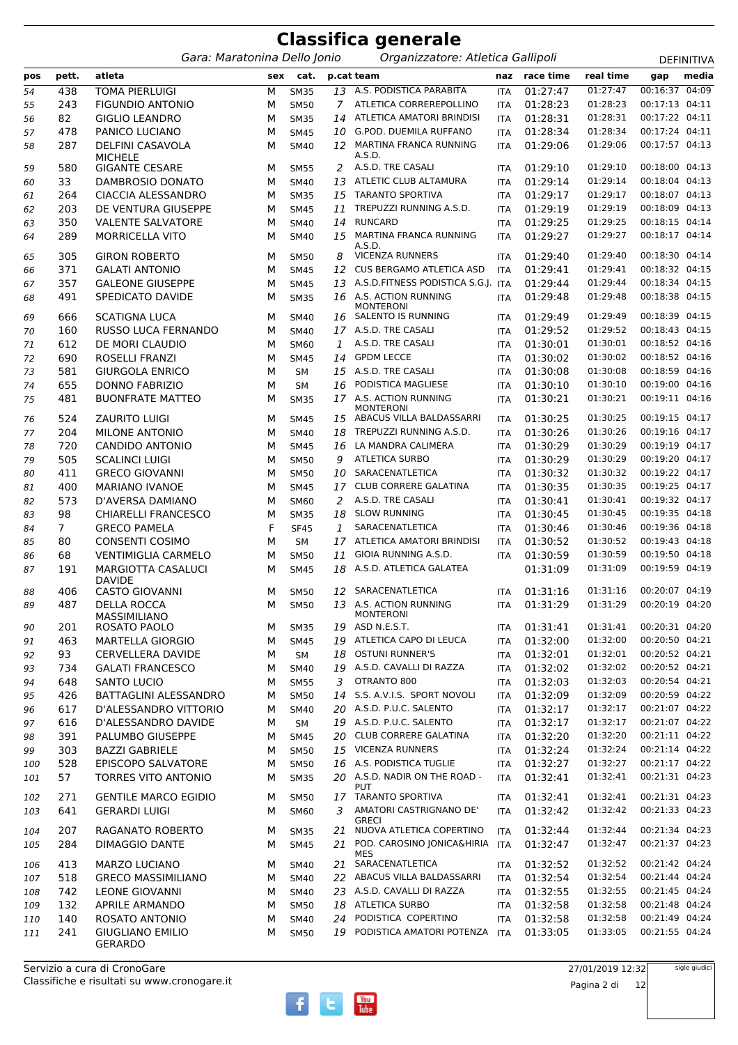|            |                |                                                             |        |                            |          | <b>Classifica generale</b>                          |                          |                      |                      |                                  |                   |
|------------|----------------|-------------------------------------------------------------|--------|----------------------------|----------|-----------------------------------------------------|--------------------------|----------------------|----------------------|----------------------------------|-------------------|
|            |                | Gara: Maratonina Dello Jonio                                |        |                            |          | Organizzatore: Atletica Gallipoli                   |                          |                      |                      |                                  | <b>DEFINITIVA</b> |
| pos        | pett.          | atleta                                                      | sex    | cat.                       |          | p.cat team                                          | naz                      | race time            | real time            | gap                              | media             |
| 54         | 438            | <b>TOMA PIERLUIGI</b>                                       | M      | <b>SM35</b>                | 13       | A.S. PODISTICA PARABITA                             | <b>ITA</b>               | 01:27:47             | 01:27:47             | 00:16:37                         | 04:09             |
| 55         | 243            | <b>FIGUNDIO ANTONIO</b>                                     | М      | <b>SM50</b>                | 7        | ATLETICA CORREREPOLLINO                             | <b>ITA</b>               | 01:28:23             | 01:28:23             | 00:17:13 04:11                   |                   |
| 56         | 82             | <b>GIGLIO LEANDRO</b>                                       | М      | <b>SM35</b>                | 14       | ATLETICA AMATORI BRINDISI                           | <b>ITA</b>               | 01:28:31             | 01:28:31             | 00:17:22 04:11                   |                   |
| 57         | 478            | PANICO LUCIANO                                              | М      | <b>SM45</b>                | 10       | <b>G.POD. DUEMILA RUFFANO</b>                       | <b>ITA</b>               | 01:28:34             | 01:28:34             | 00:17:24 04:11                   |                   |
| 58         | 287            | <b>DELFINI CASAVOLA</b>                                     | м      | <b>SM40</b>                |          | 12 MARTINA FRANCA RUNNING<br>A.S.D.                 | <b>ITA</b>               | 01:29:06             | 01:29:06             | 00:17:57 04:13                   |                   |
| 59         | 580            | <b>MICHELE</b><br><b>GIGANTE CESARE</b>                     | м      | <b>SM55</b>                | 2        | A.S.D. TRE CASALI                                   | <b>ITA</b>               | 01:29:10             | 01:29:10             | 00:18:00 04:13                   |                   |
| 60         | 33             | DAMBROSIO DONATO                                            | М      | <b>SM40</b>                | 13       | ATLETIC CLUB ALTAMURA                               | <b>ITA</b>               | 01:29:14             | 01:29:14             | 00:18:04 04:13                   |                   |
| 61         | 264            | CIACCIA ALESSANDRO                                          | М      | <b>SM35</b>                | 15       | <b>TARANTO SPORTIVA</b>                             | <b>ITA</b>               | 01:29:17             | 01:29:17             | 00:18:07 04:13                   |                   |
| 62         | 203            | DE VENTURA GIUSEPPE                                         | М      | <b>SM45</b>                | 11       | TREPUZZI RUNNING A.S.D.                             | <b>ITA</b>               | 01:29:19             | 01:29:19             | 00:18:09                         | 04:13             |
| 63         | 350            | <b>VALENTE SALVATORE</b>                                    | М      | <b>SM40</b>                | 14       | <b>RUNCARD</b>                                      | <b>ITA</b>               | 01:29:25             | 01:29:25             | 00:18:15 04:14                   |                   |
| 64         | 289            | MORRICELLA VITO                                             | М      | <b>SM40</b>                | 15       | MARTINA FRANCA RUNNING<br>A.S.D.                    | <b>ITA</b>               | 01:29:27             | 01:29:27             | 00:18:17 04:14                   |                   |
| 65         | 305            | <b>GIRON ROBERTO</b>                                        | м      | <b>SM50</b>                | 8        | <b>VICENZA RUNNERS</b>                              | <b>ITA</b>               | 01:29:40             | 01:29:40             | 00:18:30 04:14                   |                   |
| 66         | 371            | <b>GALATI ANTONIO</b>                                       | М      | <b>SM45</b>                | 12       | <b>CUS BERGAMO ATLETICA ASD</b>                     | <b>ITA</b>               | 01:29:41             | 01:29:41             | 00:18:32 04:15                   |                   |
| 67         | 357            | <b>GALEONE GIUSEPPE</b>                                     | М      | <b>SM45</b>                | 13       | A.S.D.FITNESS PODISTICA S.G.J.                      | <b>ITA</b>               | 01:29:44             | 01:29:44             | 00:18:34 04:15                   |                   |
| 68         | 491            | SPEDICATO DAVIDE                                            | М      | <b>SM35</b>                | 16       | A.S. ACTION RUNNING<br><b>MONTERONI</b>             | <b>ITA</b>               | 01:29:48             | 01:29:48             | 00:18:38 04:15                   |                   |
| 69         | 666            | <b>SCATIGNA LUCA</b>                                        | м      | <b>SM40</b>                | 16       | SALENTO IS RUNNING                                  | <b>ITA</b>               | 01:29:49             | 01:29:49             | 00:18:39 04:15                   |                   |
| 70         | 160            | RUSSO LUCA FERNANDO                                         | М      | <b>SM40</b>                |          | 17 A.S.D. TRE CASALI                                | <b>ITA</b>               | 01:29:52             | 01:29:52             | 00:18:43 04:15                   |                   |
| 71         | 612            | DE MORI CLAUDIO                                             | М      | SM60                       | 1        | A.S.D. TRE CASALI                                   | <b>ITA</b>               | 01:30:01             | 01:30:01             | 00:18:52 04:16                   |                   |
| 72         | 690            | ROSELLI FRANZI                                              | М      | <b>SM45</b>                | 14       | <b>GPDM LECCE</b>                                   | <b>ITA</b>               | 01:30:02             | 01:30:02             | 00:18:52 04:16                   |                   |
| 73         | 581            | <b>GIURGOLA ENRICO</b>                                      | М      | SM                         | 15       | A.S.D. TRE CASALI                                   | <b>ITA</b>               | 01:30:08             | 01:30:08             | 00:18:59 04:16                   |                   |
| 74         | 655            | <b>DONNO FABRIZIO</b>                                       | М      | <b>SM</b>                  | 16       | PODISTICA MAGLIESE                                  | <b>ITA</b>               | 01:30:10             | 01:30:10             | 00:19:00                         | 04:16             |
| 75         | 481            | <b>BUONFRATE MATTEO</b>                                     | м      | <b>SM35</b>                |          | 17 A.S. ACTION RUNNING<br>MONTERONI                 | <b>ITA</b>               | 01:30:21             | 01:30:21             | 00:19:11 04:16                   |                   |
| 76         | 524            | <b>ZAURITO LUIGI</b>                                        | м      | <b>SM45</b>                |          | 15 ABACUS VILLA BALDASSARRI                         | <b>ITA</b>               | 01:30:25             | 01:30:25             | 00:19:15 04:17                   |                   |
| 77         | 204            | <b>MILONE ANTONIO</b>                                       | м      | <b>SM40</b>                | 18       | TREPUZZI RUNNING A.S.D.                             | <b>ITA</b>               | 01:30:26             | 01:30:26             | 00:19:16 04:17                   |                   |
| 78         | 720            | CANDIDO ANTONIO                                             | М      | <b>SM45</b>                | 16       | LA MANDRA CALIMERA                                  | <b>ITA</b>               | 01:30:29             | 01:30:29             | 00:19:19 04:17                   |                   |
| 79         | 505            | <b>SCALINCI LUIGI</b>                                       | М      | <b>SM50</b>                | 9        | <b>ATLETICA SURBO</b>                               | <b>ITA</b>               | 01:30:29             | 01:30:29             | 00:19:20 04:17                   |                   |
| 80         | 411            | <b>GRECO GIOVANNI</b>                                       | м      | <b>SM50</b>                | 10       | SARACENATLETICA                                     | <b>ITA</b>               | 01:30:32             | 01:30:32             | 00:19:22 04:17                   |                   |
| 81         | 400            | <b>MARIANO IVANOE</b>                                       | М      | <b>SM45</b>                | 17       | <b>CLUB CORRERE GALATINA</b>                        | <b>ITA</b>               | 01:30:35             | 01:30:35             | 00:19:25 04:17                   |                   |
| 82         | 573            | D'AVERSA DAMIANO                                            | М      | <b>SM60</b>                | 2        | A.S.D. TRE CASALI                                   | <b>ITA</b>               | 01:30:41             | 01:30:41             | 00:19:32 04:17                   |                   |
| 83         | 98             | <b>CHIARELLI FRANCESCO</b>                                  | м      | <b>SM35</b>                | 18       | <b>SLOW RUNNING</b>                                 | <b>ITA</b>               | 01:30:45             | 01:30:45<br>01:30:46 | 00:19:35 04:18<br>00:19:36 04:18 |                   |
| 84         | $\overline{7}$ | <b>GRECO PAMELA</b><br><b>CONSENTI COSIMO</b>               | F      | <b>SF45</b>                | 1        | SARACENATLETICA<br>ATLETICA AMATORI BRINDISI        | <b>ITA</b>               | 01:30:46<br>01:30:52 | 01:30:52             | 00:19:43 04:18                   |                   |
| 85         | 80<br>68       | <b>VENTIMIGLIA CARMELO</b>                                  | М      | <b>SM</b>                  | 17       | <b>GIOIA RUNNING A.S.D.</b>                         | <b>ITA</b>               | 01:30:59             | 01:30:59             | 00:19:50 04:18                   |                   |
| 86<br>87   | 191            | <b>MARGIOTTA CASALUCI</b>                                   | м<br>м | <b>SM50</b><br><b>SM45</b> | 11<br>18 | A.S.D. ATLETICA GALATEA                             | <b>ITA</b>               | 01:31:09             | 01:31:09             | 00:19:59 04:19                   |                   |
|            |                | <b>DAVIDE</b>                                               |        |                            |          |                                                     |                          |                      |                      |                                  |                   |
| 88         | 406            | <b>CASTO GIOVANNI</b>                                       | М      | <b>SM50</b>                |          | 12 SARACENATLETICA                                  | ITA                      | 01:31:16             | 01:31:16             | 00:20:07 04:19                   |                   |
| 89         | 487            | <b>DELLA ROCCA</b>                                          | М      | <b>SM50</b>                |          | 13 A.S. ACTION RUNNING<br><b>MONTERONI</b>          | <b>ITA</b>               | 01:31:29             | 01:31:29             | 00:20:19 04:20                   |                   |
| 90         | 201            | MASSIMILIANO<br>ROSATO PAOLO                                | М      | <b>SM35</b>                |          | 19 ASD N.E.S.T.                                     | <b>ITA</b>               | 01:31:41             | 01:31:41             | 00:20:31 04:20                   |                   |
| 91         | 463            | <b>MARTELLA GIORGIO</b>                                     | М      | <b>SM45</b>                |          | 19 ATLETICA CAPO DI LEUCA                           | <b>ITA</b>               | 01:32:00             | 01:32:00             | 00:20:50 04:21                   |                   |
| 92         | 93             | CERVELLERA DAVIDE                                           | м      | SM                         | 18       | <b>OSTUNI RUNNER'S</b>                              | <b>ITA</b>               | 01:32:01             | 01:32:01             | 00:20:52 04:21                   |                   |
| 93         | 734            | <b>GALATI FRANCESCO</b>                                     | М      | <b>SM40</b>                |          | 19 A.S.D. CAVALLI DI RAZZA                          | <b>ITA</b>               | 01:32:02             | 01:32:02             | 00:20:52 04:21                   |                   |
| 94         | 648            | <b>SANTO LUCIO</b>                                          | м      | <b>SM55</b>                | 3        | OTRANTO 800                                         | <b>ITA</b>               | 01:32:03             | 01:32:03             | 00:20:54 04:21                   |                   |
| 95         | 426            | <b>BATTAGLINI ALESSANDRO</b>                                | М      | <b>SM50</b>                | 14       | S.S. A.V.I.S. SPORT NOVOLI                          | <b>ITA</b>               | 01:32:09             | 01:32:09             | 00:20:59 04:22                   |                   |
| 96         | 617            | D'ALESSANDRO VITTORIO                                       | М      | <b>SM40</b>                |          | 20 A.S.D. P.U.C. SALENTO                            | <b>ITA</b>               | 01:32:17             | 01:32:17             | 00:21:07 04:22                   |                   |
| 97         | 616            | D'ALESSANDRO DAVIDE                                         | м      | <b>SM</b>                  |          | 19 A.S.D. P.U.C. SALENTO                            | <b>ITA</b>               | 01:32:17             | 01:32:17             | 00:21:07 04:22                   |                   |
| 98         | 391            | PALUMBO GIUSEPPE                                            | М      | <b>SM45</b>                |          | 20 CLUB CORRERE GALATINA                            | <b>ITA</b>               | 01:32:20             | 01:32:20             | 00:21:11 04:22                   |                   |
| 99         | 303            | <b>BAZZI GABRIELE</b>                                       | М      | <b>SM50</b>                |          | 15 VICENZA RUNNERS                                  | <b>ITA</b>               | 01:32:24             | 01:32:24             | 00:21:14 04:22                   |                   |
| 100        | 528            | EPISCOPO SALVATORE                                          | М      | <b>SM50</b>                |          | 16 A.S. PODISTICA TUGLIE                            | <b>ITA</b>               | 01:32:27             | 01:32:27             | 00:21:17 04:22                   |                   |
| 101        | 57             | TORRES VITO ANTONIO                                         | М      | <b>SM35</b>                |          | 20 A.S.D. NADIR ON THE ROAD -<br>PUT                | ITA                      | 01:32:41             | 01:32:41             | 00:21:31 04:23                   |                   |
| 102        | 271            | <b>GENTILE MARCO EGIDIO</b>                                 | м      | <b>SM50</b>                |          | 17 TARANTO SPORTIVA                                 | <b>ITA</b>               | 01:32:41             | 01:32:41             | 00:21:31 04:23                   |                   |
| 103        | 641            | <b>GERARDI LUIGI</b>                                        | М      | <b>SM60</b>                | 3        | AMATORI CASTRIGNANO DE'<br>GRECI                    | <b>ITA</b>               | 01:32:42             | 01:32:42             | 00:21:33 04:23                   |                   |
| 104        | 207            | RAGANATO ROBERTO                                            | м      | <b>SM35</b>                |          | 21 NUOVA ATLETICA COPERTINO                         | <b>ITA</b>               | 01:32:44             | 01:32:44             | 00:21:34 04:23                   |                   |
| 105        | 284            | <b>DIMAGGIO DANTE</b>                                       | м      | <b>SM45</b>                | 21       | POD. CAROSINO JONICA&HIRIA<br>MES                   | ITA                      | 01:32:47             | 01:32:47             | 00:21:37 04:23                   |                   |
| 106        | 413            | <b>MARZO LUCIANO</b>                                        | м      | <b>SM40</b>                |          | 21 SARACENATLETICA                                  | ITA                      | 01:32:52             | 01:32:52             | 00:21:42 04:24                   |                   |
| 107        | 518            | <b>GRECO MASSIMILIANO</b>                                   | М      | SM40                       |          | 22 ABACUS VILLA BALDASSARRI                         | <b>ITA</b>               | 01:32:54             | 01:32:54             | 00:21:44 04:24                   |                   |
| 108        | 742            | <b>LEONE GIOVANNI</b>                                       | М      | <b>SM40</b>                |          | 23 A.S.D. CAVALLI DI RAZZA                          | <b>ITA</b>               | 01:32:55             | 01:32:55             | 00:21:45 04:24                   |                   |
| 109        | 132            | APRILE ARMANDO                                              | М      | <b>SM50</b>                | 18       | <b>ATLETICA SURBO</b>                               | <b>ITA</b>               | 01:32:58             | 01:32:58             | 00:21:48 04:24                   |                   |
| 110<br>111 | 140<br>241     | ROSATO ANTONIO<br><b>GIUGLIANO EMILIO</b><br><b>GERARDO</b> | М<br>М | <b>SM40</b><br><b>SM50</b> | 24       | PODISTICA COPERTINO<br>19 PODISTICA AMATORI POTENZA | <b>ITA</b><br><b>ITA</b> | 01:32:58<br>01:33:05 | 01:32:58<br>01:33:05 | 00:21:49 04:24<br>00:21:55 04:24 |                   |

27/01/2019 12:32

Pagina 2 di 12

sigle giudici

 $f$   $t$   $\frac{V_{\text{out}}}{I_{\text{ube}}}$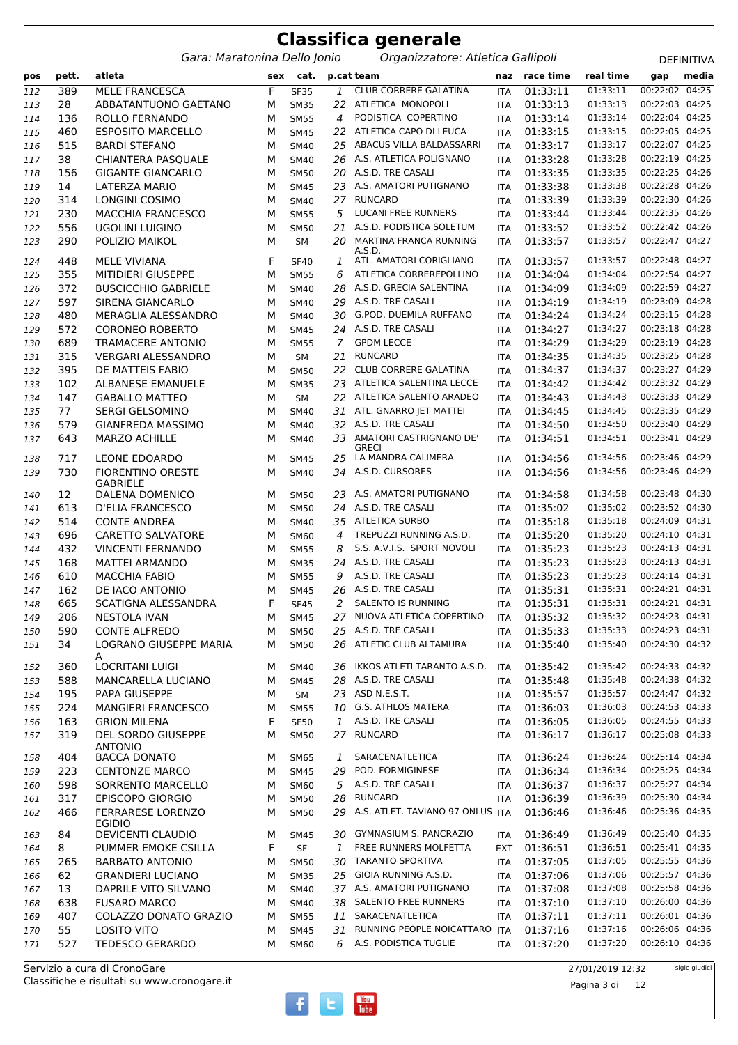|            | <b>Classifica generale</b> |                                                  |        |                            |              |                                                        |                          |                      |                      |                                  |                   |  |  |
|------------|----------------------------|--------------------------------------------------|--------|----------------------------|--------------|--------------------------------------------------------|--------------------------|----------------------|----------------------|----------------------------------|-------------------|--|--|
|            |                            | Gara: Maratonina Dello Jonio                     |        |                            |              | Organizzatore: Atletica Gallipoli                      |                          |                      |                      |                                  | <b>DEFINITIVA</b> |  |  |
| pos        | pett.                      | atleta                                           | sex    | cat.                       |              | p.cat team                                             | naz                      | race time            | real time            | gap                              | media             |  |  |
| 112        | 389                        | <b>MELE FRANCESCA</b>                            | F      | <b>SF35</b>                | $\mathbf{1}$ | CLUB CORRERE GALATINA                                  | <b>ITA</b>               | 01:33:11             | 01:33:11             | 00:22:02 04:25                   |                   |  |  |
| 113        | 28                         | ABBATANTUONO GAETANO                             | М      | <b>SM35</b>                | 22           | ATLETICA MONOPOLI                                      | <b>ITA</b>               | 01:33:13             | 01:33:13             | 00:22:03 04:25                   |                   |  |  |
| 114        | 136                        | ROLLO FERNANDO                                   | М      | <b>SM55</b>                | 4            | PODISTICA COPERTINO                                    | <b>ITA</b>               | 01:33:14             | 01:33:14             | 00:22:04 04:25                   |                   |  |  |
| 115        | 460                        | <b>ESPOSITO MARCELLO</b>                         | M      | <b>SM45</b>                | 22           | ATLETICA CAPO DI LEUCA                                 | ITA                      | 01:33:15             | 01:33:15             | 00:22:05 04:25                   |                   |  |  |
| 116        | 515                        | <b>BARDI STEFANO</b>                             | М      | <b>SM40</b>                | 25           | ABACUS VILLA BALDASSARRI                               | ITA                      | 01:33:17             | 01:33:17             | 00:22:07 04:25                   |                   |  |  |
| 117        | 38                         | CHIANTERA PASQUALE                               | М      | <b>SM40</b>                | 26           | A.S. ATLETICA POLIGNANO                                | <b>ITA</b>               | 01:33:28             | 01:33:28             | 00:22:19 04:25                   |                   |  |  |
| 118        | 156                        | <b>GIGANTE GIANCARLO</b>                         | M      | <b>SM50</b>                |              | 20 A.S.D. TRE CASALI                                   | <b>ITA</b>               | 01:33:35             | 01:33:35             | 00:22:25 04:26                   |                   |  |  |
| 119        | 14                         | LATERZA MARIO                                    | M      | <b>SM45</b>                |              | 23 A.S. AMATORI PUTIGNANO                              | ITA                      | 01:33:38             | 01:33:38             | 00:22:28 04:26                   |                   |  |  |
| 120        | 314                        | LONGINI COSIMO                                   | M      | SM40                       |              | 27 RUNCARD                                             | <b>ITA</b>               | 01:33:39             | 01:33:39             | 00:22:30 04:26                   |                   |  |  |
| 121        | 230                        | <b>MACCHIA FRANCESCO</b>                         | M      | <b>SM55</b>                | 5            | LUCANI FREE RUNNERS                                    | <b>ITA</b>               | 01:33:44             | 01:33:44             | 00:22:35 04:26                   |                   |  |  |
| 122        | 556                        | <b>UGOLINI LUIGINO</b>                           | М      | <b>SM50</b>                | 21           | A.S.D. PODISTICA SOLETUM                               | ITA                      | 01:33:52             | 01:33:52             | 00:22:42 04:26                   |                   |  |  |
| 123        | 290                        | POLIZIO MAIKOL                                   | М      | <b>SM</b>                  | 20           | MARTINA FRANCA RUNNING<br>A.S.D.                       | ITA                      | 01:33:57             | 01:33:57             | 00:22:47 04:27                   |                   |  |  |
| 124        | 448                        | <b>MELE VIVIANA</b>                              | F      | <b>SF40</b>                | 1            | ATL. AMATORI CORIGLIANO                                | <b>ITA</b>               | 01:33:57             | 01:33:57             | 00:22:48 04:27                   |                   |  |  |
| 125        | 355                        | <b>MITIDIERI GIUSEPPE</b>                        | M      | <b>SM55</b>                | 6            | ATLETICA CORREREPOLLINO                                | <b>ITA</b>               | 01:34:04             | 01:34:04             | 00:22:54 04:27                   |                   |  |  |
| 126        | 372                        | <b>BUSCICCHIO GABRIELE</b>                       | М      | <b>SM40</b>                | 28           | A.S.D. GRECIA SALENTINA                                | ITA                      | 01:34:09             | 01:34:09             | 00:22:59 04:27                   |                   |  |  |
| 127        | 597                        | <b>SIRENA GIANCARLO</b>                          | М      | <b>SM40</b>                | 29           | A.S.D. TRE CASALI                                      | <b>ITA</b>               | 01:34:19             | 01:34:19             | 00:23:09 04:28                   |                   |  |  |
| 128        | 480                        | MERAGLIA ALESSANDRO                              | М      | <b>SM40</b>                | 30           | <b>G.POD. DUEMILA RUFFANO</b>                          | <b>ITA</b>               | 01:34:24             | 01:34:24             | 00:23:15 04:28                   |                   |  |  |
| 129        | 572                        | <b>CORONEO ROBERTO</b>                           | M      | <b>SM45</b>                |              | 24 A.S.D. TRE CASALI                                   | <b>ITA</b>               | 01:34:27             | 01:34:27             | 00:23:18 04:28                   |                   |  |  |
| 130        | 689                        | <b>TRAMACERE ANTONIO</b>                         | M      | <b>SM55</b>                | 7            | <b>GPDM LECCE</b>                                      | <b>ITA</b>               | 01:34:29             | 01:34:29             | 00:23:19 04:28                   |                   |  |  |
| 131        | 315                        | <b>VERGARI ALESSANDRO</b>                        | М      | <b>SM</b>                  | 21           | <b>RUNCARD</b>                                         | <b>ITA</b>               | 01:34:35             | 01:34:35             | 00:23:25 04:28                   |                   |  |  |
| 132        | 395                        | DE MATTEIS FABIO                                 | M      | <b>SM50</b>                | 22           | <b>CLUB CORRERE GALATINA</b>                           | <b>ITA</b>               | 01:34:37             | 01:34:37             | 00:23:27 04:29                   |                   |  |  |
| 133        | 102                        | <b>ALBANESE EMANUELE</b>                         | М      | <b>SM35</b>                | 23           | ATLETICA SALENTINA LECCE                               | <b>ITA</b>               | 01:34:42             | 01:34:42             | 00:23:32 04:29                   |                   |  |  |
| 134        | 147                        | <b>GABALLO MATTEO</b>                            | М      | <b>SM</b>                  | 22           | ATLETICA SALENTO ARADEO                                | <b>ITA</b>               | 01:34:43             | 01:34:43             | 00:23:33 04:29                   |                   |  |  |
| 135        | 77                         | <b>SERGI GELSOMINO</b>                           | М      | <b>SM40</b>                |              | 31 ATL. GNARRO JET MATTEI                              | <b>ITA</b>               | 01:34:45             | 01:34:45             | 00:23:35 04:29                   |                   |  |  |
| 136<br>137 | 579<br>643                 | <b>GIANFREDA MASSIMO</b><br><b>MARZO ACHILLE</b> | M<br>М | <b>SM40</b><br><b>SM40</b> | 32<br>33     | A.S.D. TRE CASALI<br>AMATORI CASTRIGNANO DE'           | <b>ITA</b><br><b>ITA</b> | 01:34:50<br>01:34:51 | 01:34:50<br>01:34:51 | 00:23:40 04:29<br>00:23:41 04:29 |                   |  |  |
|            |                            |                                                  |        |                            |              | <b>GRECI</b>                                           |                          |                      |                      |                                  |                   |  |  |
| 138<br>139 | 717<br>730                 | LEONE EDOARDO<br><b>FIORENTINO ORESTE</b>        | м<br>М | <b>SM45</b><br><b>SM40</b> | 25           | LA MANDRA CALIMERA<br>34 A.S.D. CURSORES               | <b>ITA</b><br><b>ITA</b> | 01:34:56<br>01:34:56 | 01:34:56<br>01:34:56 | 00:23:46 04:29<br>00:23:46 04:29 |                   |  |  |
|            |                            | <b>GABRIELE</b>                                  |        |                            |              | A.S. AMATORI PUTIGNANO                                 |                          |                      |                      |                                  |                   |  |  |
| 140        | 12                         | DALENA DOMENICO                                  | М      | <b>SM50</b>                | 23           |                                                        | <b>ITA</b>               | 01:34:58             | 01:34:58             | 00:23:48 04:30<br>00:23:52 04:30 |                   |  |  |
| 141        | 613                        | D'ELIA FRANCESCO                                 | M      | <b>SM50</b>                |              | 24 A.S.D. TRE CASALI                                   | <b>ITA</b>               | 01:35:02             | 01:35:02             | 00:24:09 04:31                   |                   |  |  |
| 142        | 514                        | <b>CONTE ANDREA</b>                              | M      | <b>SM40</b>                | 35           | <b>ATLETICA SURBO</b>                                  | <b>ITA</b>               | 01:35:18             | 01:35:18<br>01:35:20 | 00:24:10 04:31                   |                   |  |  |
| 143        | 696                        | <b>CARETTO SALVATORE</b>                         | М      | SM60                       | 4            | TREPUZZI RUNNING A.S.D.                                | <b>ITA</b>               | 01:35:20<br>01:35:23 | 01:35:23             | 00:24:13 04:31                   |                   |  |  |
| 144        | 432                        | <b>VINCENTI FERNANDO</b>                         | м      | <b>SM55</b>                | 8            | S.S. A.V.I.S. SPORT NOVOLI                             | <b>ITA</b>               |                      | 01:35:23             | 00:24:13 04:31                   |                   |  |  |
| 145        | 168                        | <b>MATTEI ARMANDO</b>                            | M      | <b>SM35</b>                | 24           | A.S.D. TRE CASALI<br>A.S.D. TRE CASALI                 | <b>ITA</b>               | 01:35:23             | 01:35:23             | 00:24:14 04:31                   |                   |  |  |
| 146        | 610                        | <b>MACCHIA FABIO</b><br>DE IACO ANTONIO          | м<br>M | <b>SM55</b>                | 9            | 26 A.S.D. TRE CASALI                                   | <b>ITA</b>               | 01:35:23             | 01:35:31             | 00:24:21 04:31                   |                   |  |  |
| 147        | 162                        |                                                  | F      | <b>SM45</b>                |              | SALENTO IS RUNNING                                     | ITA                      | 01:35:31<br>01:35:31 | 01:35:31             | 00:24:21 04:31                   |                   |  |  |
| 148        | 665<br>206                 | SCATIGNA ALESSANDRA                              |        | <b>SF45</b>                | 2            | 27 NUOVA ATLETICA COPERTINO                            | ITA                      |                      | 01:35:32             | 00:24:23 04:31                   |                   |  |  |
| 149        | 590                        | <b>NESTOLA IVAN</b><br><b>CONTE ALFREDO</b>      | М      | <b>SM45</b><br><b>SM50</b> |              | 25 A.S.D. TRE CASALI                                   | <b>ITA</b>               | 01:35:32<br>01:35:33 | 01:35:33             | 00:24:23 04:31                   |                   |  |  |
| 150        | 34                         | LOGRANO GIUSEPPE MARIA                           | М<br>м | <b>SM50</b>                |              | 26 ATLETIC CLUB ALTAMURA                               | ITA                      | 01:35:40             | 01:35:40             | 00:24:30 04:32                   |                   |  |  |
| 151        |                            | A                                                |        |                            |              | 36 IKKOS ATLETI TARANTO A.S.D.                         | ITA                      |                      | 01:35:42             | 00:24:33 04:32                   |                   |  |  |
| 152        | 360                        | <b>LOCRITANI LUIGI</b>                           | М      | <b>SM40</b>                |              | A.S.D. TRE CASALI                                      | <b>ITA</b>               | 01:35:42<br>01:35:48 | 01:35:48             | 00:24:38 04:32                   |                   |  |  |
| 153        | 588                        | MANCARELLA LUCIANO<br>PAPA GIUSEPPE              | М      | <b>SM45</b>                | 28           | 23 ASD N.E.S.T.                                        | ITA                      |                      | 01:35:57             | 00:24:47 04:32                   |                   |  |  |
| 154        | 195                        |                                                  | М      | SM                         |              | 10 G.S. ATHLOS MATERA                                  | ITA                      | 01:35:57             | 01:36:03             | 00:24:53 04:33                   |                   |  |  |
| 155        | 224                        | <b>MANGIERI FRANCESCO</b>                        | М<br>F | <b>SM55</b>                | 1            | A.S.D. TRE CASALI                                      | ITA                      | 01:36:03             | 01:36:05             | 00:24:55 04:33                   |                   |  |  |
| 156<br>157 | 163<br>319                 | <b>GRION MILENA</b><br>DEL SORDO GIUSEPPE        | М      | <b>SF50</b><br><b>SM50</b> |              | 27 RUNCARD                                             | <b>ITA</b><br>ITA        | 01:36:05<br>01:36:17 | 01:36:17             | 00:25:08 04:33                   |                   |  |  |
|            | 404                        | <b>ANTONIO</b><br><b>BACCA DONATO</b>            |        |                            |              | SARACENATLETICA                                        |                          | 01:36:24             | 01:36:24             | 00:25:14 04:34                   |                   |  |  |
| 158        |                            | <b>CENTONZE MARCO</b>                            | М      | <b>SM65</b>                | 1            | POD. FORMIGINESE                                       | <b>ITA</b>               | 01:36:34             | 01:36:34             | 00:25:25 04:34                   |                   |  |  |
| 159        | 223                        |                                                  | М      | <b>SM45</b>                | 29           | 5 A.S.D. TRE CASALI                                    | ITA                      | 01:36:37             | 01:36:37             | 00:25:27 04:34                   |                   |  |  |
| 160        | 598                        | SORRENTO MARCELLO                                | М      | SM60                       |              | RUNCARD                                                | ITA                      |                      | 01:36:39             | 00:25:30 04:34                   |                   |  |  |
| 161        | 317                        | <b>EPISCOPO GIORGIO</b>                          | М      | <b>SM50</b>                | 28           | A.S. ATLET. TAVIANO 97 ONLUS ITA                       | ITA                      | 01:36:39             | 01:36:46             | 00:25:36 04:35                   |                   |  |  |
| 162        | 466                        | <b>FERRARESE LORENZO</b><br><b>EGIDIO</b>        | М      | <b>SM50</b>                | 29           |                                                        |                          | 01:36:46             |                      |                                  |                   |  |  |
| 163        | 84                         | DEVICENTI CLAUDIO                                | М      | <b>SM45</b>                |              | 30 GYMNASIUM S. PANCRAZIO                              | <b>ITA</b>               | 01:36:49             | 01:36:49             | 00:25:40 04:35                   |                   |  |  |
| 164        | 8                          | PUMMER EMOKE CSILLA                              | F      | SF                         | 1            | FREE RUNNERS MOLFETTA                                  | <b>EXT</b>               | 01:36:51             | 01:36:51             | 00:25:41 04:35                   |                   |  |  |
| 165        | 265                        | <b>BARBATO ANTONIO</b>                           | М      | <b>SM50</b>                |              | 30 TARANTO SPORTIVA                                    | ITA                      | 01:37:05             | 01:37:05             | 00:25:55 04:36                   |                   |  |  |
| 166        | 62                         | <b>GRANDIERI LUCIANO</b>                         | М      | <b>SM35</b>                | 25           | GIOIA RUNNING A.S.D.                                   | ITA                      | 01:37:06             | 01:37:06             | 00:25:57 04:36                   |                   |  |  |
| 167        | 13                         | DAPRILE VITO SILVANO                             | М      | SM40                       |              | 37 A.S. AMATORI PUTIGNANO                              | ITA                      | 01:37:08             | 01:37:08             | 00:25:58 04:36                   |                   |  |  |
| 168        | 638                        | <b>FUSARO MARCO</b>                              | М      | SM40                       |              | 38 SALENTO FREE RUNNERS                                | ITA                      | 01:37:10             | 01:37:10             | 00:26:00 04:36                   |                   |  |  |
| 169        | 407                        | COLAZZO DONATO GRAZIO                            | М      | <b>SM55</b>                | 11           | SARACENATLETICA                                        | ITA                      | 01:37:11             | 01:37:11             | 00:26:01 04:36                   |                   |  |  |
| 170<br>171 | 55<br>527                  | LOSITO VITO<br><b>TEDESCO GERARDO</b>            | М<br>М | <b>SM45</b><br>SM60        | 31<br>6      | RUNNING PEOPLE NOICATTARO ITA<br>A.S. PODISTICA TUGLIE | ITA                      | 01:37:16<br>01:37:20 | 01:37:16<br>01:37:20 | 00:26:06 04:36<br>00:26:10 04:36 |                   |  |  |
|            |                            |                                                  |        |                            |              |                                                        |                          |                      |                      |                                  |                   |  |  |

27/01/2019 12:32

Pagina 3 di 12

sigle giudici

 $\mathbf{E}$  $\begin{bmatrix}\n\text{You} \\
\text{Iube}\n\end{bmatrix}$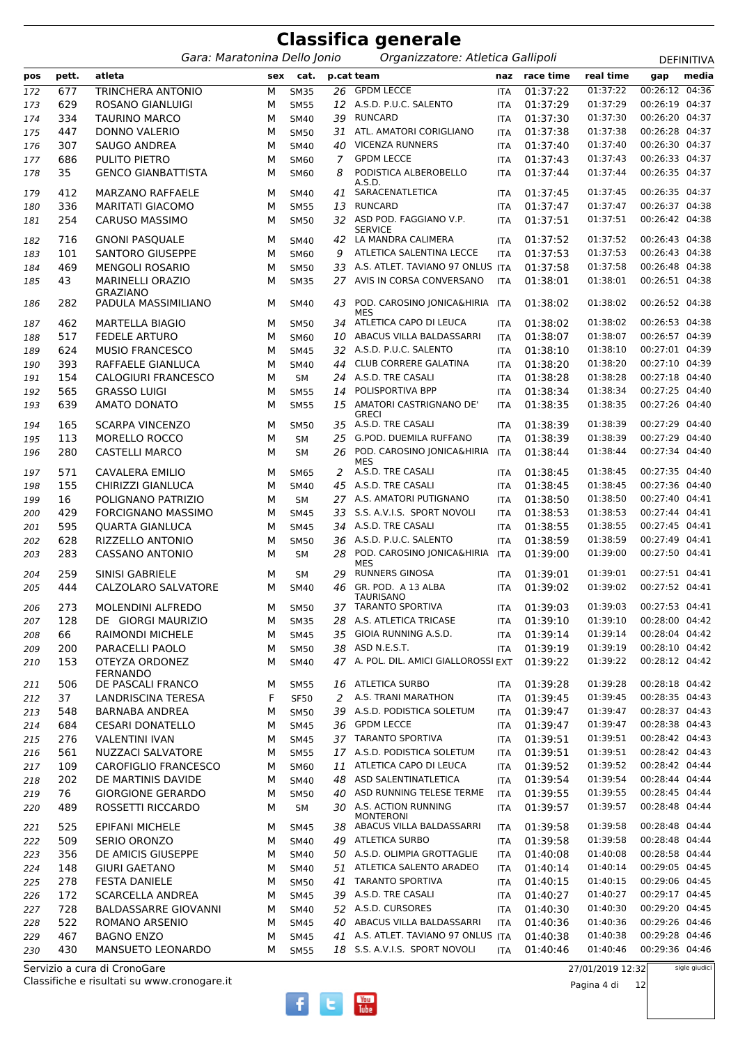|            |            |                                            |        |                     |    | <b>Classifica generale</b>                            |                          |                      |                      |                                  |                   |
|------------|------------|--------------------------------------------|--------|---------------------|----|-------------------------------------------------------|--------------------------|----------------------|----------------------|----------------------------------|-------------------|
|            |            | Gara: Maratonina Dello Jonio               |        |                     |    | Organizzatore: Atletica Gallipoli                     |                          |                      |                      |                                  | <b>DEFINITIVA</b> |
| pos        | pett.      | atleta                                     | sex    | cat.                |    | p.cat team                                            | naz                      | race time            | real time            | gap                              | media             |
| 172        | 677        | TRINCHERA ANTONIO                          | М      | <b>SM35</b>         | 26 | <b>GPDM LECCE</b>                                     | <b>ITA</b>               | 01:37:22             | 01:37:22             | 00:26:12 04:36                   |                   |
| 173        | 629        | ROSANO GIANLUIGI                           | M      | <b>SM55</b>         |    | 12 A.S.D. P.U.C. SALENTO                              | ITA                      | 01:37:29             | 01:37:29             | 00:26:19 04:37                   |                   |
| 174        | 334        | <b>TAURINO MARCO</b>                       | M      | SM40                | 39 | <b>RUNCARD</b>                                        | ITA                      | 01:37:30             | 01:37:30             | 00:26:20 04:37                   |                   |
| 175        | 447        | DONNO VALERIO                              | М      | <b>SM50</b>         | 31 | ATL. AMATORI CORIGLIANO                               | ITA                      | 01:37:38             | 01:37:38             | 00:26:28 04:37                   |                   |
| 176        | 307        | SAUGO ANDREA                               | М      | <b>SM40</b>         | 40 | <b>VICENZA RUNNERS</b>                                | ITA                      | 01:37:40             | 01:37:40             | 00:26:30 04:37                   |                   |
| 177        | 686        | <b>PULITO PIETRO</b>                       | M      | <b>SM60</b>         | 7  | <b>GPDM LECCE</b>                                     | ITA                      | 01:37:43             | 01:37:43             | 00:26:33 04:37                   |                   |
| 178        | 35         | <b>GENCO GIANBATTISTA</b>                  | M      | <b>SM60</b>         | 8  | PODISTICA ALBEROBELLO<br>A.S.D.                       | ITA                      | 01:37:44             | 01:37:44             | 00:26:35 04:37                   |                   |
| 179        | 412        | <b>MARZANO RAFFAELE</b>                    | M      | <b>SM40</b>         | 41 | SARACENATLETICA                                       | ITA                      | 01:37:45             | 01:37:45             | 00:26:35 04:37                   |                   |
| 180        | 336        | <b>MARITATI GIACOMO</b>                    | M      | <b>SM55</b>         | 13 | <b>RUNCARD</b>                                        | <b>ITA</b>               | 01:37:47             | 01:37:47             | 00:26:37 04:38                   |                   |
| 181        | 254        | <b>CARUSO MASSIMO</b>                      | М      | <b>SM50</b>         |    | 32 ASD POD. FAGGIANO V.P.<br><b>SERVICE</b>           | ITA                      | 01:37:51             | 01:37:51             | 00:26:42 04:38                   |                   |
| 182        | 716        | <b>GNONI PASQUALE</b>                      | M      | <b>SM40</b>         |    | 42 LA MANDRA CALIMERA                                 | <b>ITA</b>               | 01:37:52             | 01:37:52             | 00:26:43 04:38                   |                   |
| 183        | 101        | SANTORO GIUSEPPE                           | M      | SM60                | 9  | ATLETICA SALENTINA LECCE                              | <b>ITA</b>               | 01:37:53             | 01:37:53             | 00:26:43 04:38                   |                   |
| 184        | 469        | <b>MENGOLI ROSARIO</b>                     | M      | <b>SM50</b>         | 33 | A.S. ATLET. TAVIANO 97 ONLUS ITA                      |                          | 01:37:58             | 01:37:58             | 00:26:48 04:38                   |                   |
| 185        | 43         | <b>MARINELLI ORAZIO</b><br><b>GRAZIANO</b> | M      | <b>SM35</b>         | 27 | AVIS IN CORSA CONVERSANO                              | <b>ITA</b>               | 01:38:01             | 01:38:01             | 00:26:51 04:38                   |                   |
| 186        | 282        | PADULA MASSIMILIANO                        | M      | <b>SM40</b>         | 43 | POD. CAROSINO JONICA&HIRIA<br>MES                     | ITA                      | 01:38:02             | 01:38:02             | 00:26:52 04:38                   |                   |
| 187        | 462        | <b>MARTELLA BIAGIO</b>                     | м      | <b>SM50</b>         | 34 | ATLETICA CAPO DI LEUCA                                | ITA                      | 01:38:02             | 01:38:02             | 00:26:53 04:38                   |                   |
| 188        | 517        | <b>FEDELE ARTURO</b>                       | M      | SM60                | 10 | ABACUS VILLA BALDASSARRI                              | <b>ITA</b>               | 01:38:07             | 01:38:07             | 00:26:57 04:39                   |                   |
| 189        | 624        | <b>MUSIO FRANCESCO</b>                     | M      | <b>SM45</b>         |    | 32 A.S.D. P.U.C. SALENTO                              | <b>ITA</b>               | 01:38:10             | 01:38:10             | 00:27:01 04:39                   |                   |
| 190        | 393        | RAFFAELE GIANLUCA                          | M      | <b>SM40</b>         | 44 | CLUB CORRERE GALATINA                                 | ITA                      | 01:38:20             | 01:38:20             | 00:27:10 04:39                   |                   |
| 191        | 154        | CALOGIURI FRANCESCO                        | M      | <b>SM</b>           | 24 | A.S.D. TRE CASALI                                     | ITA                      | 01:38:28             | 01:38:28             | 00:27:18 04:40                   |                   |
| 192        | 565        | <b>GRASSO LUIGI</b>                        | М      | <b>SM55</b>         | 14 | POLISPORTIVA BPP                                      | ITA                      | 01:38:34             | 01:38:34             | 00:27:25 04:40                   |                   |
| 193        | 639        | <b>AMATO DONATO</b>                        | M      | <b>SM55</b>         | 15 | AMATORI CASTRIGNANO DE'<br><b>GRECI</b>               | ITA                      | 01:38:35             | 01:38:35             | 00:27:26 04:40                   |                   |
| 194        | 165        | <b>SCARPA VINCENZO</b>                     | M      | <b>SM50</b>         |    | 35 A.S.D. TRE CASALI                                  | ITA                      | 01:38:39             | 01:38:39             | 00:27:29 04:40                   |                   |
| 195        | 113        | <b>MORELLO ROCCO</b>                       | M      | <b>SM</b>           | 25 | G.POD. DUEMILA RUFFANO                                | ITA                      | 01:38:39             | 01:38:39             | 00:27:29 04:40                   |                   |
| 196        | 280        | <b>CASTELLI MARCO</b>                      | M      | <b>SM</b>           | 26 | POD. CAROSINO JONICA&HIRIA<br>MES                     | ITA                      | 01:38:44             | 01:38:44             | 00:27:34 04:40                   |                   |
| 197        | 571        | CAVALERA EMILIO                            | М      | <b>SM65</b>         | 2  | A.S.D. TRE CASALI                                     | ITA                      | 01:38:45             | 01:38:45             | 00:27:35 04:40                   |                   |
| 198        | 155        | CHIRIZZI GIANLUCA                          | M      | <b>SM40</b>         |    | 45 A.S.D. TRE CASALI                                  | <b>ITA</b>               | 01:38:45             | 01:38:45             | 00:27:36 04:40                   |                   |
| 199        | 16         | POLIGNANO PATRIZIO                         | M      | <b>SM</b>           |    | 27 A.S. AMATORI PUTIGNANO                             | <b>ITA</b>               | 01:38:50             | 01:38:50             | 00:27:40 04:41                   |                   |
| 200        | 429        | FORCIGNANO MASSIMO                         | М      | <b>SM45</b>         | 33 | S.S. A.V.I.S. SPORT NOVOLI                            | <b>ITA</b>               | 01:38:53             | 01:38:53             | 00:27:44 04:41                   |                   |
| 201        | 595        | <b>QUARTA GIANLUCA</b>                     | M      | <b>SM45</b>         | 34 | A.S.D. TRE CASALI                                     | <b>ITA</b>               | 01:38:55             | 01:38:55             | 00:27:45 04:41                   |                   |
| 202        | 628        | RIZZELLO ANTONIO                           | М      | <b>SM50</b>         | 36 | A.S.D. P.U.C. SALENTO                                 | <b>ITA</b>               | 01:38:59             | 01:38:59             | 00:27:49 04:41                   |                   |
| 203        | 283        | <b>CASSANO ANTONIO</b>                     | M      | <b>SM</b>           | 28 | POD. CAROSINO JONICA&HIRIA<br>MES                     | ITA                      | 01:39:00             | 01:39:00             | 00:27:50 04:41                   |                   |
| 204        | 259        | <b>SINISI GABRIELE</b>                     | М      | SΜ                  |    | 29 RUNNERS GINOSA                                     | <b>ITA</b>               | 01:39:01             | 01:39:01             | 00:27:51 04:41                   |                   |
| 205        | 444        | CALZOLARO SALVATORE                        | М      | SM40                | 46 | GR. POD. A 13 ALBA<br><b>TAURISANO</b>                | ITA                      | 01:39:02             | 01:39:02             | 00:27:52 04:41                   |                   |
| 206        | 273        | <b>MOLENDINI ALFREDO</b>                   | М      | <b>SM50</b>         | 37 | <b>TARANTO SPORTIVA</b>                               | <b>ITA</b>               | 01:39:03             | 01:39:03             | 00:27:53 04:41                   |                   |
| 207        | 128        | DE GIORGI MAURIZIO                         | М      | <b>SM35</b>         | 28 | A.S. ATLETICA TRICASE                                 | <b>ITA</b>               | 01:39:10             | 01:39:10             | 00:28:00 04:42                   |                   |
| 208        | 66         | <b>RAIMONDI MICHELE</b>                    | М      | <b>SM45</b>         |    | 35 GIOIA RUNNING A.S.D.                               | <b>ITA</b>               | 01:39:14             | 01:39:14             | 00:28:04 04:42                   |                   |
| 209        | 200        | PARACELLI PAOLO                            | М      | <b>SM50</b>         |    | 38 ASD N.E.S.T.                                       | ITA                      | 01:39:19             | 01:39:19             | 00:28:10 04:42                   |                   |
| 210        | 153        | OTEYZA ORDONEZ<br><b>FERNANDO</b>          | М      | SM40                |    | 47 A. POL. DIL. AMICI GIALLOROSSI EXT                 |                          | 01:39:22             | 01:39:22             | 00:28:12 04:42                   |                   |
| 211        | 506        | DE PASCALI FRANCO                          | М      | <b>SM55</b>         |    | 16 ATLETICA SURBO                                     | ITA                      | 01:39:28             | 01:39:28             | 00:28:18 04:42                   |                   |
| 212        | 37         | <b>LANDRISCINA TERESA</b>                  | F      | <b>SF50</b>         | 2  | A.S. TRANI MARATHON                                   | <b>ITA</b>               | 01:39:45             | 01:39:45             | 00:28:35 04:43                   |                   |
| 213        | 548        | BARNABA ANDREA                             | М      | <b>SM50</b>         | 39 | A.S.D. PODISTICA SOLETUM                              | <b>ITA</b>               | 01:39:47             | 01:39:47             | 00:28:37 04:43                   |                   |
| 214        | 684        | <b>CESARI DONATELLO</b>                    | М      | <b>SM45</b>         |    | 36 GPDM LECCE                                         | ITA                      | 01:39:47             | 01:39:47             | 00:28:38 04:43                   |                   |
| 215        | 276        | <b>VALENTINI IVAN</b>                      | М      | <b>SM45</b>         |    | 37 TARANTO SPORTIVA                                   | ITA                      | 01:39:51             | 01:39:51             | 00:28:42 04:43                   |                   |
| 216        | 561        | NUZZACI SALVATORE                          | М      | <b>SM55</b>         |    | 17 A.S.D. PODISTICA SOLETUM                           | <b>ITA</b>               | 01:39:51             | 01:39:51             | 00:28:42 04:43                   |                   |
| 217        | 109        | <b>CAROFIGLIO FRANCESCO</b>                | М      | SM60                | 11 | ATLETICA CAPO DI LEUCA                                | ITA                      | 01:39:52             | 01:39:52             | 00:28:42 04:44                   |                   |
| 218        | 202        | DE MARTINIS DAVIDE                         | М      | SM40                | 48 | ASD SALENTINATLETICA                                  | <b>ITA</b>               | 01:39:54             | 01:39:54             | 00:28:44 04:44                   |                   |
| 219        | 76         | <b>GIORGIONE GERARDO</b>                   | М      | <b>SM50</b>         | 40 | ASD RUNNING TELESE TERME                              | <b>ITA</b>               | 01:39:55             | 01:39:55             | 00:28:45 04:44                   |                   |
| 220        | 489        | ROSSETTI RICCARDO                          | М      | SM                  | 30 | A.S. ACTION RUNNING<br><b>MONTERONI</b>               | ITA                      | 01:39:57             | 01:39:57             | 00:28:48 04:44                   |                   |
| 221        | 525        | <b>EPIFANI MICHELE</b>                     | М      | <b>SM45</b>         | 38 | ABACUS VILLA BALDASSARRI                              | ITA                      | 01:39:58             | 01:39:58             | 00:28:48 04:44                   |                   |
| 222        | 509<br>356 | <b>SERIO ORONZO</b><br>DE AMICIS GIUSEPPE  | М      | <b>SM40</b>         | 49 | <b>ATLETICA SURBO</b><br>50 A.S.D. OLIMPIA GROTTAGLIE | ITA                      | 01:39:58<br>01:40:08 | 01:39:58<br>01:40:08 | 00:28:48 04:44<br>00:28:58 04:44 |                   |
| 223<br>224 | 148        | <b>GIURI GAETANO</b>                       | М<br>М | <b>SM40</b><br>SM40 |    | 51 ATLETICA SALENTO ARADEO                            | <b>ITA</b><br><b>ITA</b> | 01:40:14             | 01:40:14             | 00:29:05 04:45                   |                   |
| 225        | 278        | <b>FESTA DANIELE</b>                       | М      | <b>SM50</b>         | 41 | <b>TARANTO SPORTIVA</b>                               | ITA                      | 01:40:15             | 01:40:15             | 00:29:06 04:45                   |                   |
| 226        | 172        | SCARCELLA ANDREA                           | М      | <b>SM45</b>         |    | 39 A.S.D. TRE CASALI                                  | ITA                      | 01:40:27             | 01:40:27             | 00:29:17 04:45                   |                   |
| 227        | 728        | <b>BALDASSARRE GIOVANNI</b>                | М      | SM40                |    | 52 A.S.D. CURSORES                                    | ITA                      | 01:40:30             | 01:40:30             | 00:29:20 04:45                   |                   |
| 228        | 522        | ROMANO ARSENIO                             | М      | <b>SM45</b>         | 40 | ABACUS VILLA BALDASSARRI                              | <b>ITA</b>               | 01:40:36             | 01:40:36             | 00:29:26 04:46                   |                   |
| 229        | 467        | <b>BAGNO ENZO</b>                          | М      | <b>SM45</b>         |    | 41 A.S. ATLET. TAVIANO 97 ONLUS ITA                   |                          | 01:40:38             | 01:40:38             | 00:29:28 04:46                   |                   |
| 230        | 430        | MANSUETO LEONARDO                          | М      | <b>SM55</b>         |    | 18 S.S. A.V.I.S. SPORT NOVOLI                         | <b>ITA</b>               | 01:40:46             | 01:40:46             | 00:29:36 04:46                   |                   |
|            |            | Servizio a cura di CronoGare               |        |                     |    |                                                       |                          |                      | 27/01/2019 12:32     |                                  | sigle giudici     |

27/01/2019 12:32



Pagina 4 di 12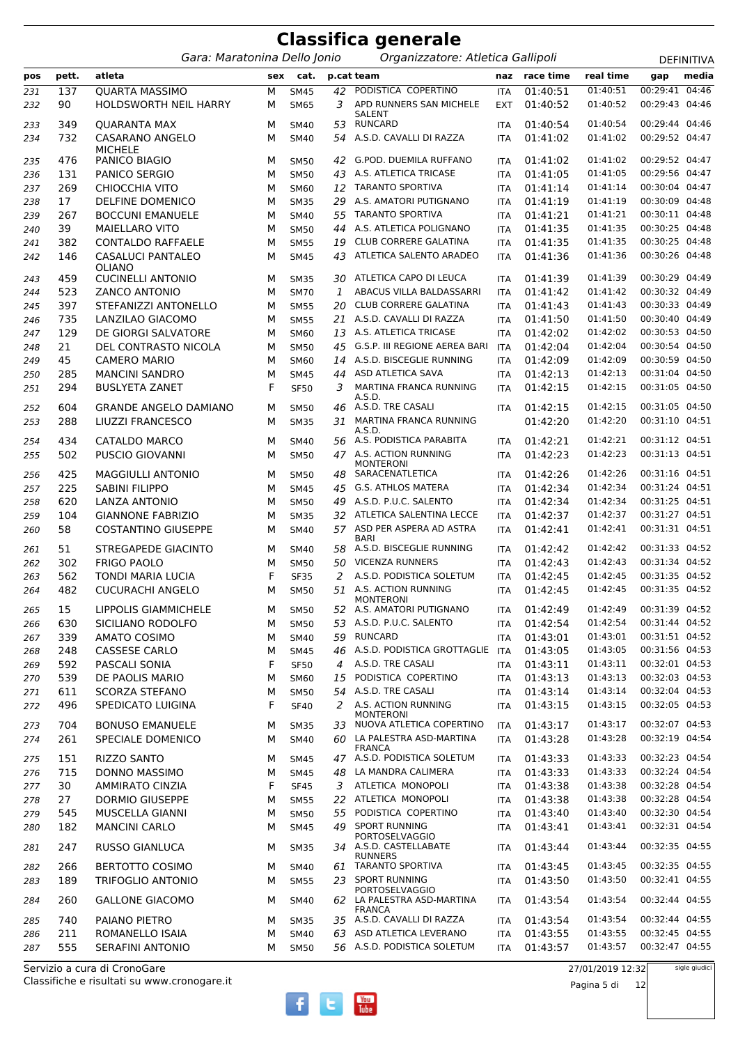|            |            |                                                       |        |                            |          | <b>Classifica generale</b>                                              |                          |                      |                      |                                  |            |
|------------|------------|-------------------------------------------------------|--------|----------------------------|----------|-------------------------------------------------------------------------|--------------------------|----------------------|----------------------|----------------------------------|------------|
|            |            | Gara: Maratonina Dello Jonio                          |        |                            |          | Organizzatore: Atletica Gallipoli                                       |                          |                      |                      |                                  | DEFINITIVA |
| pos        | pett.      | atleta                                                | sex    | cat.                       |          | p.cat team                                                              | naz                      | race time            | real time            | gap                              | media      |
| 231<br>232 | 137<br>90  | <b>QUARTA MASSIMO</b><br><b>HOLDSWORTH NEIL HARRY</b> | М<br>М | <b>SM45</b><br><b>SM65</b> | 42<br>3  | PODISTICA COPERTINO<br>APD RUNNERS SAN MICHELE                          | <b>ITA</b><br><b>EXT</b> | 01:40:51<br>01:40:52 | 01:40:51<br>01:40:52 | 00:29:41<br>00:29:43 04:46       | 04:46      |
| 233        | 349        | <b>QUARANTA MAX</b>                                   | М      | <b>SM40</b>                | 53       | SALENT<br><b>RUNCARD</b>                                                | <b>ITA</b>               | 01:40:54             | 01:40:54             | 00:29:44 04:46                   |            |
| 234        | 732        | CASARANO ANGELO<br><b>MICHELE</b>                     | М      | <b>SM40</b>                | 54       | A.S.D. CAVALLI DI RAZZA                                                 | <b>ITA</b>               | 01:41:02             | 01:41:02             | 00:29:52 04:47                   |            |
| 235        | 476        | PANICO BIAGIO                                         | М      | <b>SM50</b>                | 42       | <b>G.POD. DUEMILA RUFFANO</b>                                           | <b>ITA</b>               | 01:41:02             | 01:41:02             | 00:29:52 04:47                   |            |
| 236        | 131        | PANICO SERGIO                                         | М      | <b>SM50</b>                | 43       | A.S. ATLETICA TRICASE                                                   | <b>ITA</b>               | 01:41:05             | 01:41:05             | 00:29:56 04:47                   |            |
| 237        | 269        | CHIOCCHIA VITO                                        | M      | SM60                       | 12       | <b>TARANTO SPORTIVA</b>                                                 | <b>ITA</b>               | 01:41:14             | 01:41:14             | 00:30:04 04:47                   |            |
| 238        | 17         | DELFINE DOMENICO                                      | M      | <b>SM35</b>                | 29       | A.S. AMATORI PUTIGNANO                                                  | <b>ITA</b>               | 01:41:19             | 01:41:19             | 00:30:09 04:48                   |            |
| 239        | 267        | <b>BOCCUNI EMANUELE</b>                               | М      | <b>SM40</b>                | 55       | <b>TARANTO SPORTIVA</b>                                                 | <b>ITA</b>               | 01:41:21             | 01:41:21             | 00:30:11 04:48                   |            |
| 240        | 39         | <b>MAIELLARO VITO</b>                                 | M      | <b>SM50</b>                | 44       | A.S. ATLETICA POLIGNANO                                                 | <b>ITA</b>               | 01:41:35             | 01:41:35             | 00:30:25 04:48                   |            |
| 241        | 382        | <b>CONTALDO RAFFAELE</b>                              | М      | <b>SM55</b>                | 19       | <b>CLUB CORRERE GALATINA</b>                                            | ITA                      | 01:41:35             | 01:41:35             | 00:30:25 04:48                   |            |
| 242        | 146        | CASALUCI PANTALEO<br><b>OLIANO</b>                    | М      | <b>SM45</b>                | 43       | ATLETICA SALENTO ARADEO                                                 | <b>ITA</b>               | 01:41:36             | 01:41:36             | 00:30:26 04:48                   |            |
| 243        | 459        | <b>CUCINELLI ANTONIO</b>                              | М      | <b>SM35</b>                | 30       | ATLETICA CAPO DI LEUCA                                                  | <b>ITA</b>               | 01:41:39             | 01:41:39             | 00:30:29 04:49                   |            |
| 244        | 523        | <b>ZANCO ANTONIO</b>                                  | M      | <b>SM70</b>                | 1        | ABACUS VILLA BALDASSARRI                                                | <b>ITA</b>               | 01:41:42             | 01:41:42             | 00:30:32 04:49                   |            |
| 245        | 397        | STEFANIZZI ANTONELLO                                  | М      | <b>SM55</b>                | 20       | <b>CLUB CORRERE GALATINA</b>                                            | <b>ITA</b>               | 01:41:43             | 01:41:43             | 00:30:33 04:49                   |            |
| 246        | 735        | LANZILAO GIACOMO                                      | M      | <b>SM55</b>                | 21       | A.S.D. CAVALLI DI RAZZA                                                 | <b>ITA</b>               | 01:41:50             | 01:41:50             | 00:30:40 04:49                   |            |
| 247        | 129        | DE GIORGI SALVATORE                                   | M      | SM60                       | 13       | A.S. ATLETICA TRICASE                                                   | <b>ITA</b>               | 01:42:02             | 01:42:02             | 00:30:53 04:50                   |            |
| 248        | 21         | DEL CONTRASTO NICOLA                                  | М      | <b>SM50</b>                | 45       | G.S.P. III REGIONE AEREA BARI                                           | <b>ITA</b>               | 01:42:04             | 01:42:04             | 00:30:54 04:50                   |            |
| 249        | 45         | <b>CAMERO MARIO</b>                                   | М      | SM60                       | 14       | A.S.D. BISCEGLIE RUNNING                                                | <b>ITA</b>               | 01:42:09             | 01:42:09             | 00:30:59 04:50                   |            |
| 250        | 285        | <b>MANCINI SANDRO</b>                                 | М      | <b>SM45</b>                | 44       | ASD ATLETICA SAVA                                                       | <b>ITA</b>               | 01:42:13             | 01:42:13             | 00:31:04 04:50                   |            |
| 251        | 294        | <b>BUSLYETA ZANET</b>                                 | F      | <b>SF50</b>                | 3        | MARTINA FRANCA RUNNING<br>A.S.D.                                        | <b>ITA</b>               | 01:42:15             | 01:42:15             | 00:31:05 04:50                   |            |
| 252<br>253 | 604<br>288 | <b>GRANDE ANGELO DAMIANO</b><br>LIUZZI FRANCESCO      | М<br>М | <b>SM50</b><br><b>SM35</b> | 46<br>31 | A.S.D. TRE CASALI<br>MARTINA FRANCA RUNNING                             | <b>ITA</b>               | 01:42:15<br>01:42:20 | 01:42:15<br>01:42:20 | 00:31:05 04:50<br>00:31:10 04:51 |            |
| 254        | 434        | CATALDO MARCO                                         | М      | <b>SM40</b>                |          | A.S.D.<br>56 A.S. PODISTICA PARABITA                                    | <b>ITA</b>               | 01:42:21             | 01:42:21             | 00:31:12 04:51                   |            |
| 255        | 502        | PUSCIO GIOVANNI                                       | M      | <b>SM50</b>                |          | 47 A.S. ACTION RUNNING<br><b>MONTERONI</b>                              | <b>ITA</b>               | 01:42:23             | 01:42:23             | 00:31:13 04:51                   |            |
| 256        | 425        | <b>MAGGIULLI ANTONIO</b>                              | М      | <b>SM50</b>                | 48       | SARACENATLETICA                                                         | <b>ITA</b>               | 01:42:26             | 01:42:26             | 00:31:16 04:51                   |            |
| 257        | 225        | <b>SABINI FILIPPO</b>                                 | М      | <b>SM45</b>                | 45       | G.S. ATHLOS MATERA                                                      | <b>ITA</b>               | 01:42:34             | 01:42:34             | 00:31:24 04:51                   |            |
| 258        | 620        | LANZA ANTONIO                                         | М      | <b>SM50</b>                | 49       | A.S.D. P.U.C. SALENTO                                                   | <b>ITA</b>               | 01:42:34             | 01:42:34             | 00:31:25 04:51                   |            |
| 259        | 104        | <b>GIANNONE FABRIZIO</b>                              | М      | <b>SM35</b>                | 32       | ATLETICA SALENTINA LECCE                                                | <b>ITA</b>               | 01:42:37             | 01:42:37             | 00:31:27 04:51                   |            |
| 260        | 58         | <b>COSTANTINO GIUSEPPE</b>                            | М      | <b>SM40</b>                |          | 57 ASD PER ASPERA AD ASTRA<br>BARI                                      | ITA                      | 01:42:41             | 01:42:41             | 00:31:31 04:51                   |            |
| 261        | 51         | <b>STREGAPEDE GIACINTO</b>                            | М      | <b>SM40</b>                | 58       | A.S.D. BISCEGLIE RUNNING                                                | <b>ITA</b>               | 01:42:42             | 01:42:42             | 00:31:33 04:52                   |            |
| 262        | 302        | <b>FRIGO PAOLO</b>                                    | м      | <b>SM50</b>                | 50       | <b>VICENZA RUNNERS</b>                                                  | <b>ITA</b>               | 01:42:43             | 01:42:43             | 00:31:34 04:52                   |            |
| 263        | 562        | TONDI MARIA LUCIA                                     | F      | <b>SF35</b>                | 2        | A.S.D. PODISTICA SOLETUM                                                | <b>ITA</b>               | 01:42:45             | 01:42:45             | 00:31:35 04:52                   |            |
| 264        | 482        | <b>CUCURACHI ANGELO</b>                               | М      | <b>SM50</b>                | 51       | A.S. ACTION RUNNING<br><b>MONTERONI</b><br>52 A.S. AMATORI PUTIGNANO    | ITA                      | 01:42:45             | 01:42:45<br>01:42:49 | 00:31:35 04:52<br>00:31:39 04:52 |            |
| 265        | 15<br>630  | LIPPOLIS GIAMMICHELE<br>SICILIANO RODOLFO             | М      | <b>SM50</b>                |          | A.S.D. P.U.C. SALENTO                                                   | <b>ITA</b>               | 01:42:49<br>01:42:54 | 01:42:54             | 00:31:44 04:52                   |            |
| 266        | 339        | <b>AMATO COSIMO</b>                                   | М      | <b>SM50</b>                | 53<br>59 | <b>RUNCARD</b>                                                          | <b>ITA</b>               | 01:43:01             | 01:43:01             | 00:31:51 04:52                   |            |
| 267<br>268 | 248        | CASSESE CARLO                                         | М<br>М | <b>SM40</b><br><b>SM45</b> | 46       | A.S.D. PODISTICA GROTTAGLIE                                             | <b>ITA</b><br>ITA        | 01:43:05             | 01:43:05             | 00:31:56 04:53                   |            |
| 269        | 592        | PASCALI SONIA                                         | F      | <b>SF50</b>                |          | 4 A.S.D. TRE CASALI                                                     | <b>ITA</b>               | 01:43:11             | 01:43:11             | 00:32:01 04:53                   |            |
| 270        | 539        | DE PAOLIS MARIO                                       | М      | SM60                       | 15       | PODISTICA COPERTINO                                                     | <b>ITA</b>               | 01:43:13             | 01:43:13             | 00:32:03 04:53                   |            |
| 271        | 611        | <b>SCORZA STEFANO</b>                                 | М      | <b>SM50</b>                |          | 54 A.S.D. TRE CASALI                                                    | <b>ITA</b>               | 01:43:14             | 01:43:14             | 00:32:04 04:53                   |            |
| 272        | 496        | SPEDICATO LUIGINA                                     | F      | <b>SF40</b>                | 2        | A.S. ACTION RUNNING<br><b>MONTERONI</b>                                 | <b>ITA</b>               | 01:43:15             | 01:43:15             | 00:32:05 04:53                   |            |
| 273        | 704        | <b>BONUSO EMANUELE</b>                                | М      | <b>SM35</b>                | 33       | NUOVA ATLETICA COPERTINO                                                | ITA                      | 01:43:17             | 01:43:17             | 00:32:07 04:53                   |            |
| 274        | 261        | SPECIALE DOMENICO                                     | M      | <b>SM40</b>                |          | 60 LA PALESTRA ASD-MARTINA<br><b>FRANCA</b>                             | <b>ITA</b>               | 01:43:28             | 01:43:28             | 00:32:19 04:54                   |            |
| 275        | 151        | <b>RIZZO SANTO</b>                                    | М      | <b>SM45</b>                |          | 47 A.S.D. PODISTICA SOLETUM                                             | ITA                      | 01:43:33             | 01:43:33             | 00:32:23 04:54                   |            |
| 276        | 715        | DONNO MASSIMO                                         | М      | <b>SM45</b>                | 48       | LA MANDRA CALIMERA                                                      | <b>ITA</b>               | 01:43:33             | 01:43:33             | 00:32:24 04:54                   |            |
| 277        | 30         | <b>AMMIRATO CINZIA</b>                                | F      | <b>SF45</b>                |          | 3 ATLETICA MONOPOLI                                                     | <b>ITA</b>               | 01:43:38             | 01:43:38             | 00:32:28 04:54                   |            |
| 278        | 27         | <b>DORMIO GIUSEPPE</b>                                | М      | <b>SM55</b>                |          | 22 ATLETICA MONOPOLI                                                    | <b>ITA</b>               | 01:43:38             | 01:43:38             | 00:32:28 04:54                   |            |
| 279        | 545        | MUSCELLA GIANNI                                       | М      | <b>SM50</b>                | 55       | PODISTICA COPERTINO                                                     | <b>ITA</b>               | 01:43:40             | 01:43:40             | 00:32:30 04:54                   |            |
| 280        | 182<br>247 | <b>MANCINI CARLO</b><br><b>RUSSO GIANLUCA</b>         | М<br>М | <b>SM45</b><br><b>SM35</b> | 49       | <b>SPORT RUNNING</b><br><b>PORTOSELVAGGIO</b><br>34 A.S.D. CASTELLABATE | <b>ITA</b><br><b>ITA</b> | 01:43:41<br>01:43:44 | 01:43:41<br>01:43:44 | 00:32:31 04:54<br>00:32:35 04:55 |            |
| 281<br>282 | 266        | <b>BERTOTTO COSIMO</b>                                | М      | <b>SM40</b>                | 61       | <b>RUNNERS</b><br>TARANTO SPORTIVA                                      | <b>ITA</b>               | 01:43:45             | 01:43:45             | 00:32:35 04:55                   |            |
| 283        | 189        | <b>TRIFOGLIO ANTONIO</b>                              | М      | <b>SM55</b>                | 23       | <b>SPORT RUNNING</b>                                                    | <b>ITA</b>               | 01:43:50             | 01:43:50             | 00:32:41 04:55                   |            |
| 284        | 260        | <b>GALLONE GIACOMO</b>                                | М      | <b>SM40</b>                |          | <b>PORTOSELVAGGIO</b><br>62 LA PALESTRA ASD-MARTINA                     | ITA                      | 01:43:54             | 01:43:54             | 00:32:44 04:55                   |            |
| 285        | 740        | PAIANO PIETRO                                         | М      | <b>SM35</b>                |          | <b>FRANCA</b><br>35 A.S.D. CAVALLI DI RAZZA                             | ITA                      | 01:43:54             | 01:43:54             | 00:32:44 04:55                   |            |
| 286        | 211        | ROMANELLO ISAIA                                       | М      | <b>SM40</b>                | 63       | ASD ATLETICA LEVERANO                                                   | <b>ITA</b>               | 01:43:55             | 01:43:55             | 00:32:45 04:55                   |            |
| 287        | 555        | <b>SERAFINI ANTONIO</b>                               | М      | <b>SM50</b>                |          | 56 A.S.D. PODISTICA SOLETUM                                             | <b>ITA</b>               | 01:43:57             | 01:43:57             | 00:32:47 04:55                   |            |

27/01/2019 12:32

Pagina 5 di 12

 $f$   $t$   $\frac{V_{00}}{I_{00}}$ 

sigle giudici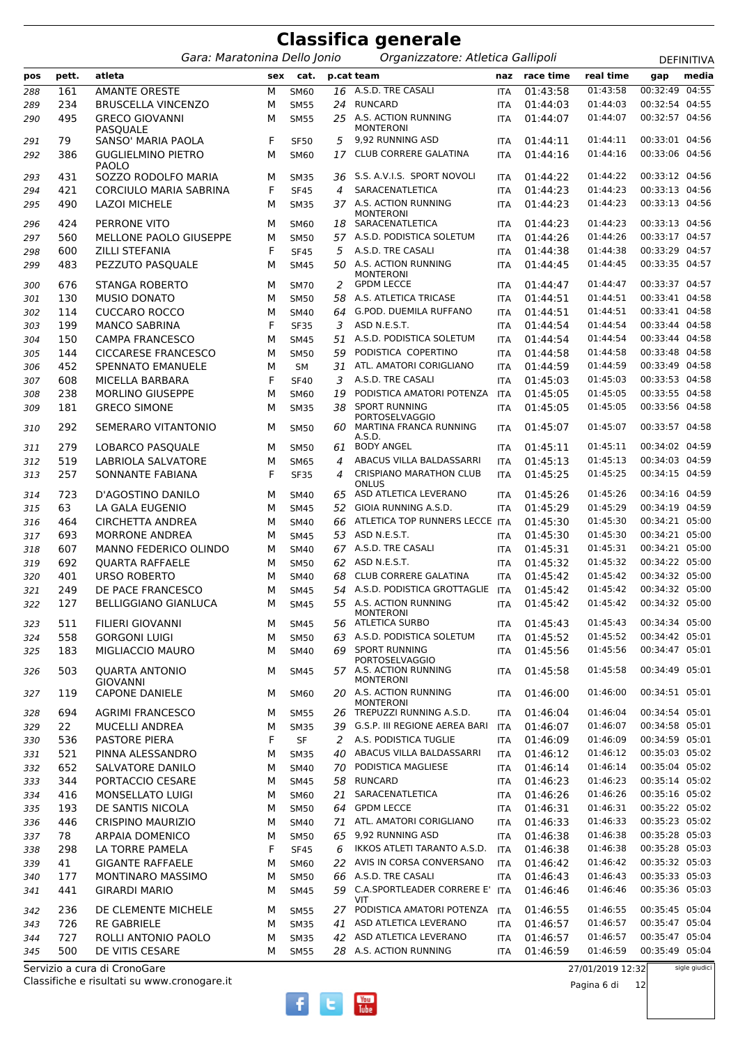|            |            |                                                  |        |                            |          | <b>Classifica generale</b>                                              |                          |                      |                      |                                  |               |
|------------|------------|--------------------------------------------------|--------|----------------------------|----------|-------------------------------------------------------------------------|--------------------------|----------------------|----------------------|----------------------------------|---------------|
|            |            | Gara: Maratonina Dello Jonio                     |        |                            |          | Organizzatore: Atletica Gallipoli                                       |                          |                      |                      |                                  | DEFINITIVA    |
| pos        | pett.      | atleta                                           | sex    | cat.                       |          | p.cat team                                                              | naz                      | race time            | real time            | gap                              | media         |
| 288        | 161        | <b>AMANTE ORESTE</b>                             | M      | SM60                       | 16       | A.S.D. TRE CASALI                                                       | <b>ITA</b>               | 01:43:58             | 01:43:58             | 00:32:49                         | 04:55         |
| 289        | 234        | <b>BRUSCELLA VINCENZO</b>                        | м      | <b>SM55</b>                | 24       | <b>RUNCARD</b>                                                          | <b>ITA</b>               | 01:44:03             | 01:44:03             | 00:32:54 04:55                   |               |
| 290        | 495        | <b>GRECO GIOVANNI</b><br><b>PASQUALE</b>         | м      | <b>SM55</b>                |          | 25 A.S. ACTION RUNNING<br><b>MONTERONI</b>                              | <b>ITA</b>               | 01:44:07             | 01:44:07             | 00:32:57 04:56                   |               |
| 291        | 79         | SANSO' MARIA PAOLA                               | F      | <b>SF50</b>                | 5        | 9,92 RUNNING ASD                                                        | <b>ITA</b>               | 01:44:11             | 01:44:11             | 00:33:01 04:56                   |               |
| 292        | 386        | <b>GUGLIELMINO PIETRO</b><br><b>PAOLO</b>        | М      | SM60                       | 17       | CLUB CORRERE GALATINA                                                   | <b>ITA</b>               | 01:44:16             | 01:44:16             | 00:33:06 04:56                   |               |
| 293        | 431        | SOZZO RODOLFO MARIA                              | м      | <b>SM35</b>                | 36       | S.S. A.V.I.S. SPORT NOVOLI                                              | <b>ITA</b>               | 01:44:22             | 01:44:22             | 00:33:12 04:56                   |               |
| 294        | 421        | <b>CORCIULO MARIA SABRINA</b>                    | F      | <b>SF45</b>                | 4        | SARACENATLETICA<br>37 A.S. ACTION RUNNING                               | <b>ITA</b>               | 01:44:23             | 01:44:23<br>01:44:23 | 00:33:13 04:56<br>00:33:13 04:56 |               |
| 295<br>296 | 490<br>424 | <b>LAZOI MICHELE</b><br>PERRONE VITO             | м<br>м | <b>SM35</b><br><b>SM60</b> | 18       | <b>MONTERONI</b><br>SARACENATLETICA                                     | <b>ITA</b><br><b>ITA</b> | 01:44:23<br>01:44:23 | 01:44:23             | 00:33:13 04:56                   |               |
| 297        | 560        | MELLONE PAOLO GIUSEPPE                           | м      | <b>SM50</b>                |          | 57 A.S.D. PODISTICA SOLETUM                                             | <b>ITA</b>               | 01:44:26             | 01:44:26             | 00:33:17 04:57                   |               |
| 298        | 600        | <b>ZILLI STEFANIA</b>                            | F      | <b>SF45</b>                | 5        | A.S.D. TRE CASALI                                                       | <b>ITA</b>               | 01:44:38             | 01:44:38             | 00:33:29 04:57                   |               |
| 299        | 483        | PEZZUTO PASQUALE                                 | М      | <b>SM45</b>                |          | 50 A.S. ACTION RUNNING<br><b>MONTERONI</b>                              | ITA                      | 01:44:45             | 01:44:45             | 00:33:35 04:57                   |               |
| 300        | 676        | <b>STANGA ROBERTO</b>                            | м      | <b>SM70</b>                | 2        | <b>GPDM LECCE</b>                                                       | <b>ITA</b>               | 01:44:47             | 01:44:47             | 00:33:37 04:57                   |               |
| 301        | 130        | <b>MUSIO DONATO</b>                              | м      | <b>SM50</b>                | 58       | A.S. ATLETICA TRICASE                                                   | <b>ITA</b>               | 01:44:51             | 01:44:51             | 00:33:41 04:58                   |               |
| 302        | 114        | <b>CUCCARO ROCCO</b>                             | М      | <b>SM40</b>                | 64       | G.POD. DUEMILA RUFFANO                                                  | <b>ITA</b>               | 01:44:51             | 01:44:51             | 00:33:41 04:58                   |               |
| 303        | 199        | <b>MANCO SABRINA</b>                             | F      | <b>SF35</b>                | 3        | ASD N.E.S.T.                                                            | <b>ITA</b>               | 01:44:54             | 01:44:54             | 00:33:44 04:58                   |               |
| 304        | 150        | <b>CAMPA FRANCESCO</b>                           | М      | <b>SM45</b>                | 51       | A.S.D. PODISTICA SOLETUM                                                | <b>ITA</b>               | 01:44:54             | 01:44:54             | 00:33:44 04:58                   |               |
| 305        | 144        | <b>CICCARESE FRANCESCO</b>                       | М      | <b>SM50</b>                | 59       | PODISTICA COPERTINO                                                     | <b>ITA</b>               | 01:44:58             | 01:44:58             | 00:33:48 04:58                   |               |
| 306        | 452        | <b>SPENNATO EMANUELE</b>                         | М      | <b>SM</b>                  | 31       | ATL. AMATORI CORIGLIANO                                                 | <b>ITA</b>               | 01:44:59             | 01:44:59             | 00:33:49 04:58                   |               |
| 307        | 608        | MICELLA BARBARA                                  | F      | <b>SF40</b>                | 3        | A.S.D. TRE CASALI                                                       | <b>ITA</b>               | 01:45:03             | 01:45:03             | 00:33:53 04:58                   |               |
| 308        | 238        | MORLINO GIUSEPPE                                 | М      | <b>SM60</b>                | 19       | PODISTICA AMATORI POTENZA                                               | <b>ITA</b>               | 01:45:05             | 01:45:05             | 00:33:55 04:58                   |               |
| 309        | 181        | <b>GRECO SIMONE</b>                              | М      | <b>SM35</b>                | 38       | <b>SPORT RUNNING</b><br><b>PORTOSELVAGGIO</b><br>MARTINA FRANCA RUNNING | <b>ITA</b>               | 01:45:05<br>01:45:07 | 01:45:05<br>01:45:07 | 00:33:56 04:58<br>00:33:57 04:58 |               |
| 310        | 292<br>279 | SEMERARO VITANTONIO<br>LOBARCO PASQUALE          | м<br>м | <b>SM50</b>                | 60<br>61 | A.S.D.<br><b>BODY ANGEL</b>                                             | <b>ITA</b>               | 01:45:11             | 01:45:11             | 00:34:02 04:59                   |               |
| 311        | 519        | LABRIOLA SALVATORE                               | M      | <b>SM50</b><br><b>SM65</b> | 4        | ABACUS VILLA BALDASSARRI                                                | <b>ITA</b><br><b>ITA</b> | 01:45:13             | 01:45:13             | 00:34:03 04:59                   |               |
| 312<br>313 | 257        | SONNANTE FABIANA                                 | F      | <b>SF35</b>                | 4        | <b>CRISPIANO MARATHON CLUB</b>                                          | <b>ITA</b>               | 01:45:25             | 01:45:25             | 00:34:15 04:59                   |               |
| 314        | 723        | D'AGOSTINO DANILO                                | м      | <b>SM40</b>                | 65       | ONLUS<br>ASD ATLETICA LEVERANO                                          | <b>ITA</b>               | 01:45:26             | 01:45:26             | 00:34:16 04:59                   |               |
| 315        | 63         | LA GALA EUGENIO                                  | М      | <b>SM45</b>                | 52       | GIOIA RUNNING A.S.D.                                                    | <b>ITA</b>               | 01:45:29             | 01:45:29             | 00:34:19 04:59                   |               |
| 316        | 464        | <b>CIRCHETTA ANDREA</b>                          | м      | <b>SM40</b>                | 66       | ATLETICA TOP RUNNERS LECCE ITA                                          |                          | 01:45:30             | 01:45:30             | 00:34:21 05:00                   |               |
| 317        | 693        | <b>MORRONE ANDREA</b>                            | м      | <b>SM45</b>                | 53       | ASD N.E.S.T.                                                            | <b>ITA</b>               | 01:45:30             | 01:45:30             | 00:34:21 05:00                   |               |
| 318        | 607        | <b>MANNO FEDERICO OLINDO</b>                     | м      | <b>SM40</b>                |          | 67 A.S.D. TRE CASALI                                                    | <b>ITA</b>               | 01:45:31             | 01:45:31             | 00:34:21 05:00                   |               |
| 319        | 692        | <b>QUARTA RAFFAELE</b>                           | м      | <b>SM50</b>                | 62       | ASD N.E.S.T.                                                            | <b>ITA</b>               | 01:45:32             | 01:45:32             | 00:34:22 05:00                   |               |
| 320        | 401        | <b>URSO ROBERTO</b>                              | м      | <b>SM40</b>                | 68       | CLUB CORRERE GALATINA                                                   | <b>ITA</b>               | 01:45:42             | 01:45:42             | 00:34:32 05:00                   |               |
| 321        | 249        | DE PACE FRANCESCO                                | м      | <b>SM45</b>                |          | 54 A.S.D. PODISTICA GROTTAGLIE ITA                                      |                          | 01:45:42             | 01:45:42             | 00:34:32 05:00                   |               |
| 322        | 127        | <b>BELLIGGIANO GIANLUCA</b>                      | м      | <b>SM45</b>                |          | 55 A.S. ACTION RUNNING<br><b>MONTERONI</b>                              | ITA                      | 01:45:42             | 01:45:42             | 00:34:32 05:00                   |               |
| 323        | 511        | <b>FILIERI GIOVANNI</b>                          | м      | <b>SM45</b>                | 56.      | <b>ATLETICA SURBO</b>                                                   | ITA                      | 01:45:43             | 01:45:43             | 00:34:34 05:00                   |               |
| 324        | 558        | <b>GORGONI LUIGI</b>                             | м      | <b>SM50</b>                | 63       | A.S.D. PODISTICA SOLETUM<br><b>SPORT RUNNING</b>                        | ITA                      | 01:45:52             | 01:45:52             | 00:34:42 05:01                   |               |
| 325        | 183        | <b>MIGLIACCIO MAURO</b><br><b>QUARTA ANTONIO</b> | м      | <b>SM40</b>                | 69       | <b>PORTOSELVAGGIO</b><br>57 A.S. ACTION RUNNING                         | ITA                      | 01:45:56             | 01:45:56<br>01:45:58 | 00:34:47 05:01<br>00:34:49 05:01 |               |
| 326        | 503        | <b>GIOVANNI</b>                                  | м      | <b>SM45</b>                |          | <b>MONTERONI</b><br>20 A.S. ACTION RUNNING                              | ITA                      | 01:45:58             | 01:46:00             |                                  |               |
| 327        | 119<br>694 | <b>CAPONE DANIELE</b><br><b>AGRIMI FRANCESCO</b> | м<br>м | <b>SM60</b><br><b>SM55</b> |          | <b>MONTERONI</b><br>TREPUZZI RUNNING A.S.D.                             | ITA<br><b>ITA</b>        | 01:46:00<br>01:46:04 | 01:46:04             | 00:34:51 05:01<br>00:34:54 05:01 |               |
| 328        | 22         | <b>MUCELLI ANDREA</b>                            | м      | <b>SM35</b>                | 26.      | 39 G.S.P. III REGIONE AEREA BARI                                        | ITA                      | 01:46:07             | 01:46:07             | 00:34:58 05:01                   |               |
| 329<br>330 | 536        | PASTORE PIERA                                    | F      | SF                         | 2        | A.S. PODISTICA TUGLIE                                                   | ITA                      | 01:46:09             | 01:46:09             | 00:34:59 05:01                   |               |
| 331        | 521        | PINNA ALESSANDRO                                 | М      | <b>SM35</b>                | 40       | ABACUS VILLA BALDASSARRI                                                | ITA                      | 01:46:12             | 01:46:12             | 00:35:03 05:02                   |               |
| 332        | 652        | SALVATORE DANILO                                 | м      | SM40                       | 70       | PODISTICA MAGLIESE                                                      | ITA                      | 01:46:14             | 01:46:14             | 00:35:04 05:02                   |               |
| 333        | 344        | PORTACCIO CESARE                                 | м      | <b>SM45</b>                | 58       | RUNCARD                                                                 | ITA                      | 01:46:23             | 01:46:23             | 00:35:14 05:02                   |               |
| 334        | 416        | MONSELLATO LUIGI                                 | М      | SM60                       | 21       | SARACENATLETICA                                                         | ITA                      | 01:46:26             | 01:46:26             | 00:35:16 05:02                   |               |
| 335        | 193        | DE SANTIS NICOLA                                 | м      | <b>SM50</b>                | 64       | <b>GPDM LECCE</b>                                                       | ITA                      | 01:46:31             | 01:46:31             | 00:35:22 05:02                   |               |
| 336        | 446        | <b>CRISPINO MAURIZIO</b>                         | м      | <b>SM40</b>                | 71       | ATL. AMATORI CORIGLIANO                                                 | ITA                      | 01:46:33             | 01:46:33             | 00:35:23 05:02                   |               |
| 337        | 78         | ARPAIA DOMENICO                                  | м      | <b>SM50</b>                | 65       | 9,92 RUNNING ASD                                                        | ITA                      | 01:46:38             | 01:46:38             | 00:35:28 05:03                   |               |
| 338        | 298        | LA TORRE PAMELA                                  | F      | <b>SF45</b>                | 6        | IKKOS ATLETI TARANTO A.S.D.                                             | ITA                      | 01:46:38             | 01:46:38             | 00:35:28 05:03                   |               |
| 339        | 41         | <b>GIGANTE RAFFAELE</b>                          | М      | SM60                       | 22       | AVIS IN CORSA CONVERSANO                                                | ITA                      | 01:46:42             | 01:46:42             | 00:35:32 05:03                   |               |
| 340        | 177        | MONTINARO MASSIMO                                | М      | <b>SM50</b>                | 66       | A.S.D. TRE CASALI                                                       | ITA                      | 01:46:43             | 01:46:43             | 00:35:33 05:03                   |               |
| 341        | 441        | <b>GIRARDI MARIO</b>                             | м      | <b>SM45</b>                |          | 59 C.A.SPORTLEADER CORRERE E'<br>VIT                                    | ITA                      | 01:46:46             | 01:46:46             | 00:35:36 05:03                   |               |
| 342        | 236        | DE CLEMENTE MICHELE                              | м      | <b>SM55</b>                |          | 27 PODISTICA AMATORI POTENZA                                            | <b>ITA</b>               | 01:46:55             | 01:46:55             | 00:35:45 05:04                   |               |
| 343        | 726        | <b>RE GABRIELE</b>                               | м      | <b>SM35</b>                |          | 41 ASD ATLETICA LEVERANO                                                | ITA                      | 01:46:57             | 01:46:57             | 00:35:47 05:04                   |               |
| 344        | 727        | ROLLI ANTONIO PAOLO                              | м      | <b>SM35</b>                | 42       | ASD ATLETICA LEVERANO                                                   | ITA                      | 01:46:57             | 01:46:57             | 00:35:47 05:04                   |               |
| 345        | 500        | DE VITIS CESARE                                  | м      | <b>SM55</b>                |          | 28 A.S. ACTION RUNNING                                                  | ITA                      | 01:46:59             | 01:46:59             | 00:35:49 05:04                   |               |
|            |            | Servizio a cura di CronoGare                     |        |                            |          |                                                                         |                          |                      | 27/01/2019 12:32     |                                  | sigle giudici |

 $\begin{bmatrix}\n\text{You} \\
\text{Iube}\n\end{bmatrix}$ 

 $\overline{f}$ 

 $\mathbf{t}$ 

Classifiche e risultati su www.cronogare.it Servizio a cura di CronoGare

27/01/2019 12:32

Pagina 6 di 12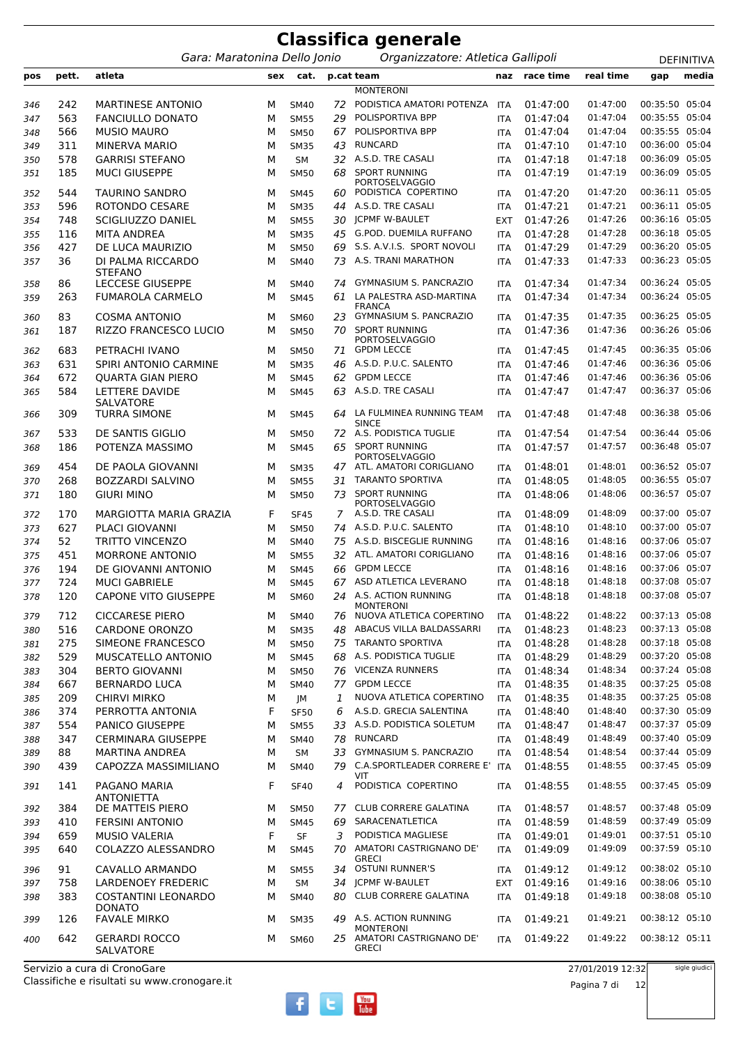|            |           |                                               |     |                            |     | <b>Classifica generale</b>                                     |                          |                      |                      |                                  |                   |
|------------|-----------|-----------------------------------------------|-----|----------------------------|-----|----------------------------------------------------------------|--------------------------|----------------------|----------------------|----------------------------------|-------------------|
|            |           | Gara: Maratonina Dello Jonio                  |     |                            |     | Organizzatore: Atletica Gallipoli                              |                          |                      |                      |                                  | <b>DEFINITIVA</b> |
| pos        | pett.     | atleta                                        | sex | cat.                       |     | p.cat team                                                     | naz                      | race time            | real time            | gap                              | media             |
|            |           |                                               |     |                            |     | <b>MONTERONI</b>                                               |                          |                      |                      |                                  |                   |
| 346        | 242       | <b>MARTINESE ANTONIO</b>                      | м   | <b>SM40</b>                | 72  | PODISTICA AMATORI POTENZA                                      | <b>ITA</b>               | 01:47:00             | 01:47:00             | 00:35:50 05:04                   |                   |
| 347        | 563       | <b>FANCIULLO DONATO</b>                       | M   | <b>SM55</b>                | 29  | POLISPORTIVA BPP                                               | <b>ITA</b>               | 01:47:04             | 01:47:04             | 00:35:55 05:04                   |                   |
| 348        | 566       | <b>MUSIO MAURO</b>                            | м   | <b>SM50</b>                | 67  | POLISPORTIVA BPP                                               | <b>ITA</b>               | 01:47:04             | 01:47:04             | 00:35:55 05:04                   |                   |
| 349        | 311       | <b>MINERVA MARIO</b>                          | М   | <b>SM35</b>                | 43  | <b>RUNCARD</b>                                                 | <b>ITA</b>               | 01:47:10             | 01:47:10             | 00:36:00 05:04                   |                   |
| 350        | 578       | <b>GARRISI STEFANO</b>                        | М   | <b>SM</b>                  | 32  | A.S.D. TRE CASALI                                              | <b>ITA</b>               | 01:47:18             | 01:47:18             | 00:36:09 05:05                   |                   |
| 351        | 185       | <b>MUCI GIUSEPPE</b>                          | м   | <b>SM50</b>                | 68  | <b>SPORT RUNNING</b>                                           | ITA                      | 01:47:19             | 01:47:19             | 00:36:09 05:05                   |                   |
| 352        | 544       | <b>TAURINO SANDRO</b>                         | м   | <b>SM45</b>                | 60  | <b>PORTOSELVAGGIO</b><br>PODISTICA COPERTINO                   | <b>ITA</b>               | 01:47:20             | 01:47:20             | 00:36:11 05:05                   |                   |
| 353        | 596       | ROTONDO CESARE                                | м   | <b>SM35</b>                | 44  | A.S.D. TRE CASALI                                              | <b>ITA</b>               | 01:47:21             | 01:47:21             | 00:36:11 05:05                   |                   |
| 354        | 748       | SCIGLIUZZO DANIEL                             | М   | <b>SM55</b>                | 30  | <b>JCPMF W-BAULET</b>                                          | <b>EXT</b>               | 01:47:26             | 01:47:26             | 00:36:16 05:05                   |                   |
| 355        | 116       | <b>MITA ANDREA</b>                            | М   | <b>SM35</b>                | 45  | G.POD. DUEMILA RUFFANO                                         | <b>ITA</b>               | 01:47:28             | 01:47:28             | 00:36:18 05:05                   |                   |
| 356        | 427       | DE LUCA MAURIZIO                              | М   | <b>SM50</b>                | 69  | S.S. A.V.I.S. SPORT NOVOLI                                     | <b>ITA</b>               | 01:47:29             | 01:47:29             | 00:36:20 05:05                   |                   |
| 357        | 36        | DI PALMA RICCARDO                             | м   | <b>SM40</b>                | 73. | A.S. TRANI MARATHON                                            | <b>ITA</b>               | 01:47:33             | 01:47:33             | 00:36:23 05:05                   |                   |
|            | 86        | <b>STEFANO</b><br><b>LECCESE GIUSEPPE</b>     | м   |                            | 74  | <b>GYMNASIUM S. PANCRAZIO</b>                                  |                          | 01:47:34             | 01:47:34             | 00:36:24 05:05                   |                   |
| 358<br>359 | 263       | <b>FUMAROLA CARMELO</b>                       | М   | <b>SM40</b><br><b>SM45</b> | 61  | LA PALESTRA ASD-MARTINA                                        | <b>ITA</b><br><b>ITA</b> | 01:47:34             | 01:47:34             | 00:36:24 05:05                   |                   |
|            |           |                                               |     |                            |     | <b>FRANCA</b>                                                  |                          |                      |                      |                                  |                   |
| 360        | 83        | <b>COSMA ANTONIO</b>                          | м   | <b>SM60</b>                | 23  | <b>GYMNASIUM S. PANCRAZIO</b>                                  | <b>ITA</b>               | 01:47:35             | 01:47:35             | 00:36:25 05:05                   |                   |
| 361        | 187       | <b>RIZZO FRANCESCO LUCIO</b>                  | м   | <b>SM50</b>                | 70  | <b>SPORT RUNNING</b><br><b>PORTOSELVAGGIO</b>                  | ITA                      | 01:47:36             | 01:47:36             | 00:36:26 05:06                   |                   |
| 362        | 683       | PETRACHI IVANO                                | м   | <b>SM50</b>                | 71  | <b>GPDM LECCE</b>                                              | <b>ITA</b>               | 01:47:45             | 01:47:45             | 00:36:35 05:06                   |                   |
| 363        | 631       | SPIRI ANTONIO CARMINE                         | м   | <b>SM35</b>                | 46  | A.S.D. P.U.C. SALENTO                                          | <b>ITA</b>               | 01:47:46             | 01:47:46             | 00:36:36 05:06                   |                   |
| 364        | 672       | <b>OUARTA GIAN PIERO</b>                      | м   | <b>SM45</b>                | 62  | <b>GPDM LECCE</b>                                              | <b>ITA</b>               | 01:47:46             | 01:47:46             | 00:36:36 05:06                   |                   |
| 365        | 584       | LETTERE DAVIDE                                | м   | <b>SM45</b>                | 63  | A.S.D. TRE CASALI                                              | <b>ITA</b>               | 01:47:47             | 01:47:47             | 00:36:37 05:06                   |                   |
|            |           | SALVATORE                                     |     |                            |     |                                                                |                          |                      |                      |                                  |                   |
| 366        | 309       | <b>TURRA SIMONE</b>                           | м   | <b>SM45</b>                | 64  | LA FULMINEA RUNNING TEAM<br><b>SINCE</b>                       | <b>ITA</b>               | 01:47:48             | 01:47:48             | 00:36:38 05:06                   |                   |
| 367        | 533       | DE SANTIS GIGLIO                              | м   | <b>SM50</b>                |     | 72 A.S. PODISTICA TUGLIE                                       | <b>ITA</b>               | 01:47:54             | 01:47:54             | 00:36:44 05:06                   |                   |
| 368        | 186       | POTENZA MASSIMO                               | м   | <b>SM45</b>                |     | 65 SPORT RUNNING                                               | <b>ITA</b>               | 01:47:57             | 01:47:57             | 00:36:48 05:07                   |                   |
| 369        | 454       | DE PAOLA GIOVANNI                             | м   | <b>SM35</b>                | 47. | <b>PORTOSELVAGGIO</b><br>ATL. AMATORI CORIGLIANO               | ITA                      | 01:48:01             | 01:48:01             | 00:36:52 05:07                   |                   |
| 370        | 268       | <b>BOZZARDI SALVINO</b>                       | м   | <b>SM55</b>                | 31  | <b>TARANTO SPORTIVA</b>                                        | <b>ITA</b>               | 01:48:05             | 01:48:05             | 00:36:55 05:07                   |                   |
| 371        | 180       | <b>GIURI MINO</b>                             | м   | <b>SM50</b>                | 73  | <b>SPORT RUNNING</b>                                           | ITA                      | 01:48:06             | 01:48:06             | 00:36:57 05:07                   |                   |
|            |           |                                               |     |                            |     | <b>PORTOSELVAGGIO</b>                                          |                          |                      |                      |                                  |                   |
| 372        | 170       | MARGIOTTA MARIA GRAZIA                        | F   | <b>SF45</b>                | 7   | A.S.D. TRE CASALI                                              | <b>ITA</b>               | 01:48:09             | 01:48:09             | 00:37:00 05:07                   |                   |
| 373        | 627       | <b>PLACI GIOVANNI</b>                         | м   | <b>SM50</b>                |     | 74 A.S.D. P.U.C. SALENTO                                       | <b>ITA</b>               | 01:48:10             | 01:48:10             | 00:37:00 05:07                   |                   |
| 374        | 52        | <b>TRITTO VINCENZO</b>                        | м   | <b>SM40</b>                | 75  | A.S.D. BISCEGLIE RUNNING                                       | <b>ITA</b>               | 01:48:16             | 01:48:16             | 00:37:06 05:07                   |                   |
| 375        | 451       | <b>MORRONE ANTONIO</b><br>DE GIOVANNI ANTONIO | м   | <b>SM55</b>                |     | 32 ATL. AMATORI CORIGLIANO<br>66 GPDM LECCE                    | <b>ITA</b>               | 01:48:16             | 01:48:16<br>01:48:16 | 00:37:06 05:07<br>00:37:06 05:07 |                   |
| 376        | 194       | <b>MUCI GABRIELE</b>                          | М   | <b>SM45</b>                |     | 67 ASD ATLETICA LEVERANO                                       | <b>ITA</b>               | 01:48:16<br>01:48:18 | 01:48:18             | 00:37:08 05:07                   |                   |
| 377        | 724       |                                               | М   | <b>SM45</b>                |     | 24 A.S. ACTION RUNNING                                         | ITA                      |                      | 01:48:18             | 00:37:08 05:07                   |                   |
| 378        | 120       | <b>CAPONE VITO GIUSEPPE</b>                   | м   | <b>SM60</b>                |     | <b>MONTERONI</b>                                               | <b>ITA</b>               | 01:48:18             |                      |                                  |                   |
| 379        | 712       | <b>CICCARESE PIERO</b>                        | м   | <b>SM40</b>                | 76  | NUOVA ATLETICA COPERTINO                                       | <b>ITA</b>               | 01:48:22             | 01:48:22             | 00:37:13 05:08                   |                   |
| 380        | 516       | <b>CARDONE ORONZO</b>                         | М   | <b>SM35</b>                | 48  | ABACUS VILLA BALDASSARRI                                       | <b>ITA</b>               | 01:48:23             | 01:48:23             | 00:37:13 05:08                   |                   |
| 381        | 275       | SIMEONE FRANCESCO                             | М   | <b>SM50</b>                |     | 75 TARANTO SPORTIVA                                            | <b>ITA</b>               | 01:48:28             | 01:48:28             | 00:37:18 05:08                   |                   |
| 382        | 529       | MUSCATELLO ANTONIO                            | м   | <b>SM45</b>                |     | 68 A.S. PODISTICA TUGLIE                                       | ITA                      | 01:48:29             | 01:48:29             | 00:37:20 05:08                   |                   |
| 383        | 304       | <b>BERTO GIOVANNI</b>                         | м   | <b>SM50</b>                |     | 76 VICENZA RUNNERS                                             | <b>ITA</b>               | 01:48:34             | 01:48:34             | 00:37:24 05:08                   |                   |
| 384        | 667       | <b>BERNARDO LUCA</b>                          | М   | SM40                       |     | 77 GPDM LECCE                                                  | <b>ITA</b>               | 01:48:35             | 01:48:35             | 00:37:25 05:08                   |                   |
| 385        | 209       | <b>CHIRVI MIRKO</b>                           | М   | JM                         | 1   | NUOVA ATLETICA COPERTINO                                       | <b>ITA</b>               | 01:48:35             | 01:48:35             | 00:37:25 05:08                   |                   |
| 386        | 374       | PERROTTA ANTONIA                              | F   | <b>SF50</b>                | 6   | A.S.D. GRECIA SALENTINA                                        | <b>ITA</b>               | 01:48:40             | 01:48:40             | 00:37:30 05:09                   |                   |
| 387        | 554       | <b>PANICO GIUSEPPE</b>                        | М   | <b>SM55</b>                |     | 33 A.S.D. PODISTICA SOLETUM                                    | <b>ITA</b>               | 01:48:47             | 01:48:47             | 00:37:37 05:09                   |                   |
| 388        | 347       | <b>CERMINARA GIUSEPPE</b>                     | м   | <b>SM40</b>                | 78  | RUNCARD                                                        | ITA                      | 01:48:49             | 01:48:49             | 00:37:40 05:09<br>00:37:44 05:09 |                   |
| 389        | 88<br>439 | <b>MARTINA ANDREA</b><br>CAPOZZA MASSIMILIANO | М   | SM                         | 33  | <b>GYMNASIUM S. PANCRAZIO</b><br>79 C.A.SPORTLEADER CORRERE E' | ITA                      | 01:48:54             | 01:48:54<br>01:48:55 | 00:37:45 05:09                   |                   |
| 390        |           |                                               | м   | <b>SM40</b>                |     | VIT                                                            | <b>ITA</b>               | 01:48:55             |                      |                                  |                   |
| 391        | 141       | PAGANO MARIA<br><b>ANTONIETTA</b>             | F   | <b>SF40</b>                | 4   | PODISTICA COPERTINO                                            | <b>ITA</b>               | 01:48:55             | 01:48:55             | 00:37:45 05:09                   |                   |
| 392        | 384       | DE MATTEIS PIERO                              | м   | <b>SM50</b>                |     | 77 CLUB CORRERE GALATINA                                       | <b>ITA</b>               | 01:48:57             | 01:48:57             | 00:37:48 05:09                   |                   |
| 393        | 410       | <b>FERSINI ANTONIO</b>                        | М   | <b>SM45</b>                | 69  | SARACENATLETICA                                                | <b>ITA</b>               | 01:48:59             | 01:48:59             | 00:37:49 05:09                   |                   |
| 394        | 659       | <b>MUSIO VALERIA</b>                          | F   | <b>SF</b>                  | 3   | PODISTICA MAGLIESE                                             | ITA                      | 01:49:01             | 01:49:01             | 00:37:51 05:10                   |                   |
| 395        | 640       | COLAZZO ALESSANDRO                            | м   | <b>SM45</b>                |     | 70 AMATORI CASTRIGNANO DE'<br><b>GRECI</b>                     | ITA                      | 01:49:09             | 01:49:09             | 00:37:59 05:10                   |                   |
| 396        | 91        | CAVALLO ARMANDO                               | м   | <b>SM55</b>                |     | 34 OSTUNI RUNNER'S                                             | <b>ITA</b>               | 01:49:12             | 01:49:12             | 00:38:02 05:10                   |                   |
| 397        | 758       | LARDENOEY FREDERIC                            | М   | <b>SM</b>                  |     | 34 JCPMF W-BAULET                                              | <b>EXT</b>               | 01:49:16             | 01:49:16             | 00:38:06 05:10                   |                   |
| 398        | 383       | <b>COSTANTINI LEONARDO</b>                    | м   | <b>SM40</b>                |     | 80 CLUB CORRERE GALATINA                                       | <b>ITA</b>               | 01:49:18             | 01:49:18             | 00:38:08 05:10                   |                   |
| 399        | 126       | <b>DONATO</b><br><b>FAVALE MIRKO</b>          | м   | <b>SM35</b>                |     | 49 A.S. ACTION RUNNING                                         | ITA                      | 01:49:21             | 01:49:21             | 00:38:12 05:10                   |                   |
|            | 642       | <b>GERARDI ROCCO</b>                          | м   |                            |     | <b>MONTERONI</b><br>25 AMATORI CASTRIGNANO DE'                 | <b>ITA</b>               | 01:49:22             | 01:49:22             | 00:38:12 05:11                   |                   |
| 400        |           | SALVATORE                                     |     | <b>SM60</b>                |     | <b>GRECI</b>                                                   |                          |                      |                      |                                  |                   |

27/01/2019 12:32 Pagina 7 di 12

 $\begin{bmatrix}\n\text{You} \\
\text{Iube}\n\end{bmatrix}$  $\mathbf{f}$  $\mathbf{e}$ 

sigle giudici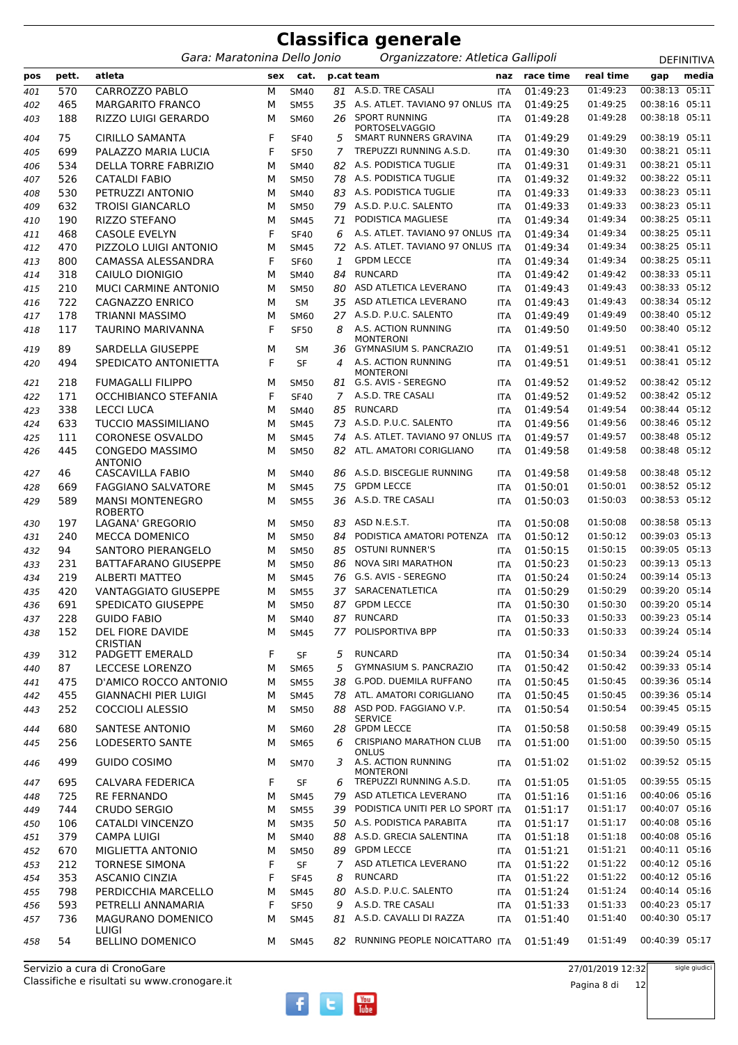|            | <b>Classifica generale</b> |                                                               |        |                            |         |                                                   |                          |                      |                      |                                  |                   |  |  |
|------------|----------------------------|---------------------------------------------------------------|--------|----------------------------|---------|---------------------------------------------------|--------------------------|----------------------|----------------------|----------------------------------|-------------------|--|--|
|            |                            | Gara: Maratonina Dello Jonio                                  |        |                            |         | Organizzatore: Atletica Gallipoli                 |                          |                      |                      |                                  | <b>DEFINITIVA</b> |  |  |
| pos        | pett.                      | atleta                                                        | sex    | cat.                       |         | p.cat team                                        | naz                      | race time            | real time            | gap                              | media             |  |  |
| 401        | 570                        | CARROZZO PABLO                                                | М      | <b>SM40</b>                | 81      | A.S.D. TRE CASALI                                 | <b>ITA</b>               | 01:49:23             | 01:49:23             | 00:38:13                         | 05:11             |  |  |
| 402        | 465                        | <b>MARGARITO FRANCO</b>                                       | М      | <b>SM55</b>                | 35      | A.S. ATLET. TAVIANO 97 ONLUS ITA                  |                          | 01:49:25             | 01:49:25             | 00:38:16                         | 05:11             |  |  |
| 403        | 188                        | RIZZO LUIGI GERARDO                                           | М      | <b>SM60</b>                | 26      | <b>SPORT RUNNING</b><br><b>PORTOSELVAGGIO</b>     | <b>ITA</b>               | 01:49:28             | 01:49:28<br>01:49:29 | 00:38:18 05:11<br>00:38:19 05:11 |                   |  |  |
| 404        | 75<br>699                  | <b>CIRILLO SAMANTA</b><br>PALAZZO MARIA LUCIA                 | F<br>F | <b>SF40</b><br><b>SF50</b> | 5<br>7  | SMART RUNNERS GRAVINA<br>TREPUZZI RUNNING A.S.D.  | <b>ITA</b><br><b>ITA</b> | 01:49:29<br>01:49:30 | 01:49:30             | 00:38:21 05:11                   |                   |  |  |
| 405<br>406 | 534                        | <b>DELLA TORRE FABRIZIO</b>                                   | М      | <b>SM40</b>                | 82      | A.S. PODISTICA TUGLIE                             | <b>ITA</b>               | 01:49:31             | 01:49:31             | 00:38:21 05:11                   |                   |  |  |
| 407        | 526                        | <b>CATALDI FABIO</b>                                          | М      | <b>SM50</b>                | 78      | A.S. PODISTICA TUGLIE                             | <b>ITA</b>               | 01:49:32             | 01:49:32             | 00:38:22 05:11                   |                   |  |  |
| 408        | 530                        | PETRUZZI ANTONIO                                              | M      | <b>SM40</b>                | 83      | A.S. PODISTICA TUGLIE                             | <b>ITA</b>               | 01:49:33             | 01:49:33             | 00:38:23 05:11                   |                   |  |  |
| 409        | 632                        | <b>TROISI GIANCARLO</b>                                       | М      | <b>SM50</b>                | 79      | A.S.D. P.U.C. SALENTO                             | <b>ITA</b>               | 01:49:33             | 01:49:33             | 00:38:23 05:11                   |                   |  |  |
| 410        | 190                        | <b>RIZZO STEFANO</b>                                          | М      | <b>SM45</b>                | 71      | PODISTICA MAGLIESE                                | <b>ITA</b>               | 01:49:34             | 01:49:34             | 00:38:25 05:11                   |                   |  |  |
| 411        | 468                        | <b>CASOLE EVELYN</b>                                          | F      | <b>SF40</b>                | 6       | A.S. ATLET. TAVIANO 97 ONLUS ITA                  |                          | 01:49:34             | 01:49:34             | 00:38:25 05:11                   |                   |  |  |
| 412        | 470                        | PIZZOLO LUIGI ANTONIO                                         | М      | <b>SM45</b>                | 72      | A.S. ATLET. TAVIANO 97 ONLUS ITA                  |                          | 01:49:34             | 01:49:34             | 00:38:25 05:11                   |                   |  |  |
| 413        | 800                        | CAMASSA ALESSANDRA                                            | F      | <b>SF60</b>                | 1       | <b>GPDM LECCE</b>                                 | <b>ITA</b>               | 01:49:34             | 01:49:34             | 00:38:25 05:11                   |                   |  |  |
| 414        | 318                        | CAIULO DIONIGIO                                               | М      | <b>SM40</b>                | 84      | <b>RUNCARD</b>                                    | <b>ITA</b>               | 01:49:42             | 01:49:42             | 00:38:33 05:11                   |                   |  |  |
| 415        | 210                        | MUCI CARMINE ANTONIO                                          | М      | <b>SM50</b>                | 80      | ASD ATLETICA LEVERANO                             | <b>ITA</b>               | 01:49:43             | 01:49:43             | 00:38:33 05:12                   |                   |  |  |
| 416        | 722                        | CAGNAZZO ENRICO                                               | М      | <b>SM</b>                  | 35      | ASD ATLETICA LEVERANO                             | <b>ITA</b>               | 01:49:43             | 01:49:43             | 00:38:34 05:12                   |                   |  |  |
| 417        | 178                        | <b>TRIANNI MASSIMO</b>                                        | М      | <b>SM60</b>                | 27      | A.S.D. P.U.C. SALENTO                             | <b>ITA</b>               | 01:49:49             | 01:49:49             | 00:38:40 05:12<br>00:38:40 05:12 |                   |  |  |
| 418        | 117                        | TAURINO MARIVANNA                                             | F      | <b>SF50</b>                | 8       | A.S. ACTION RUNNING<br>MONTERONI                  | <b>ITA</b>               | 01:49:50             | 01:49:50             |                                  |                   |  |  |
| 419        | 89                         | SARDELLA GIUSEPPE                                             | М      | SМ                         | 36      | GYMNASIUM S. PANCRAZIO                            | <b>ITA</b>               | 01:49:51             | 01:49:51             | 00:38:41 05:12                   |                   |  |  |
| 420        | 494                        | SPEDICATO ANTONIETTA                                          | F      | <b>SF</b>                  | 4       | A.S. ACTION RUNNING                               | <b>ITA</b>               | 01:49:51             | 01:49:51             | 00:38:41 05:12                   |                   |  |  |
| 421        | 218                        | <b>FUMAGALLI FILIPPO</b>                                      | М      | <b>SM50</b>                | 81      | <b>MONTERONI</b><br>G.S. AVIS - SEREGNO           | <b>ITA</b>               | 01:49:52             | 01:49:52             | 00:38:42 05:12                   |                   |  |  |
| 422        | 171                        | <b>OCCHIBIANCO STEFANIA</b>                                   | F      | <b>SF40</b>                | 7       | A.S.D. TRE CASALI                                 | <b>ITA</b>               | 01:49:52             | 01:49:52             | 00:38:42 05:12                   |                   |  |  |
| 423        | 338                        | <b>LECCI LUCA</b>                                             | М      | <b>SM40</b>                | 85      | <b>RUNCARD</b>                                    | <b>ITA</b>               | 01:49:54             | 01:49:54             | 00:38:44 05:12                   |                   |  |  |
| 424        | 633                        | <b>TUCCIO MASSIMILIANO</b>                                    | M      | <b>SM45</b>                | 73      | A.S.D. P.U.C. SALENTO                             | <b>ITA</b>               | 01:49:56             | 01:49:56             | 00:38:46 05:12                   |                   |  |  |
| 425        | 111                        | <b>CORONESE OSVALDO</b>                                       | М      | <b>SM45</b>                | 74      | A.S. ATLET. TAVIANO 97 ONLUS ITA                  |                          | 01:49:57             | 01:49:57             | 00:38:48 05:12                   |                   |  |  |
| 426        | 445                        | <b>CONGEDO MASSIMO</b><br><b>ANTONIO</b>                      | М      | <b>SM50</b>                | 82      | ATL. AMATORI CORIGLIANO                           | <b>ITA</b>               | 01:49:58             | 01:49:58             | 00:38:48 05:12                   |                   |  |  |
| 427        | 46                         | <b>CASCAVILLA FABIO</b>                                       | М      | <b>SM40</b>                | 86      | A.S.D. BISCEGLIE RUNNING                          | <b>ITA</b>               | 01:49:58             | 01:49:58             | 00:38:48 05:12                   |                   |  |  |
| 428        | 669                        | <b>FAGGIANO SALVATORE</b>                                     | М      | <b>SM45</b>                | 75      | <b>GPDM LECCE</b>                                 | <b>ITA</b>               | 01:50:01             | 01:50:01             | 00:38:52 05:12                   |                   |  |  |
| 429<br>430 | 589<br>197                 | <b>MANSI MONTENEGRO</b><br><b>ROBERTO</b><br>LAGANA' GREGORIO | М<br>М | <b>SM55</b><br><b>SM50</b> | 83      | 36 A.S.D. TRE CASALI<br>ASD N.E.S.T.              | <b>ITA</b><br><b>ITA</b> | 01:50:03<br>01:50:08 | 01:50:03<br>01:50:08 | 00:38:53 05:12<br>00:38:58 05:13 |                   |  |  |
| 431        | 240                        | <b>MECCA DOMENICO</b>                                         | M      | <b>SM50</b>                | 84      | PODISTICA AMATORI POTENZA                         | <b>ITA</b>               | 01:50:12             | 01:50:12             | 00:39:03 05:13                   |                   |  |  |
| 432        | 94                         | SANTORO PIERANGELO                                            | M      | <b>SM50</b>                | 85      | <b>OSTUNI RUNNER'S</b>                            | <b>ITA</b>               | 01:50:15             | 01:50:15             | 00:39:05 05:13                   |                   |  |  |
| 433        | 231                        | <b>BATTAFARANO GIUSEPPE</b>                                   | м      | <b>SM50</b>                | 86      | <b>NOVA SIRI MARATHON</b>                         | <b>ITA</b>               | 01:50:23             | 01:50:23             | 00:39:13 05:13                   |                   |  |  |
| 434        | 219                        | <b>ALBERTI MATTEO</b>                                         | М      | <b>SM45</b>                | 76      | G.S. AVIS - SEREGNO                               | <b>ITA</b>               | 01:50:24             | 01:50:24             | 00:39:14 05:13                   |                   |  |  |
| 435        | 420                        | VANTAGGIATO GIUSEPPE                                          | М      | <b>SM55</b>                |         | 37 SARACENATLETICA                                | ITA                      | 01:50:29             | 01:50:29             | 00:39:20 05:14                   |                   |  |  |
| 436        | 691                        | SPEDICATO GIUSEPPE                                            | М      | <b>SM50</b>                |         | 87 GPDM LECCE                                     | ITA                      | 01:50:30             | 01:50:30             | 00:39:20 05:14                   |                   |  |  |
| 437        | 228                        | <b>GUIDO FABIO</b>                                            | М      | <b>SM40</b>                |         | 87 RUNCARD                                        | ITA                      | 01:50:33             | 01:50:33             | 00:39:23 05:14                   |                   |  |  |
| 438        | 152                        | <b>DEL FIORE DAVIDE</b><br><b>CRISTIAN</b>                    | M      | <b>SM45</b>                | 77      | POLISPORTIVA BPP                                  | ITA                      | 01:50:33             | 01:50:33             | 00:39:24 05:14                   |                   |  |  |
| 439        | 312                        | PADGETT EMERALD                                               | F      | SF                         | 5       | <b>RUNCARD</b>                                    | <b>ITA</b>               | 01:50:34             | 01:50:34             | 00:39:24 05:14                   |                   |  |  |
| 440        | 87                         | <b>LECCESE LORENZO</b>                                        | М      | <b>SM65</b>                | 5       | GYMNASIUM S. PANCRAZIO                            | <b>ITA</b>               | 01:50:42             | 01:50:42             | 00:39:33 05:14                   |                   |  |  |
| 441        | 475                        | D'AMICO ROCCO ANTONIO                                         | М      | <b>SM55</b>                | 38      | G.POD. DUEMILA RUFFANO<br>ATL. AMATORI CORIGLIANO | <b>ITA</b>               | 01:50:45             | 01:50:45             | 00:39:36 05:14<br>00:39:36 05:14 |                   |  |  |
| 442<br>443 | 455<br>252                 | <b>GIANNACHI PIER LUIGI</b><br><b>COCCIOLI ALESSIO</b>        | М<br>М | <b>SM45</b><br><b>SM50</b> | 78      | 88 ASD POD. FAGGIANO V.P.<br><b>SERVICE</b>       | <b>ITA</b><br>ITA        | 01:50:45<br>01:50:54 | 01:50:45<br>01:50:54 | 00:39:45 05:15                   |                   |  |  |
| 444        | 680                        | <b>SANTESE ANTONIO</b>                                        | М      | SM60                       | 28      | <b>GPDM LECCE</b>                                 | <b>ITA</b>               | 01:50:58             | 01:50:58             | 00:39:49 05:15                   |                   |  |  |
| 445        | 256                        | <b>LODESERTO SANTE</b>                                        | М      | <b>SM65</b>                | 6       | <b>CRISPIANO MARATHON CLUB</b>                    | <b>ITA</b>               | 01:51:00             | 01:51:00             | 00:39:50 05:15                   |                   |  |  |
| 446        | 499                        | <b>GUIDO COSIMO</b>                                           | м      | <b>SM70</b>                | 3       | ONLUS<br>A.S. ACTION RUNNING<br><b>MONTERONI</b>  | <b>ITA</b>               | 01:51:02             | 01:51:02             | 00:39:52 05:15                   |                   |  |  |
| 447        | 695                        | CALVARA FEDERICA                                              | F      | SF                         | 6       | TREPUZZI RUNNING A.S.D.                           | ITA                      | 01:51:05             | 01:51:05             | 00:39:55 05:15                   |                   |  |  |
| 448        | 725                        | <b>RE FERNANDO</b>                                            | М      | <b>SM45</b>                | 79      | ASD ATLETICA LEVERANO                             | <b>ITA</b>               | 01:51:16             | 01:51:16             | 00:40:06 05:16                   |                   |  |  |
| 449        | 744                        | CRUDO SERGIO                                                  | М      | <b>SM55</b>                | 39      | PODISTICA UNITI PER LO SPORT ITA                  |                          | 01:51:17             | 01:51:17             | 00:40:07 05:16                   |                   |  |  |
| 450        | 106                        | CATALDI VINCENZO                                              | М      | <b>SM35</b>                | 50      | A.S. PODISTICA PARABITA                           | <b>ITA</b>               | 01:51:17             | 01:51:17             | 00:40:08 05:16                   |                   |  |  |
| 451        | 379                        | <b>CAMPA LUIGI</b>                                            | М      | <b>SM40</b>                | 88      | A.S.D. GRECIA SALENTINA                           | ITA                      | 01:51:18             | 01:51:18             | 00:40:08 05:16                   |                   |  |  |
| 452        | 670                        | MIGLIETTA ANTONIO                                             | М      | <b>SM50</b>                | 89      | <b>GPDM LECCE</b>                                 | <b>ITA</b>               | 01:51:21             | 01:51:21             | 00:40:11 05:16                   |                   |  |  |
| 453        | 212                        | <b>TORNESE SIMONA</b>                                         | F      | <b>SF</b>                  | 7       | ASD ATLETICA LEVERANO                             | <b>ITA</b>               | 01:51:22             | 01:51:22             | 00:40:12 05:16                   |                   |  |  |
| 454        | 353<br>798                 | <b>ASCANIO CINZIA</b><br>PERDICCHIA MARCELLO                  | F      | <b>SF45</b>                | 8<br>80 | <b>RUNCARD</b><br>A.S.D. P.U.C. SALENTO           | <b>ITA</b>               | 01:51:22<br>01:51:24 | 01:51:22<br>01:51:24 | 00:40:12 05:16<br>00:40:14 05:16 |                   |  |  |
| 455<br>456 | 593                        | PETRELLI ANNAMARIA                                            | М<br>F | <b>SM45</b><br><b>SF50</b> | 9       | A.S.D. TRE CASALI                                 | <b>ITA</b><br>ITA        | 01:51:33             | 01:51:33             | 00:40:23 05:17                   |                   |  |  |
| 457        | 736                        | MAGURANO DOMENICO                                             | М      | <b>SM45</b>                | 81      | A.S.D. CAVALLI DI RAZZA                           | ITA                      | 01:51:40             | 01:51:40             | 00:40:30 05:17                   |                   |  |  |
| 458        | 54                         | LUIGI<br><b>BELLINO DOMENICO</b>                              | М      | <b>SM45</b>                | 82      | RUNNING PEOPLE NOICATTARO ITA                     |                          | 01:51:49             | 01:51:49             | 00:40:39 05:17                   |                   |  |  |
|            |                            |                                                               |        |                            |         |                                                   |                          |                      |                      |                                  |                   |  |  |

 $\begin{array}{|c|} \hline \textbf{You} \\\hline \textbf{Iube} \end{array}$ 

 $\mathbf{e}$ 

 $\mathbf{f}$ 

Classifiche e risultati su www.cronogare.it Servizio a cura di CronoGare

27/01/2019 12:32

sigle giudici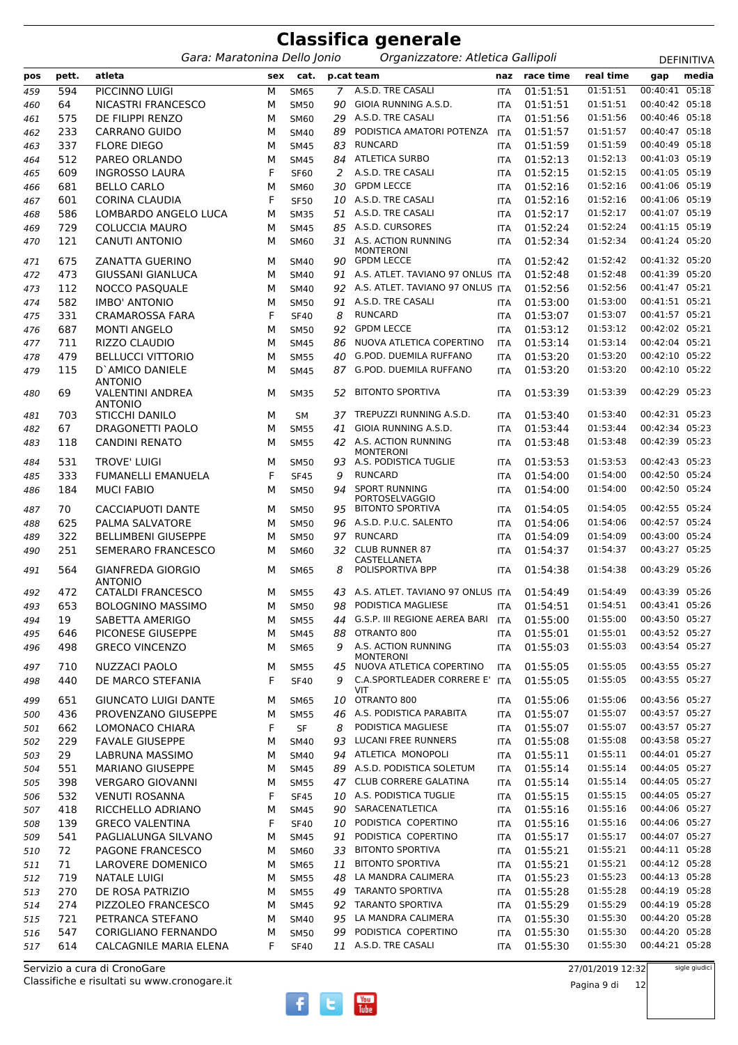|            |            |                                            |        |                            |         | Classifica generale                                                 |                   |                      |                      |                                  |            |
|------------|------------|--------------------------------------------|--------|----------------------------|---------|---------------------------------------------------------------------|-------------------|----------------------|----------------------|----------------------------------|------------|
|            |            | Gara: Maratonina Dello Jonio               |        |                            |         | Organizzatore: Atletica Gallipoli                                   |                   |                      |                      |                                  | DEFINITIVA |
| pos        | pett.      | atleta                                     | sex    | cat.                       |         | p.cat team                                                          | naz               | race time            | real time            | gap                              | media      |
| 459        | 594        | PICCINNO LUIGI                             | М      | <b>SM65</b>                | 7       | A.S.D. TRE CASALI                                                   | <b>ITA</b>        | 01:51:51             | 01:51:51             | 00:40:41                         | 05:18      |
| 460        | 64         | NICASTRI FRANCESCO                         | М      | <b>SM50</b>                | 90      | GIOIA RUNNING A.S.D.                                                | <b>ITA</b>        | 01:51:51             | 01:51:51             | 00:40:42 05:18                   |            |
| 461        | 575        | DE FILIPPI RENZO                           | М      | <b>SM60</b>                | 29      | A.S.D. TRE CASALI                                                   | <b>ITA</b>        | 01:51:56             | 01:51:56             | 00:40:46 05:18                   |            |
| 462        | 233        | <b>CARRANO GUIDO</b>                       | М      | <b>SM40</b>                | 89      | PODISTICA AMATORI POTENZA                                           | <b>ITA</b>        | 01:51:57             | 01:51:57             | 00:40:47 05:18                   |            |
| 463        | 337        | <b>FLORE DIEGO</b>                         | М      | <b>SM45</b>                | 83      | <b>RUNCARD</b>                                                      | <b>ITA</b>        | 01:51:59             | 01:51:59             | 00:40:49 05:18                   |            |
| 464        | 512        | PAREO ORLANDO                              | М      | <b>SM45</b>                | 84      | <b>ATLETICA SURBO</b>                                               | <b>ITA</b>        | 01:52:13             | 01:52:13             | 00:41:03 05:19                   |            |
| 465        | 609        | <b>INGROSSO LAURA</b>                      | F      | <b>SF60</b>                | 2       | A.S.D. TRE CASALI                                                   | <b>ITA</b>        | 01:52:15             | 01:52:15             | 00:41:05 05:19                   |            |
| 466        | 681        | <b>BELLO CARLO</b>                         | М      | <b>SM60</b>                | 30      | <b>GPDM LECCE</b>                                                   | <b>ITA</b>        | 01:52:16             | 01:52:16             | 00:41:06 05:19                   |            |
| 467        | 601        | <b>CORINA CLAUDIA</b>                      | F      | <b>SF50</b>                | 10      | A.S.D. TRE CASALI                                                   | <b>ITA</b>        | 01:52:16             | 01:52:16             | 00:41:06 05:19                   |            |
| 468        | 586        | LOMBARDO ANGELO LUCA                       | М      | <b>SM35</b>                | 51      | A.S.D. TRE CASALI                                                   | <b>ITA</b>        | 01:52:17             | 01:52:17             | 00:41:07 05:19                   |            |
| 469        | 729        | <b>COLUCCIA MAURO</b>                      | М      | <b>SM45</b>                | 85      | A.S.D. CURSORES                                                     | <b>ITA</b>        | 01:52:24             | 01:52:24             | 00:41:15 05:19                   |            |
| 470        | 121        | <b>CANUTI ANTONIO</b>                      | М      | <b>SM60</b>                | 31      | A.S. ACTION RUNNING<br><b>MONTERONI</b>                             | <b>ITA</b>        | 01:52:34             | 01:52:34             | 00:41:24 05:20                   |            |
| 471        | 675        | ZANATTA GUERINO                            | M      | <b>SM40</b>                | 90      | <b>GPDM LECCE</b>                                                   | <b>ITA</b>        | 01:52:42             | 01:52:42             | 00:41:32 05:20                   |            |
| 472        | 473        | GIUSSANI GIANLUCA                          | M      | <b>SM40</b>                | 91      | A.S. ATLET. TAVIANO 97 ONLUS ITA                                    |                   | 01:52:48             | 01:52:48             | 00:41:39 05:20                   |            |
| 473        | 112        | <b>NOCCO PASQUALE</b>                      | M      | <b>SM40</b>                | 92      | A.S. ATLET. TAVIANO 97 ONLUS ITA                                    |                   | 01:52:56             | 01:52:56             | 00:41:47 05:21                   |            |
| 474        | 582        | <b>IMBO' ANTONIO</b>                       | М      | <b>SM50</b>                | 91      | A.S.D. TRE CASALI                                                   | <b>ITA</b>        | 01:53:00             | 01:53:00             | 00:41:51 05:21                   |            |
| 475        | 331        | <b>CRAMAROSSA FARA</b>                     | F      | <b>SF40</b>                | 8       | <b>RUNCARD</b>                                                      | <b>ITA</b>        | 01:53:07             | 01:53:07             | 00:41:57 05:21                   |            |
| 476        | 687        | <b>MONTI ANGELO</b>                        | М      | <b>SM50</b>                | 92      | <b>GPDM LECCE</b>                                                   | <b>ITA</b>        | 01:53:12             | 01:53:12             | 00:42:02 05:21                   |            |
| 477        | 711        | RIZZO CLAUDIO                              | M      | <b>SM45</b>                | 86      | NUOVA ATLETICA COPERTINO                                            | <b>ITA</b>        | 01:53:14             | 01:53:14             | 00:42:04 05:21                   |            |
| 478        | 479        | <b>BELLUCCI VITTORIO</b>                   | М      | <b>SM55</b>                | 40      | G.POD. DUEMILA RUFFANO                                              | <b>ITA</b>        | 01:53:20             | 01:53:20             | 00:42:10 05:22                   |            |
| 479        | 115        | D'AMICO DANIELE<br><b>ANTONIO</b>          | M      | <b>SM45</b>                | 87      | G.POD. DUEMILA RUFFANO                                              | <b>ITA</b>        | 01:53:20             | 01:53:20             | 00:42:10 05:22                   |            |
| 480        | 69         | <b>VALENTINI ANDREA</b><br><b>ANTONIO</b>  | M      | <b>SM35</b>                | 52      | <b>BITONTO SPORTIVA</b><br>TREPUZZI RUNNING A.S.D.                  | <b>ITA</b>        | 01:53:39             | 01:53:39<br>01:53:40 | 00:42:29 05:23<br>00:42:31 05:23 |            |
| 481        | 703        | <b>STICCHI DANILO</b><br>DRAGONETTI PAOLO  | м      | <b>SM</b>                  | 37      | GIOIA RUNNING A.S.D.                                                | <b>ITA</b>        | 01:53:40<br>01:53:44 | 01:53:44             | 00:42:34 05:23                   |            |
| 482        | 67         | <b>CANDINI RENATO</b>                      | М      | <b>SM55</b>                | 41      | A.S. ACTION RUNNING                                                 | <b>ITA</b>        | 01:53:48             | 01:53:48             | 00:42:39 05:23                   |            |
| 483        | 118        |                                            | М      | <b>SM55</b>                | 42      | <b>MONTERONI</b>                                                    | <b>ITA</b>        |                      |                      |                                  |            |
| 484        | 531        | <b>TROVE' LUIGI</b>                        | М      | <b>SM50</b>                | 93      | A.S. PODISTICA TUGLIE                                               | <b>ITA</b>        | 01:53:53             | 01:53:53             | 00:42:43 05:23                   |            |
| 485        | 333        | FUMANELLI EMANUELA                         | F      | <b>SF45</b>                | 9       | <b>RUNCARD</b>                                                      | <b>ITA</b>        | 01:54:00             | 01:54:00             | 00:42:50 05:24                   |            |
| 486        | 184        | <b>MUCI FABIO</b>                          | M      | <b>SM50</b>                | 94      | <b>SPORT RUNNING</b><br>PORTOSELVAGGIO                              | <b>ITA</b>        | 01:54:00             | 01:54:00             | 00:42:50 05:24                   |            |
| 487        | 70         | <b>CACCIAPUOTI DANTE</b>                   | М      | <b>SM50</b>                | 95      | <b>BITONTO SPORTIVA</b>                                             | <b>ITA</b>        | 01:54:05             | 01:54:05             | 00:42:55 05:24                   |            |
| 488        | 625        | PALMA SALVATORE                            | M      | <b>SM50</b>                | 96      | A.S.D. P.U.C. SALENTO                                               | <b>ITA</b>        | 01:54:06             | 01:54:06             | 00:42:57 05:24                   |            |
| 489        | 322        | <b>BELLIMBENI GIUSEPPE</b>                 | М      | <b>SM50</b>                | 97      | <b>RUNCARD</b>                                                      | <b>ITA</b>        | 01:54:09             | 01:54:09             | 00:43:00 05:24                   |            |
| 490        | 251        | <b>SEMERARO FRANCESCO</b>                  | M      | <b>SM60</b>                | 32      | <b>CLUB RUNNER 87</b><br>CASTELLANETA                               | <b>ITA</b>        | 01:54:37             | 01:54:37             | 00:43:27 05:25                   |            |
| 491        | 564        | <b>GIANFREDA GIORGIO</b><br><b>ANTONIO</b> | м      | <b>SM65</b>                | 8       | POLISPORTIVA BPP                                                    | <b>ITA</b>        | 01:54:38             | 01:54:38             | 00:43:29 05:26                   |            |
| 492        | 472        | <b>CATALDI FRANCESCO</b>                   | М      | <b>SM55</b>                | 43      | A.S. ATLET. TAVIANO 97 ONLUS ITA                                    |                   | 01:54:49             | 01:54:49             | 00:43:39 05:26                   |            |
| 493        | 653        | <b>BOLOGNINO MASSIMO</b>                   | М      | <b>SM50</b>                | 98      | PODISTICA MAGLIESE                                                  | <b>ITA</b>        | 01:54:51             | 01:54:51             | 00:43:41 05:26                   |            |
| 494        | 19         | SABETTA AMERIGO                            | М      | <b>SM55</b>                | 44      | G.S.P. III REGIONE AEREA BARI                                       | <b>ITA</b>        | 01:55:00             | 01:55:00             | 00:43:50 05:27                   |            |
| 495        | 646        | PICONESE GIUSEPPE                          | М      | <b>SM45</b>                | 88      | OTRANTO 800                                                         | ITA               | 01:55:01             | 01:55:01             | 00:43:52 05:27                   |            |
| 496        | 498<br>710 | <b>GRECO VINCENZO</b><br>NUZZACI PAOLO     | М      | <b>SM65</b>                | 9<br>45 | A.S. ACTION RUNNING<br><b>MONTERONI</b><br>NUOVA ATLETICA COPERTINO | <b>ITA</b><br>ITA | 01:55:03<br>01:55:05 | 01:55:03<br>01:55:05 | 00:43:54 05:27<br>00:43:55 05:27 |            |
| 497<br>498 | 440        | DE MARCO STEFANIA                          | М<br>F | <b>SM55</b><br><b>SF40</b> | 9       | C.A.SPORTLEADER CORRERE E' ITA                                      |                   | 01:55:05             | 01:55:05             | 00:43:55 05:27                   |            |
|            |            |                                            |        |                            |         | VIT                                                                 |                   |                      |                      |                                  |            |
| 499        | 651        | <b>GIUNCATO LUIGI DANTE</b>                | М      | <b>SM65</b>                | 10      | OTRANTO 800                                                         | ITA               | 01:55:06             | 01:55:06             | 00:43:56 05:27                   |            |
| 500        | 436        | PROVENZANO GIUSEPPE                        | М      | <b>SM55</b>                | 46      | A.S. PODISTICA PARABITA                                             | <b>ITA</b>        | 01:55:07             | 01:55:07             | 00:43:57 05:27                   |            |
| 501        | 662        | LOMONACO CHIARA                            | F      | SF                         | 8       | PODISTICA MAGLIESE                                                  | <b>ITA</b>        | 01:55:07             | 01:55:07             | 00:43:57 05:27                   |            |
| 502        | 229        | <b>FAVALE GIUSEPPE</b>                     | М      | <b>SM40</b>                | 93      | LUCANI FREE RUNNERS                                                 | <b>ITA</b>        | 01:55:08             | 01:55:08             | 00:43:58 05:27                   |            |
| 503        | 29         | LABRUNA MASSIMO                            | М      | <b>SM40</b>                | 94      | ATLETICA MONOPOLI                                                   | <b>ITA</b>        | 01:55:11             | 01:55:11             | 00:44:01 05:27                   |            |
| 504        | 551        | <b>MARIANO GIUSEPPE</b>                    | М      | <b>SM45</b>                |         | 89 A.S.D. PODISTICA SOLETUM                                         | <b>ITA</b>        | 01:55:14             | 01:55:14             | 00:44:05 05:27                   |            |
| 505        | 398        | <b>VERGARO GIOVANNI</b>                    | М      | <b>SM55</b>                |         | 47 CLUB CORRERE GALATINA                                            | <b>ITA</b>        | 01:55:14             | 01:55:14             | 00:44:05 05:27                   |            |
| 506        | 532        | <b>VENUTI ROSANNA</b>                      | F      | <b>SF45</b>                | 10      | A.S. PODISTICA TUGLIE                                               | <b>ITA</b>        | 01:55:15             | 01:55:15             | 00:44:05 05:27                   |            |
| 507        | 418        | RICCHELLO ADRIANO                          | м      | <b>SM45</b>                | 90      | SARACENATLETICA                                                     | <b>ITA</b>        | 01:55:16             | 01:55:16             | 00:44:06 05:27                   |            |
| 508        | 139        | <b>GRECO VALENTINA</b>                     | F      | <b>SF40</b>                | 10      | PODISTICA COPERTINO                                                 | <b>ITA</b>        | 01:55:16             | 01:55:16             | 00:44:06 05:27                   |            |
| 509        | 541        | PAGLIALUNGA SILVANO                        | М      | <b>SM45</b>                | 91      | PODISTICA COPERTINO                                                 | <b>ITA</b>        | 01:55:17             | 01:55:17             | 00:44:07 05:27                   |            |
| 510        | 72         | PAGONE FRANCESCO                           | М      | <b>SM60</b>                | 33      | <b>BITONTO SPORTIVA</b>                                             | ITA               | 01:55:21             | 01:55:21             | 00:44:11 05:28                   |            |
| 511        | 71         | LAROVERE DOMENICO                          | М      | <b>SM65</b>                | 11      | <b>BITONTO SPORTIVA</b>                                             | <b>ITA</b>        | 01:55:21             | 01:55:21             | 00:44:12 05:28                   |            |
| 512        | 719        | <b>NATALE LUIGI</b>                        | М      | <b>SM55</b>                | 48      | LA MANDRA CALIMERA                                                  | <b>ITA</b>        | 01:55:23             | 01:55:23             | 00:44:13 05:28                   |            |
| 513        | 270        | DE ROSA PATRIZIO                           | М      | <b>SM55</b>                |         | 49 TARANTO SPORTIVA                                                 | <b>ITA</b>        | 01:55:28             | 01:55:28             | 00:44:19 05:28                   |            |
| 514        | 274        | PIZZOLEO FRANCESCO                         | М      | <b>SM45</b>                |         | 92 TARANTO SPORTIVA                                                 | <b>ITA</b>        | 01:55:29             | 01:55:29             | 00:44:19 05:28                   |            |
| 515        | 721        | PETRANCA STEFANO                           | М      | <b>SM40</b>                | 95      | LA MANDRA CALIMERA                                                  | <b>ITA</b>        | 01:55:30             | 01:55:30             | 00:44:20 05:28                   |            |
| 516        | 547        | <b>CORIGLIANO FERNANDO</b>                 | М      | <b>SM50</b>                | 99      | PODISTICA COPERTINO                                                 | <b>ITA</b>        | 01:55:30             | 01:55:30             | 00:44:20 05:28                   |            |
| 517        | 614        | CALCAGNILE MARIA ELENA                     | F      | <b>SF40</b>                |         | 11 A.S.D. TRE CASALI                                                | ITA               | 01:55:30             | 01:55:30             | 00:44:21 05:28                   |            |

 $\begin{bmatrix}\n\text{You} \\
\text{Iube}\n\end{bmatrix}$ 

 $\mathbf{e}$ 

Ŧ

Classifiche e risultati su www.cronogare.it Servizio a cura di CronoGare

27/01/2019 12:32

Pagina 9 di 12

sigle giudici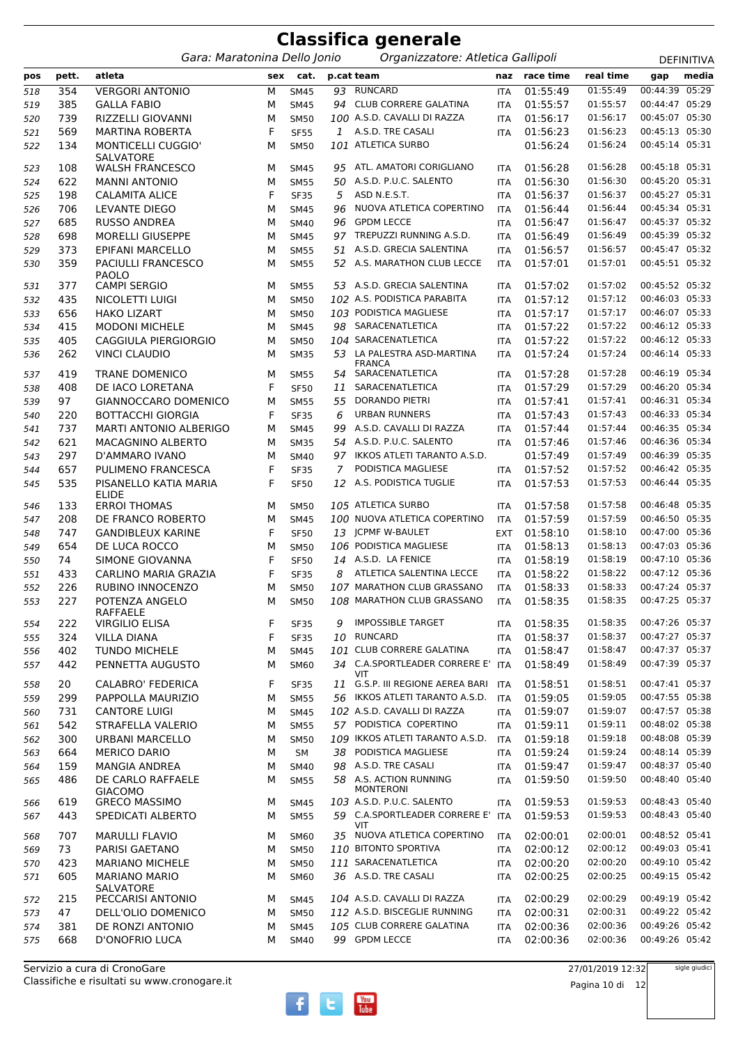|     | <b>Classifica generale</b> |                                          |     |             |    |                                            |            |           |           |                |                   |  |  |  |
|-----|----------------------------|------------------------------------------|-----|-------------|----|--------------------------------------------|------------|-----------|-----------|----------------|-------------------|--|--|--|
|     |                            | Gara: Maratonina Dello Jonio             |     |             |    | Organizzatore: Atletica Gallipoli          |            |           |           |                | <b>DEFINITIVA</b> |  |  |  |
| pos | pett.                      | atleta                                   | sex | cat.        |    | p.cat team                                 | naz        | race time | real time | gap            | media             |  |  |  |
| 518 | 354                        | <b>VERGORI ANTONIO</b>                   | M   | <b>SM45</b> | 93 | <b>RUNCARD</b>                             | <b>ITA</b> | 01:55:49  | 01:55:49  | 00:44:39       | 05:29             |  |  |  |
| 519 | 385                        | <b>GALLA FABIO</b>                       | М   | <b>SM45</b> | 94 | <b>CLUB CORRERE GALATINA</b>               | <b>ITA</b> | 01:55:57  | 01:55:57  | 00:44:47 05:29 |                   |  |  |  |
| 520 | 739                        | RIZZELLI GIOVANNI                        | M   | <b>SM50</b> |    | 100 A.S.D. CAVALLI DI RAZZA                | <b>ITA</b> | 01:56:17  | 01:56:17  | 00:45:07       | 05:30             |  |  |  |
| 521 | 569                        | <b>MARTINA ROBERTA</b>                   | F   | <b>SF55</b> |    | 1 A.S.D. TRE CASALI                        | <b>ITA</b> | 01:56:23  | 01:56:23  | 00:45:13 05:30 |                   |  |  |  |
| 522 | 134                        | MONTICELLI CUGGIO'                       | М   | <b>SM50</b> |    | 101 ATLETICA SURBO                         |            | 01:56:24  | 01:56:24  | 00:45:14 05:31 |                   |  |  |  |
| 523 | 108                        | SALVATORE<br><b>WALSH FRANCESCO</b>      | M   | <b>SM45</b> | 95 | ATL. AMATORI CORIGLIANO                    | <b>ITA</b> | 01:56:28  | 01:56:28  | 00:45:18       | 05:31             |  |  |  |
| 524 | 622                        | <b>MANNI ANTONIO</b>                     | M   | <b>SM55</b> | 50 | A.S.D. P.U.C. SALENTO                      | <b>ITA</b> | 01:56:30  | 01:56:30  | 00:45:20 05:31 |                   |  |  |  |
| 525 | 198                        | <b>CALAMITA ALICE</b>                    | F   | <b>SF35</b> | 5  | ASD N.E.S.T.                               | <b>ITA</b> | 01:56:37  | 01:56:37  | 00:45:27 05:31 |                   |  |  |  |
| 526 | 706                        | LEVANTE DIEGO                            | M   | <b>SM45</b> | 96 | NUOVA ATLETICA COPERTINO                   | <b>ITA</b> | 01:56:44  | 01:56:44  | 00:45:34 05:31 |                   |  |  |  |
| 527 | 685                        | <b>RUSSO ANDREA</b>                      | M   | <b>SM40</b> | 96 | <b>GPDM LECCE</b>                          | <b>ITA</b> | 01:56:47  | 01:56:47  | 00:45:37 05:32 |                   |  |  |  |
| 528 | 698                        | <b>MORELLI GIUSEPPE</b>                  | M   | <b>SM45</b> | 97 | TREPUZZI RUNNING A.S.D.                    | <b>ITA</b> | 01:56:49  | 01:56:49  | 00:45:39 05:32 |                   |  |  |  |
| 529 | 373                        | EPIFANI MARCELLO                         | М   | <b>SM55</b> | 51 | A.S.D. GRECIA SALENTINA                    | <b>ITA</b> | 01:56:57  | 01:56:57  | 00:45:47 05:32 |                   |  |  |  |
| 530 | 359                        | PACIULLI FRANCESCO                       | M   | <b>SM55</b> | 52 | A.S. MARATHON CLUB LECCE                   | <b>ITA</b> | 01:57:01  | 01:57:01  | 00:45:51 05:32 |                   |  |  |  |
|     |                            | <b>PAOLO</b>                             |     |             |    |                                            |            |           |           |                |                   |  |  |  |
| 531 | 377                        | <b>CAMPI SERGIO</b>                      | M   | <b>SM55</b> | 53 | A.S.D. GRECIA SALENTINA                    | <b>ITA</b> | 01:57:02  | 01:57:02  | 00:45:52 05:32 |                   |  |  |  |
| 532 | 435                        | NICOLETTI LUIGI                          | M   | <b>SM50</b> |    | 102 A.S. PODISTICA PARABITA                | <b>ITA</b> | 01:57:12  | 01:57:12  | 00:46:03 05:33 |                   |  |  |  |
| 533 | 656                        | <b>HAKO LIZART</b>                       | М   | <b>SM50</b> |    | 103 PODISTICA MAGLIESE                     | <b>ITA</b> | 01:57:17  | 01:57:17  | 00:46:07 05:33 |                   |  |  |  |
| 534 | 415                        | <b>MODONI MICHELE</b>                    | M   | <b>SM45</b> | 98 | SARACENATLETICA                            | <b>ITA</b> | 01:57:22  | 01:57:22  | 00:46:12 05:33 |                   |  |  |  |
| 535 | 405                        | CAGGIULA PIERGIORGIO                     | М   | <b>SM50</b> |    | 104 SARACENATLETICA                        | <b>ITA</b> | 01:57:22  | 01:57:22  | 00:46:12 05:33 |                   |  |  |  |
| 536 | 262                        | <b>VINCI CLAUDIO</b>                     | м   | <b>SM35</b> | 53 | LA PALESTRA ASD-MARTINA                    | <b>ITA</b> | 01:57:24  | 01:57:24  | 00:46:14 05:33 |                   |  |  |  |
| 537 | 419                        | <b>TRANE DOMENICO</b>                    | М   | <b>SM55</b> |    | <b>FRANCA</b><br>54 SARACENATLETICA        | <b>ITA</b> | 01:57:28  | 01:57:28  | 00:46:19 05:34 |                   |  |  |  |
| 538 | 408                        | DE IACO LORETANA                         | F   | <b>SF50</b> | 11 | SARACENATLETICA                            | <b>ITA</b> | 01:57:29  | 01:57:29  | 00:46:20       | 05:34             |  |  |  |
| 539 | 97                         | GIANNOCCARO DOMENICO                     | M   | <b>SM55</b> | 55 | DORANDO PIETRI                             | <b>ITA</b> | 01:57:41  | 01:57:41  | 00:46:31 05:34 |                   |  |  |  |
| 540 | 220                        | <b>BOTTACCHI GIORGIA</b>                 | F   | <b>SF35</b> | 6  | <b>URBAN RUNNERS</b>                       | <b>ITA</b> | 01:57:43  | 01:57:43  | 00:46:33 05:34 |                   |  |  |  |
| 541 | 737                        | <b>MARTI ANTONIO ALBERIGO</b>            | М   | <b>SM45</b> | 99 | A.S.D. CAVALLI DI RAZZA                    | <b>ITA</b> | 01:57:44  | 01:57:44  | 00:46:35 05:34 |                   |  |  |  |
| 542 | 621                        | <b>MACAGNINO ALBERTO</b>                 | M   | <b>SM35</b> | 54 | A.S.D. P.U.C. SALENTO                      | <b>ITA</b> | 01:57:46  | 01:57:46  | 00:46:36 05:34 |                   |  |  |  |
| 543 | 297                        | D'AMMARO IVANO                           | М   | <b>SM40</b> | 97 | IKKOS ATLETI TARANTO A.S.D.                |            | 01:57:49  | 01:57:49  | 00:46:39 05:35 |                   |  |  |  |
| 544 | 657                        | PULIMENO FRANCESCA                       | F   | <b>SF35</b> | 7  | PODISTICA MAGLIESE                         | <b>ITA</b> | 01:57:52  | 01:57:52  | 00:46:42 05:35 |                   |  |  |  |
| 545 | 535                        | PISANELLO KATIA MARIA                    | F   | <b>SF50</b> | 12 | A.S. PODISTICA TUGLIE                      | <b>ITA</b> | 01:57:53  | 01:57:53  | 00:46:44 05:35 |                   |  |  |  |
|     |                            | <b>ELIDE</b>                             |     |             |    |                                            |            |           |           |                |                   |  |  |  |
| 546 | 133                        | <b>ERROI THOMAS</b>                      | M   | <b>SM50</b> |    | 105 ATLETICA SURBO                         | <b>ITA</b> | 01:57:58  | 01:57:58  | 00:46:48       | 05:35             |  |  |  |
| 547 | 208                        | DE FRANCO ROBERTO                        | M   | <b>SM45</b> |    | 100 NUOVA ATLETICA COPERTINO               | <b>ITA</b> | 01:57:59  | 01:57:59  | 00:46:50 05:35 |                   |  |  |  |
| 548 | 747                        | <b>GANDIBLEUX KARINE</b>                 | F   | <b>SF50</b> | 13 | <b>JCPMF W-BAULET</b>                      | <b>EXT</b> | 01:58:10  | 01:58:10  | 00:47:00       | 05:36             |  |  |  |
| 549 | 654                        | DE LUCA ROCCO                            | M   | <b>SM50</b> |    | 106 PODISTICA MAGLIESE                     | <b>ITA</b> | 01:58:13  | 01:58:13  | 00:47:03 05:36 |                   |  |  |  |
| 550 | 74                         | SIMONE GIOVANNA                          | F   | <b>SF50</b> |    | 14 A.S.D. LA FENICE                        | <b>ITA</b> | 01:58:19  | 01:58:19  | 00:47:10 05:36 |                   |  |  |  |
| 551 | 433                        | CARLINO MARIA GRAZIA                     | F   | <b>SF35</b> | 8  | ATLETICA SALENTINA LECCE                   | <b>ITA</b> | 01:58:22  | 01:58:22  | 00:47:12 05:36 |                   |  |  |  |
| 552 | 226                        | RUBINO INNOCENZO                         | М   | <b>SM50</b> |    | 107 MARATHON CLUB GRASSANO                 | ITA        | 01:58:33  | 01:58:33  | 00:47:24 05:37 |                   |  |  |  |
| 553 | 227                        | POTENZA ANGELO                           | M   | <b>SM50</b> |    | 108 MARATHON CLUB GRASSANO                 | <b>ITA</b> | 01:58:35  | 01:58:35  | 00:47:25 05:37 |                   |  |  |  |
| 554 | 222                        | <b>RAFFAELE</b><br><b>VIRGILIO ELISA</b> | F   | <b>SF35</b> | 9  | <b>IMPOSSIBLE TARGET</b>                   | <b>ITA</b> | 01:58:35  | 01:58:35  | 00:47:26 05:37 |                   |  |  |  |
| 555 | 324                        | <b>VILLA DIANA</b>                       | F   | <b>SF35</b> | 10 | <b>RUNCARD</b>                             | <b>ITA</b> | 01:58:37  | 01:58:37  | 00:47:27 05:37 |                   |  |  |  |
| 556 | 402                        | <b>TUNDO MICHELE</b>                     | М   | <b>SM45</b> |    | 101 CLUB CORRERE GALATINA                  | <b>ITA</b> | 01:58:47  | 01:58:47  | 00:47:37 05:37 |                   |  |  |  |
| 557 | 442                        | PENNETTA AUGUSTO                         | M   | SM60        |    | 34 C.A.SPORTLEADER CORRERE E'              | <b>ITA</b> | 01:58:49  | 01:58:49  | 00:47:39 05:37 |                   |  |  |  |
|     |                            |                                          |     |             |    | VIT                                        |            |           |           |                |                   |  |  |  |
| 558 | 20                         | CALABRO' FEDERICA                        | F   | <b>SF35</b> | 11 | G.S.P. III REGIONE AEREA BARI              | <b>ITA</b> | 01:58:51  | 01:58:51  | 00:47:41 05:37 |                   |  |  |  |
| 559 | 299                        | PAPPOLLA MAURIZIO                        | М   | <b>SM55</b> |    | 56 IKKOS ATLETI TARANTO A.S.D.             | <b>ITA</b> | 01:59:05  | 01:59:05  | 00:47:55 05:38 |                   |  |  |  |
| 560 | 731                        | <b>CANTORE LUIGI</b>                     | М   | <b>SM45</b> |    | 102 A.S.D. CAVALLI DI RAZZA                | <b>ITA</b> | 01:59:07  | 01:59:07  | 00:47:57 05:38 |                   |  |  |  |
| 561 | 542                        | STRAFELLA VALERIO                        | М   | <b>SM55</b> |    | 57 PODISTICA COPERTINO                     | <b>ITA</b> | 01:59:11  | 01:59:11  | 00:48:02 05:38 |                   |  |  |  |
| 562 | 300                        | URBANI MARCELLO                          | М   | <b>SM50</b> |    | 109 IKKOS ATLETI TARANTO A.S.D.            | <b>ITA</b> | 01:59:18  | 01:59:18  | 00:48:08 05:39 |                   |  |  |  |
| 563 | 664                        | <b>MERICO DARIO</b>                      | М   | SM          | 38 | PODISTICA MAGLIESE                         | <b>ITA</b> | 01:59:24  | 01:59:24  | 00:48:14 05:39 |                   |  |  |  |
| 564 | 159                        | MANGIA ANDREA                            | М   | SM40        | 98 | A.S.D. TRE CASALI                          | <b>ITA</b> | 01:59:47  | 01:59:47  | 00:48:37 05:40 |                   |  |  |  |
| 565 | 486                        | DE CARLO RAFFAELE                        | М   | <b>SM55</b> |    | 58 A.S. ACTION RUNNING<br><b>MONTERONI</b> | <b>ITA</b> | 01:59:50  | 01:59:50  | 00:48:40 05:40 |                   |  |  |  |
| 566 | 619                        | <b>GIACOMO</b><br><b>GRECO MASSIMO</b>   | M   | <b>SM45</b> |    | 103 A.S.D. P.U.C. SALENTO                  | <b>ITA</b> | 01:59:53  | 01:59:53  | 00:48:43 05:40 |                   |  |  |  |
| 567 | 443                        | SPEDICATI ALBERTO                        | М   | <b>SM55</b> |    | 59 C.A.SPORTLEADER CORRERE E'              | ITA        | 01:59:53  | 01:59:53  | 00:48:43 05:40 |                   |  |  |  |
|     |                            |                                          |     |             |    | VIT.                                       |            |           |           |                |                   |  |  |  |
| 568 | 707                        | <b>MARULLI FLAVIO</b>                    | M   | SM60        |    | 35 NUOVA ATLETICA COPERTINO                | <b>ITA</b> | 02:00:01  | 02:00:01  | 00:48:52 05:41 |                   |  |  |  |
| 569 | 73                         | PARISI GAETANO                           | М   | <b>SM50</b> |    | 110 BITONTO SPORTIVA                       | <b>ITA</b> | 02:00:12  | 02:00:12  | 00:49:03 05:41 |                   |  |  |  |
| 570 | 423                        | <b>MARIANO MICHELE</b>                   | М   | <b>SM50</b> |    | 111 SARACENATLETICA                        | <b>ITA</b> | 02:00:20  | 02:00:20  | 00:49:10 05:42 |                   |  |  |  |
| 571 | 605                        | <b>MARIANO MARIO</b>                     | М   | SM60        |    | 36 A.S.D. TRE CASALI                       | <b>ITA</b> | 02:00:25  | 02:00:25  | 00:49:15 05:42 |                   |  |  |  |
| 572 | 215                        | <b>SALVATORE</b><br>PECCARISI ANTONIO    | М   | <b>SM45</b> |    | 104 A.S.D. CAVALLI DI RAZZA                | <b>ITA</b> | 02:00:29  | 02:00:29  | 00:49:19 05:42 |                   |  |  |  |
| 573 | 47                         | DELL'OLIO DOMENICO                       | М   | <b>SM50</b> |    | 112 A.S.D. BISCEGLIE RUNNING               | <b>ITA</b> | 02:00:31  | 02:00:31  | 00:49:22 05:42 |                   |  |  |  |
| 574 | 381                        | DE RONZI ANTONIO                         | М   | <b>SM45</b> |    | 105 CLUB CORRERE GALATINA                  | <b>ITA</b> | 02:00:36  | 02:00:36  | 00:49:26 05:42 |                   |  |  |  |
| 575 | 668                        | D'ONOFRIO LUCA                           | М   | SM40        |    | 99 GPDM LECCE                              | ITA        | 02:00:36  | 02:00:36  | 00:49:26 05:42 |                   |  |  |  |
|     |                            |                                          |     |             |    |                                            |            |           |           |                |                   |  |  |  |

27/01/2019 12:32 Pagina 10 di 12

sigle giudici

 $f$   $t$   $\frac{V_{\text{out}}}{I_{\text{ube}}}$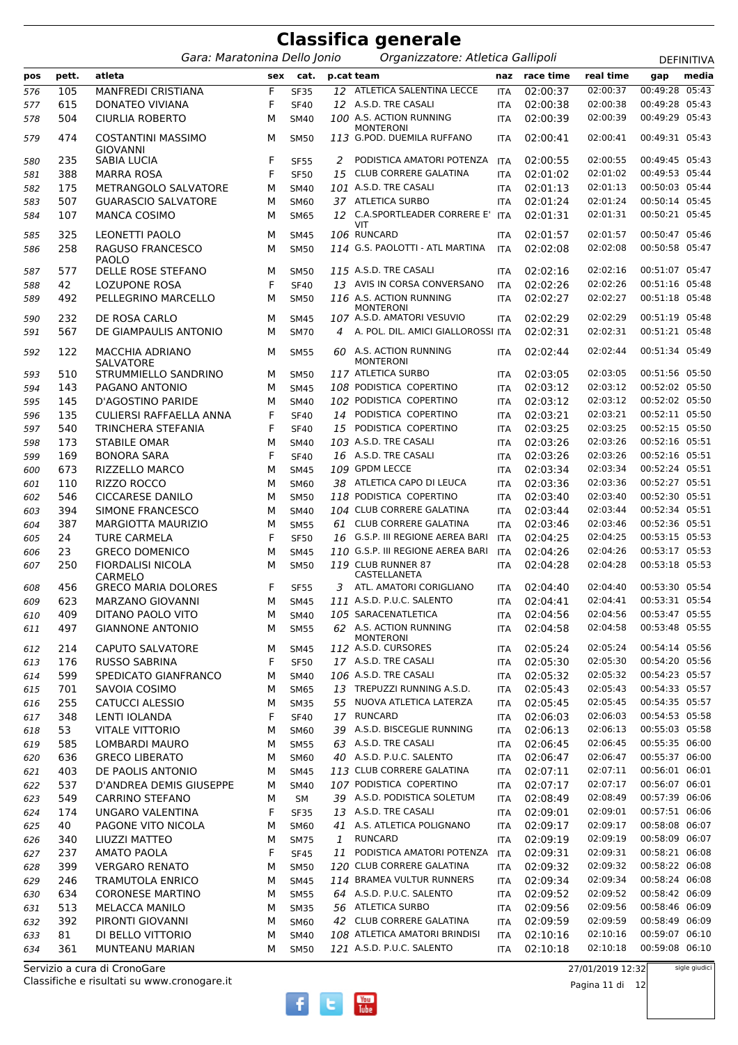|            |           |                                              |        |                     |                | <b>Classifica generale</b>                                     |                          |                      |                      |                                  |                   |
|------------|-----------|----------------------------------------------|--------|---------------------|----------------|----------------------------------------------------------------|--------------------------|----------------------|----------------------|----------------------------------|-------------------|
|            |           | Gara: Maratonina Dello Jonio                 |        |                     |                | Organizzatore: Atletica Gallipoli                              |                          |                      |                      |                                  | <b>DEFINITIVA</b> |
| pos        | pett.     | atleta                                       | sex    | cat.                |                | p.cat team                                                     | naz                      | race time            | real time            | gap                              | media             |
| 576        | 105       | MANFREDI CRISTIANA                           | F      | <b>SF35</b>         |                | 12 ATLETICA SALENTINA LECCE                                    | <b>ITA</b>               | 02:00:37             | 02:00:37             | 00:49:28                         | 05:43             |
| 577        | 615       | <b>DONATEO VIVIANA</b>                       | F      | <b>SF40</b>         |                | 12 A.S.D. TRE CASALI                                           | <b>ITA</b>               | 02:00:38             | 02:00:38             | 00:49:28                         | 05:43             |
| 578        | 504       | <b>CIURLIA ROBERTO</b>                       | м      | <b>SM40</b>         |                | 100 A.S. ACTION RUNNING                                        | <b>ITA</b>               | 02:00:39             | 02:00:39             | 00:49:29 05:43                   |                   |
| 579        | 474       | <b>COSTANTINI MASSIMO</b><br><b>GIOVANNI</b> | М      | <b>SM50</b>         |                | <b>MONTERONI</b><br>113 G.POD. DUEMILA RUFFANO                 | <b>ITA</b>               | 02:00:41             | 02:00:41             | 00:49:31 05:43                   |                   |
| 580        | 235       | SABIA LUCIA                                  | F      | <b>SF55</b>         | 2              | PODISTICA AMATORI POTENZA                                      | ITA                      | 02:00:55             | 02:00:55             | 00:49:45 05:43                   |                   |
| 581        | 388       | <b>MARRA ROSA</b>                            | F      | <b>SF50</b>         | 15             | <b>CLUB CORRERE GALATINA</b>                                   | <b>ITA</b>               | 02:01:02             | 02:01:02             | 00:49:53 05:44                   |                   |
| 582        | 175       | METRANGOLO SALVATORE                         | м      | <b>SM40</b>         |                | 101 A.S.D. TRE CASALI                                          | <b>ITA</b>               | 02:01:13             | 02:01:13             | 00:50:03 05:44                   |                   |
| 583        | 507       | <b>GUARASCIO SALVATORE</b>                   | м      | <b>SM60</b>         |                | 37 ATLETICA SURBO                                              | <b>ITA</b>               | 02:01:24             | 02:01:24             | 00:50:14 05:45                   |                   |
| 584        | 107       | <b>MANCA COSIMO</b>                          | м      | <b>SM65</b>         |                | 12 C.A.SPORTLEADER CORRERE E' ITA                              |                          | 02:01:31             | 02:01:31             | 00:50:21 05:45                   |                   |
|            |           |                                              |        |                     |                | <b>VIT</b>                                                     |                          |                      |                      |                                  |                   |
| 585        | 325       | LEONETTI PAOLO                               | м      | <b>SM45</b>         |                | 106 RUNCARD                                                    | <b>ITA</b>               | 02:01:57             | 02:01:57             | 00:50:47 05:46                   |                   |
| 586        | 258       | RAGUSO FRANCESCO<br><b>PAOLO</b>             | м      | <b>SM50</b>         |                | 114 G.S. PAOLOTTI - ATL MARTINA                                | <b>ITA</b>               | 02:02:08             | 02:02:08             | 00:50:58 05:47                   |                   |
| 587        | 577       | DELLE ROSE STEFANO                           | M      | <b>SM50</b>         |                | 115 A.S.D. TRE CASALI                                          | <b>ITA</b>               | 02:02:16             | 02:02:16             | 00:51:07 05:47                   |                   |
| 588        | 42        | <b>LOZUPONE ROSA</b>                         | F      | <b>SF40</b>         |                | 13 AVIS IN CORSA CONVERSANO                                    | <b>ITA</b>               | 02:02:26             | 02:02:26             | 00:51:16 05:48                   |                   |
| 589        | 492       | PELLEGRINO MARCELLO                          | M      | <b>SM50</b>         |                | 116 A.S. ACTION RUNNING<br><b>MONTERONI</b>                    | <b>ITA</b>               | 02:02:27             | 02:02:27             | 00:51:18 05:48                   |                   |
| 590        | 232       | DE ROSA CARLO                                | м      | <b>SM45</b>         |                | 107 A.S.D. AMATORI VESUVIO                                     | <b>ITA</b>               | 02:02:29             | 02:02:29             | 00:51:19 05:48                   |                   |
| 591        | 567       | DE GIAMPAULIS ANTONIO                        | м      | <b>SM70</b>         | $\overline{4}$ | A. POL. DIL. AMICI GIALLOROSSI ITA                             |                          | 02:02:31             | 02:02:31             | 00:51:21 05:48                   |                   |
| 592        | 122       | <b>MACCHIA ADRIANO</b><br><b>SALVATORE</b>   | м      | <b>SM55</b>         |                | 60 A.S. ACTION RUNNING<br><b>MONTERONI</b>                     | <b>ITA</b>               | 02:02:44             | 02:02:44             | 00:51:34 05:49                   |                   |
| 593        | 510       | STRUMMIELLO SANDRINO                         | м      | <b>SM50</b>         |                | 117 ATLETICA SURBO                                             | <b>ITA</b>               | 02:03:05             | 02:03:05             | 00:51:56 05:50                   |                   |
| 594        | 143       | PAGANO ANTONIO                               | м      | <b>SM45</b>         |                | 108 PODISTICA COPERTINO                                        | <b>ITA</b>               | 02:03:12             | 02:03:12             | 00:52:02 05:50                   |                   |
| 595        | 145       | D'AGOSTINO PARIDE                            | M      | <b>SM40</b>         |                | 102 PODISTICA COPERTINO                                        | <b>ITA</b>               | 02:03:12             | 02:03:12             | 00:52:02 05:50                   |                   |
| 596        | 135       | CULIERSI RAFFAELLA ANNA                      | F      | <b>SF40</b>         | 14             | PODISTICA COPERTINO                                            | <b>ITA</b>               | 02:03:21             | 02:03:21             | 00:52:11 05:50                   |                   |
| 597        | 540       | TRINCHERA STEFANIA                           | F      | <b>SF40</b>         | 15             | PODISTICA COPERTINO                                            | <b>ITA</b>               | 02:03:25             | 02:03:25             | 00:52:15 05:50                   |                   |
| 598        | 173       | <b>STABILE OMAR</b>                          | М      | <b>SM40</b>         |                | 103 A.S.D. TRE CASALI                                          | <b>ITA</b>               | 02:03:26             | 02:03:26             | 00:52:16 05:51                   |                   |
| 599        | 169       | <b>BONORA SARA</b>                           | F      | <b>SF40</b>         |                | 16 A.S.D. TRE CASALI                                           | <b>ITA</b>               | 02:03:26             | 02:03:26             | 00:52:16 05:51                   |                   |
| 600        | 673       | RIZZELLO MARCO                               | M      | <b>SM45</b>         |                | 109 GPDM LECCE                                                 | <b>ITA</b>               | 02:03:34             | 02:03:34             | 00:52:24 05:51                   |                   |
| 601        | 110       | RIZZO ROCCO                                  | M      | SM60                |                | 38 ATLETICA CAPO DI LEUCA                                      | <b>ITA</b>               | 02:03:36             | 02:03:36             | 00:52:27 05:51                   |                   |
| 602        | 546       | <b>CICCARESE DANILO</b>                      | м      | <b>SM50</b>         |                | 118 PODISTICA COPERTINO                                        | <b>ITA</b>               | 02:03:40             | 02:03:40             | 00:52:30 05:51                   |                   |
| 603        | 394       | SIMONE FRANCESCO                             | м      | <b>SM40</b>         |                | 104 CLUB CORRERE GALATINA                                      | <b>ITA</b>               | 02:03:44             | 02:03:44             | 00:52:34 05:51                   |                   |
| 604        | 387       | <b>MARGIOTTA MAURIZIO</b>                    | M      | <b>SM55</b>         | 61             | <b>CLUB CORRERE GALATINA</b>                                   | <b>ITA</b>               | 02:03:46             | 02:03:46             | 00:52:36 05:51                   |                   |
| 605        | 24        | <b>TURE CARMELA</b>                          | F      | <b>SF50</b>         |                | 16 G.S.P. III REGIONE AEREA BARI                               | <b>ITA</b>               | 02:04:25             | 02:04:25             | 00:53:15 05:53                   |                   |
| 606        | 23        | <b>GRECO DOMENICO</b>                        | м      | <b>SM45</b>         |                | 110 G.S.P. III REGIONE AEREA BARI                              | <b>ITA</b>               | 02:04:26             | 02:04:26             | 00:53:17 05:53                   |                   |
| 607        | 250       | <b>FIORDALISI NICOLA</b><br>CARMELO          | м      | <b>SM50</b>         |                | 119 CLUB RUNNER 87<br>CASTELLANETA                             | <b>ITA</b>               | 02:04:28             | 02:04:28             | 00:53:18 05:53                   |                   |
| 608        | 456       | <b>GRECO MARIA DOLORES</b>                   | F.     | <b>SF55</b>         |                | 3 ATL. AMATORI CORIGLIANO ITA 02:04:40 02:04:40 00:53:30 05:54 |                          |                      |                      |                                  |                   |
| 609        | 623       | MARZANO GIOVANNI                             | М      | <b>SM45</b>         |                | 111 A.S.D. P.U.C. SALENTO                                      | ITA                      | 02:04:41             | 02:04:41             | 00:53:31 05:54                   |                   |
| 610        | 409       | DITANO PAOLO VITO                            | м      | <b>SM40</b>         |                | 105 SARACENATLETICA                                            | ITA                      | 02:04:56             | 02:04:56             | 00:53:47 05:55                   |                   |
| 611        | 497       | <b>GIANNONE ANTONIO</b>                      | М      | <b>SM55</b>         |                | 62 A.S. ACTION RUNNING<br><b>MONTERONI</b>                     | ITA                      | 02:04:58             | 02:04:58             | 00:53:48 05:55                   |                   |
| 612        | 214       | <b>CAPUTO SALVATORE</b>                      | М      | <b>SM45</b>         |                | 112 A.S.D. CURSORES                                            | ITA                      | 02:05:24             | 02:05:24             | 00:54:14 05:56                   |                   |
| 613        | 176       | <b>RUSSO SABRINA</b>                         | F      | <b>SF50</b>         |                | 17 A.S.D. TRE CASALI                                           | <b>ITA</b>               | 02:05:30             | 02:05:30             | 00:54:20 05:56                   |                   |
| 614        | 599       | SPEDICATO GIANFRANCO                         | м      | <b>SM40</b>         |                | 106 A.S.D. TRE CASALI                                          | <b>ITA</b>               | 02:05:32             | 02:05:32             | 00:54:23 05:57                   |                   |
| 615        | 701       | SAVOIA COSIMO                                | М      | <b>SM65</b>         |                | 13 TREPUZZI RUNNING A.S.D.                                     | <b>ITA</b>               | 02:05:43             | 02:05:43             | 00:54:33 05:57                   |                   |
| 616        | 255       | <b>CATUCCI ALESSIO</b>                       | М      | <b>SM35</b>         |                | 55 NUOVA ATLETICA LATERZA                                      | ITA                      | 02:05:45             | 02:05:45             | 00:54:35 05:57                   |                   |
| 617        | 348       | LENTI IOLANDA                                | F      | <b>SF40</b>         |                | 17 RUNCARD<br>39 A.S.D. BISCEGLIE RUNNING                      | ITA                      | 02:06:03<br>02:06:13 | 02:06:03<br>02:06:13 | 00:54:53 05:58<br>00:55:03 05:58 |                   |
| 618        | 53<br>585 | <b>VITALE VITTORIO</b>                       | М      | SM60                |                | 63 A.S.D. TRE CASALI                                           | <b>ITA</b>               |                      | 02:06:45             | 00:55:35 06:00                   |                   |
| 619        | 636       | LOMBARDI MAURO<br><b>GRECO LIBERATO</b>      | М      | <b>SM55</b><br>SM60 |                | 40 A.S.D. P.U.C. SALENTO                                       | <b>ITA</b><br><b>ITA</b> | 02:06:45<br>02:06:47 | 02:06:47             | 00:55:37 06:00                   |                   |
| 620        | 403       | DE PAOLIS ANTONIO                            | м<br>м | <b>SM45</b>         |                | 113 CLUB CORRERE GALATINA                                      | <b>ITA</b>               | 02:07:11             | 02:07:11             | 00:56:01 06:01                   |                   |
| 621<br>622 | 537       | D'ANDREA DEMIS GIUSEPPE                      | М      | <b>SM40</b>         |                | 107 PODISTICA COPERTINO                                        | ITA                      | 02:07:17             | 02:07:17             | 00:56:07 06:01                   |                   |
| 623        | 549       | <b>CARRINO STEFANO</b>                       | М      | <b>SM</b>           |                | 39 A.S.D. PODISTICA SOLETUM                                    | <b>ITA</b>               | 02:08:49             | 02:08:49             | 00:57:39 06:06                   |                   |
| 624        | 174       | UNGARO VALENTINA                             | F      | <b>SF35</b>         |                | 13 A.S.D. TRE CASALI                                           | ITA                      | 02:09:01             | 02:09:01             | 00:57:51 06:06                   |                   |
| 625        | 40        | PAGONE VITO NICOLA                           | М      | SM60                |                | 41 A.S. ATLETICA POLIGNANO                                     | ITA                      | 02:09:17             | 02:09:17             | 00:58:08 06:07                   |                   |
| 626        | 340       | LIUZZI MATTEO                                | М      | <b>SM75</b>         | $\mathbf{1}$   | <b>RUNCARD</b>                                                 | <b>ITA</b>               | 02:09:19             | 02:09:19             | 00:58:09 06:07                   |                   |
| 627        | 237       | <b>AMATO PAOLA</b>                           | F      | <b>SF45</b>         | 11             | PODISTICA AMATORI POTENZA ITA                                  |                          | 02:09:31             | 02:09:31             | 00:58:21 06:08                   |                   |
| 628        | 399       | <b>VERGARO RENATO</b>                        | М      | <b>SM50</b>         |                | 120 CLUB CORRERE GALATINA                                      | ITA                      | 02:09:32             | 02:09:32             | 00:58:22 06:08                   |                   |
| 629        | 246       | <b>TRAMUTOLA ENRICO</b>                      | М      | <b>SM45</b>         |                | 114 BRAMEA VULTUR RUNNERS                                      | <b>ITA</b>               | 02:09:34             | 02:09:34             | 00:58:24 06:08                   |                   |
| 630        | 634       | <b>CORONESE MARTINO</b>                      | М      | <b>SM55</b>         |                | 64 A.S.D. P.U.C. SALENTO                                       | ITA                      | 02:09:52             | 02:09:52             | 00:58:42 06:09                   |                   |
| 631        | 513       | MELACCA MANILO                               | м      | <b>SM35</b>         |                | 56 ATLETICA SURBO                                              | <b>ITA</b>               | 02:09:56             | 02:09:56             | 00:58:46 06:09                   |                   |
| 632        | 392       | PIRONTI GIOVANNI                             | м      | SM60                |                | 42 CLUB CORRERE GALATINA                                       | <b>ITA</b>               | 02:09:59             | 02:09:59             | 00:58:49 06:09                   |                   |
| 633        | 81        | DI BELLO VITTORIO                            | м      | <b>SM40</b>         |                | 108 ATLETICA AMATORI BRINDISI                                  | <b>ITA</b>               | 02:10:16             | 02:10:16             | 00:59:07 06:10                   |                   |
| 634        | 361       | MUNTEANU MARIAN                              | М      | <b>SM50</b>         |                | 121 A.S.D. P.U.C. SALENTO                                      | ITA                      | 02:10:18             | 02:10:18             | 00:59:08 06:10                   |                   |

 $f$   $t$   $\frac{V_{\text{out}}}{I_{\text{ube}}}$ 

Classifiche e risultati su www.cronogare.it Servizio a cura di CronoGare

27/01/2019 12:32

Pagina 11 di 12

sigle giudici